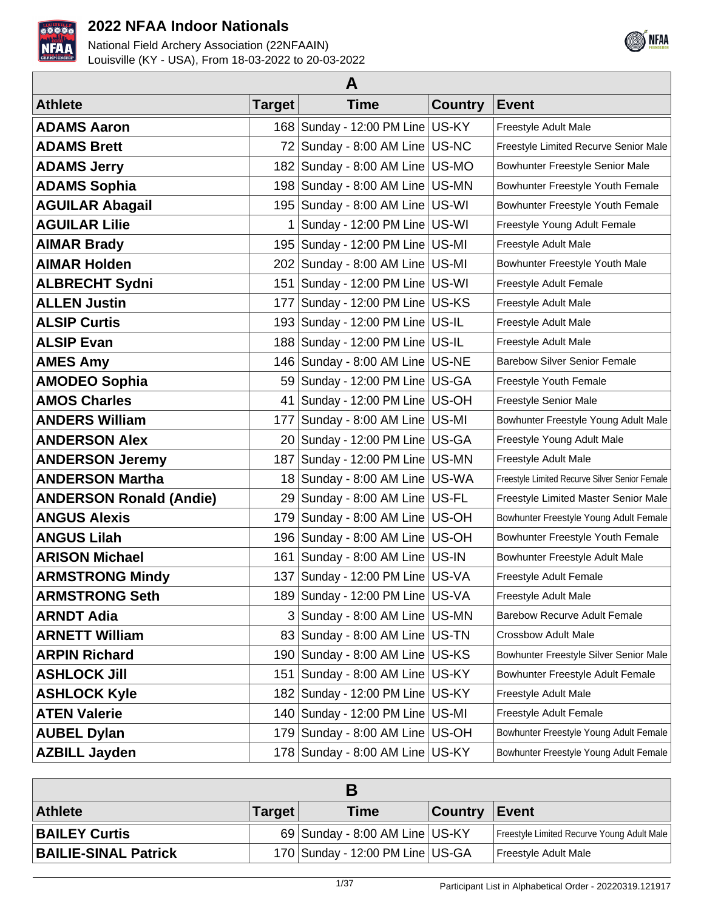



| A                              |               |                                      |                |                                                |  |  |
|--------------------------------|---------------|--------------------------------------|----------------|------------------------------------------------|--|--|
| <b>Athlete</b>                 | <b>Target</b> | <b>Time</b>                          | <b>Country</b> | <b>Event</b>                                   |  |  |
| <b>ADAMS Aaron</b>             |               | 168 Sunday - 12:00 PM Line US-KY     |                | Freestyle Adult Male                           |  |  |
| <b>ADAMS Brett</b>             | 72            | Sunday - 8:00 AM Line US-NC          |                | Freestyle Limited Recurve Senior Male          |  |  |
| <b>ADAMS Jerry</b>             |               | 182   Sunday - 8:00 AM Line   US-MO  |                | Bowhunter Freestyle Senior Male                |  |  |
| <b>ADAMS Sophia</b>            |               | 198 Sunday - 8:00 AM Line US-MN      |                | Bowhunter Freestyle Youth Female               |  |  |
| <b>AGUILAR Abagail</b>         |               | 195   Sunday - 8:00 AM Line   US-WI  |                | Bowhunter Freestyle Youth Female               |  |  |
| <b>AGUILAR Lilie</b>           | 1.            | Sunday - 12:00 PM Line   US-WI       |                | Freestyle Young Adult Female                   |  |  |
| <b>AIMAR Brady</b>             | 195           | Sunday - 12:00 PM Line US-MI         |                | Freestyle Adult Male                           |  |  |
| <b>AIMAR Holden</b>            |               | 202 Sunday - 8:00 AM Line US-MI      |                | Bowhunter Freestyle Youth Male                 |  |  |
| <b>ALBRECHT Sydni</b>          | 151           | Sunday - 12:00 PM Line   US-WI       |                | Freestyle Adult Female                         |  |  |
| <b>ALLEN Justin</b>            | 177           | Sunday - 12:00 PM Line US-KS         |                | Freestyle Adult Male                           |  |  |
| <b>ALSIP Curtis</b>            |               | 193 Sunday - 12:00 PM Line US-IL     |                | Freestyle Adult Male                           |  |  |
| <b>ALSIP Evan</b>              | 188           | Sunday - 12:00 PM Line US-IL         |                | Freestyle Adult Male                           |  |  |
| <b>AMES Amy</b>                |               | 146 Sunday - 8:00 AM Line US-NE      |                | <b>Barebow Silver Senior Female</b>            |  |  |
| <b>AMODEO Sophia</b>           |               | 59 Sunday - 12:00 PM Line US-GA      |                | Freestyle Youth Female                         |  |  |
| <b>AMOS Charles</b>            | 41            | Sunday - 12:00 PM Line   US-OH       |                | Freestyle Senior Male                          |  |  |
| <b>ANDERS William</b>          | 177           | Sunday - 8:00 AM Line   US-MI        |                | Bowhunter Freestyle Young Adult Male           |  |  |
| <b>ANDERSON Alex</b>           |               | 20 Sunday - 12:00 PM Line US-GA      |                | Freestyle Young Adult Male                     |  |  |
| <b>ANDERSON Jeremy</b>         |               | 187   Sunday - 12:00 PM Line   US-MN |                | Freestyle Adult Male                           |  |  |
| <b>ANDERSON Martha</b>         | 18            | Sunday - 8:00 AM Line US-WA          |                | Freestyle Limited Recurve Silver Senior Female |  |  |
| <b>ANDERSON Ronald (Andie)</b> |               | 29 Sunday - 8:00 AM Line US-FL       |                | Freestyle Limited Master Senior Male           |  |  |
| <b>ANGUS Alexis</b>            | 1791          | Sunday - 8:00 AM Line   US-OH        |                | Bowhunter Freestyle Young Adult Female         |  |  |
| <b>ANGUS Lilah</b>             | 196           | Sunday - 8:00 AM Line   US-OH        |                | Bowhunter Freestyle Youth Female               |  |  |
| <b>ARISON Michael</b>          | 161           | Sunday - 8:00 AM Line US-IN          |                | Bowhunter Freestyle Adult Male                 |  |  |
| <b>ARMSTRONG Mindy</b>         |               | 137 Sunday - 12:00 PM Line US-VA     |                | Freestyle Adult Female                         |  |  |
| <b>ARMSTRONG Seth</b>          |               | 189 Sunday - 12:00 PM Line US-VA     |                | Freestyle Adult Male                           |  |  |
| <b>ARNDT Adia</b>              |               | 3 Sunday - 8:00 AM Line US-MN        |                | <b>Barebow Recurve Adult Female</b>            |  |  |
| <b>ARNETT William</b>          |               | 83 Sunday - 8:00 AM Line US-TN       |                | <b>Crossbow Adult Male</b>                     |  |  |
| <b>ARPIN Richard</b>           |               | 190 Sunday - 8:00 AM Line US-KS      |                | Bowhunter Freestyle Silver Senior Male         |  |  |
| <b>ASHLOCK Jill</b>            | 151           | Sunday - 8:00 AM Line US-KY          |                | Bowhunter Freestyle Adult Female               |  |  |
| <b>ASHLOCK Kyle</b>            |               | 182   Sunday - 12:00 PM Line   US-KY |                | Freestyle Adult Male                           |  |  |
| <b>ATEN Valerie</b>            |               | 140 Sunday - 12:00 PM Line   US-MI   |                | Freestyle Adult Female                         |  |  |
| <b>AUBEL Dylan</b>             |               | 179 Sunday - 8:00 AM Line US-OH      |                | Bowhunter Freestyle Young Adult Female         |  |  |
| <b>AZBILL Jayden</b>           |               | 178 Sunday - 8:00 AM Line   US-KY    |                | Bowhunter Freestyle Young Adult Female         |  |  |

| <b>Athlete</b>              | <b>Target</b> | Time                             | <b>Country</b> | ∣Event                                     |  |
|-----------------------------|---------------|----------------------------------|----------------|--------------------------------------------|--|
| <b>BAILEY Curtis</b>        |               | $69$ Sunday - 8:00 AM Line US-KY |                | Freestyle Limited Recurve Young Adult Male |  |
| <b>BAILIE-SINAL Patrick</b> |               | 170 Sunday - 12:00 PM Line US-GA |                | Freestyle Adult Male                       |  |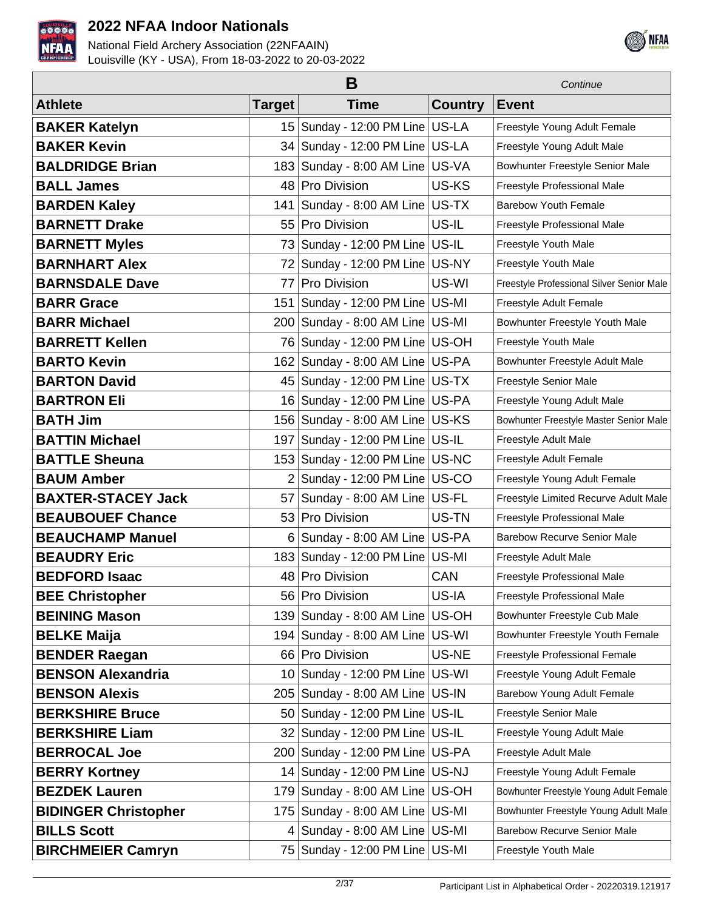



|                             |                 | Continue                            |                |                                           |
|-----------------------------|-----------------|-------------------------------------|----------------|-------------------------------------------|
| <b>Athlete</b>              | <b>Target</b>   | <b>Time</b>                         | <b>Country</b> | <b>Event</b>                              |
| <b>BAKER Katelyn</b>        | 15 <sub>1</sub> | Sunday - 12:00 PM Line   US-LA      |                | Freestyle Young Adult Female              |
| <b>BAKER Kevin</b>          |                 | 34 Sunday - 12:00 PM Line US-LA     |                | Freestyle Young Adult Male                |
| <b>BALDRIDGE Brian</b>      | 183             | Sunday - 8:00 AM Line US-VA         |                | Bowhunter Freestyle Senior Male           |
| <b>BALL James</b>           | 48              | Pro Division                        | US-KS          | Freestyle Professional Male               |
| <b>BARDEN Kaley</b>         | 141             | Sunday - 8:00 AM Line US-TX         |                | <b>Barebow Youth Female</b>               |
| <b>BARNETT Drake</b>        | 55              | Pro Division                        | US-IL          | Freestyle Professional Male               |
| <b>BARNETT Myles</b>        | 73              | Sunday - 12:00 PM Line US-IL        |                | Freestyle Youth Male                      |
| <b>BARNHART Alex</b>        | 72              | Sunday - 12:00 PM Line   US-NY      |                | Freestyle Youth Male                      |
| <b>BARNSDALE Dave</b>       | 77              | Pro Division                        | US-WI          | Freestyle Professional Silver Senior Male |
| <b>BARR Grace</b>           | 151             | Sunday - 12:00 PM Line   US-MI      |                | Freestyle Adult Female                    |
| <b>BARR Michael</b>         |                 | 200 Sunday - 8:00 AM Line US-MI     |                | Bowhunter Freestyle Youth Male            |
| <b>BARRETT Kellen</b>       |                 | 76 Sunday - 12:00 PM Line US-OH     |                | Freestyle Youth Male                      |
| <b>BARTO Kevin</b>          |                 | 162 Sunday - 8:00 AM Line US-PA     |                | Bowhunter Freestyle Adult Male            |
| <b>BARTON David</b>         | 45              | Sunday - 12:00 PM Line US-TX        |                | <b>Freestyle Senior Male</b>              |
| <b>BARTRON Eli</b>          |                 | 16 Sunday - 12:00 PM Line US-PA     |                | Freestyle Young Adult Male                |
| <b>BATH Jim</b>             | 156             | Sunday - 8:00 AM Line US-KS         |                | Bowhunter Freestyle Master Senior Male    |
| <b>BATTIN Michael</b>       | 197             | Sunday - 12:00 PM Line   US-IL      |                | Freestyle Adult Male                      |
| <b>BATTLE Sheuna</b>        |                 | 153 Sunday - 12:00 PM Line US-NC    |                | Freestyle Adult Female                    |
| <b>BAUM Amber</b>           | $\overline{2}$  | Sunday - 12:00 PM Line   US-CO      |                | Freestyle Young Adult Female              |
| <b>BAXTER-STACEY Jack</b>   | 57              | Sunday - 8:00 AM Line US-FL         |                | Freestyle Limited Recurve Adult Male      |
| <b>BEAUBOUEF Chance</b>     | 53              | Pro Division                        | US-TN          | Freestyle Professional Male               |
| <b>BEAUCHAMP Manuel</b>     | 6               | Sunday - 8:00 AM Line US-PA         |                | <b>Barebow Recurve Senior Male</b>        |
| <b>BEAUDRY Eric</b>         |                 | 183 Sunday - 12:00 PM Line   US-MI  |                | Freestyle Adult Male                      |
| <b>BEDFORD Isaac</b>        |                 | 48 Pro Division                     | <b>CAN</b>     | Freestyle Professional Male               |
| <b>BEE Christopher</b>      | 561             | Pro Division                        | US-IA          | Freestyle Professional Male               |
| <b>BEINING Mason</b>        | 139             | Sunday - 8:00 AM Line US-OH         |                | Bowhunter Freestyle Cub Male              |
| <b>BELKE Maija</b>          | 194             | Sunday - 8:00 AM Line US-WI         |                | Bowhunter Freestyle Youth Female          |
| <b>BENDER Raegan</b>        | 66              | Pro Division                        | US-NE          | Freestyle Professional Female             |
| <b>BENSON Alexandria</b>    | 10              | Sunday - 12:00 PM Line US-WI        |                | Freestyle Young Adult Female              |
| <b>BENSON Alexis</b>        | 2051            | Sunday - 8:00 AM Line US-IN         |                | Barebow Young Adult Female                |
| <b>BERKSHIRE Bruce</b>      | 50              | Sunday - 12:00 PM Line   US-IL      |                | Freestyle Senior Male                     |
| <b>BERKSHIRE Liam</b>       | 32 l            | Sunday - 12:00 PM Line   US-IL      |                | Freestyle Young Adult Male                |
| <b>BERROCAL Joe</b>         |                 | 200 Sunday - 12:00 PM Line US-PA    |                | Freestyle Adult Male                      |
| <b>BERRY Kortney</b>        | 14              | Sunday - 12:00 PM Line   US-NJ      |                | Freestyle Young Adult Female              |
| <b>BEZDEK Lauren</b>        | 179             | Sunday - 8:00 AM Line US-OH         |                | Bowhunter Freestyle Young Adult Female    |
| <b>BIDINGER Christopher</b> | 175             | Sunday - 8:00 AM Line US-MI         |                | Bowhunter Freestyle Young Adult Male      |
| <b>BILLS Scott</b>          | 4               | Sunday - 8:00 AM Line US-MI         |                | <b>Barebow Recurve Senior Male</b>        |
| <b>BIRCHMEIER Camryn</b>    |                 | 75   Sunday - 12:00 PM Line   US-MI |                | Freestyle Youth Male                      |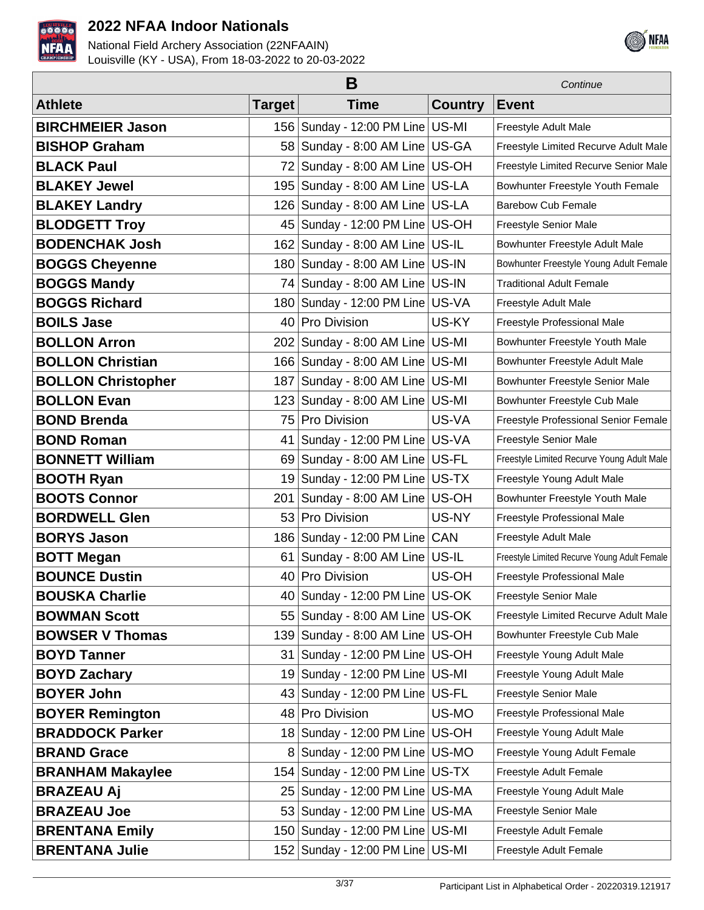



|                           | B             |                                   |                | Continue                                     |
|---------------------------|---------------|-----------------------------------|----------------|----------------------------------------------|
| <b>Athlete</b>            | <b>Target</b> | <b>Time</b>                       | <b>Country</b> | <b>Event</b>                                 |
| <b>BIRCHMEIER Jason</b>   | 156           | Sunday - 12:00 PM Line US-MI      |                | Freestyle Adult Male                         |
| <b>BISHOP Graham</b>      | 58            | Sunday - 8:00 AM Line US-GA       |                | Freestyle Limited Recurve Adult Male         |
| <b>BLACK Paul</b>         | 72            | Sunday - 8:00 AM Line US-OH       |                | Freestyle Limited Recurve Senior Male        |
| <b>BLAKEY Jewel</b>       | 195           | Sunday - 8:00 AM Line US-LA       |                | Bowhunter Freestyle Youth Female             |
| <b>BLAKEY Landry</b>      | 126           | Sunday - 8:00 AM Line US-LA       |                | <b>Barebow Cub Female</b>                    |
| <b>BLODGETT Troy</b>      | 45            | Sunday - 12:00 PM Line   US-OH    |                | Freestyle Senior Male                        |
| <b>BODENCHAK Josh</b>     | 162           | Sunday - 8:00 AM Line US-IL       |                | Bowhunter Freestyle Adult Male               |
| <b>BOGGS Cheyenne</b>     | 180           | Sunday - 8:00 AM Line US-IN       |                | Bowhunter Freestyle Young Adult Female       |
| <b>BOGGS Mandy</b>        | 74            | Sunday - 8:00 AM Line US-IN       |                | <b>Traditional Adult Female</b>              |
| <b>BOGGS Richard</b>      | 180           | Sunday - 12:00 PM Line   US-VA    |                | Freestyle Adult Male                         |
| <b>BOILS Jase</b>         | 40            | Pro Division                      | US-KY          | Freestyle Professional Male                  |
| <b>BOLLON Arron</b>       | 202           | Sunday - 8:00 AM Line US-MI       |                | Bowhunter Freestyle Youth Male               |
| <b>BOLLON Christian</b>   | 166           | Sunday - 8:00 AM Line   US-MI     |                | Bowhunter Freestyle Adult Male               |
| <b>BOLLON Christopher</b> | 187           | Sunday - 8:00 AM Line   US-MI     |                | Bowhunter Freestyle Senior Male              |
| <b>BOLLON Evan</b>        | 123           | Sunday - 8:00 AM Line US-MI       |                | Bowhunter Freestyle Cub Male                 |
| <b>BOND Brenda</b>        | 75            | Pro Division                      | US-VA          | Freestyle Professional Senior Female         |
| <b>BOND Roman</b>         | 41            | Sunday - 12:00 PM Line US-VA      |                | Freestyle Senior Male                        |
| <b>BONNETT William</b>    | 69            | Sunday - 8:00 AM Line US-FL       |                | Freestyle Limited Recurve Young Adult Male   |
| <b>BOOTH Ryan</b>         | 19            | Sunday - 12:00 PM Line US-TX      |                | Freestyle Young Adult Male                   |
| <b>BOOTS Connor</b>       | 201           | Sunday - 8:00 AM Line US-OH       |                | Bowhunter Freestyle Youth Male               |
| <b>BORDWELL Glen</b>      | 53            | Pro Division                      | US-NY          | Freestyle Professional Male                  |
| <b>BORYS Jason</b>        | 186           | Sunday - 12:00 PM Line CAN        |                | Freestyle Adult Male                         |
| <b>BOTT Megan</b>         | 61            | Sunday - 8:00 AM Line US-IL       |                | Freestyle Limited Recurve Young Adult Female |
| <b>BOUNCE Dustin</b>      |               | 40 Pro Division                   | US-OH          | Freestyle Professional Male                  |
| <b>BOUSKA Charlie</b>     |               | 40 Sunday - 12:00 PM Line   US-OK |                | Freestyle Senior Male                        |
| <b>BOWMAN Scott</b>       | 55            | Sunday - 8:00 AM Line US-OK       |                | Freestyle Limited Recurve Adult Male         |
| <b>BOWSER V Thomas</b>    | 139           | Sunday - 8:00 AM Line US-OH       |                | Bowhunter Freestyle Cub Male                 |
| <b>BOYD Tanner</b>        | 31            | Sunday - 12:00 PM Line   US-OH    |                | Freestyle Young Adult Male                   |
| <b>BOYD Zachary</b>       | 19            | Sunday - 12:00 PM Line US-MI      |                | Freestyle Young Adult Male                   |
| <b>BOYER John</b>         | 431           | Sunday - 12:00 PM Line US-FL      |                | Freestyle Senior Male                        |
| <b>BOYER Remington</b>    | 48            | Pro Division                      | US-MO          | Freestyle Professional Male                  |
| <b>BRADDOCK Parker</b>    | 18            | Sunday - 12:00 PM Line US-OH      |                | Freestyle Young Adult Male                   |
| <b>BRAND Grace</b>        | 8             | Sunday - 12:00 PM Line   US-MO    |                | Freestyle Young Adult Female                 |
| <b>BRANHAM Makaylee</b>   | 154           | Sunday - 12:00 PM Line US-TX      |                | Freestyle Adult Female                       |
| <b>BRAZEAU Aj</b>         | 251           | Sunday - 12:00 PM Line   US-MA    |                | Freestyle Young Adult Male                   |
| <b>BRAZEAU Joe</b>        | 53            | Sunday - 12:00 PM Line   US-MA    |                | Freestyle Senior Male                        |
| <b>BRENTANA Emily</b>     | 150           | Sunday - 12:00 PM Line US-MI      |                | Freestyle Adult Female                       |
| <b>BRENTANA Julie</b>     |               | 152 Sunday - 12:00 PM Line US-MI  |                | Freestyle Adult Female                       |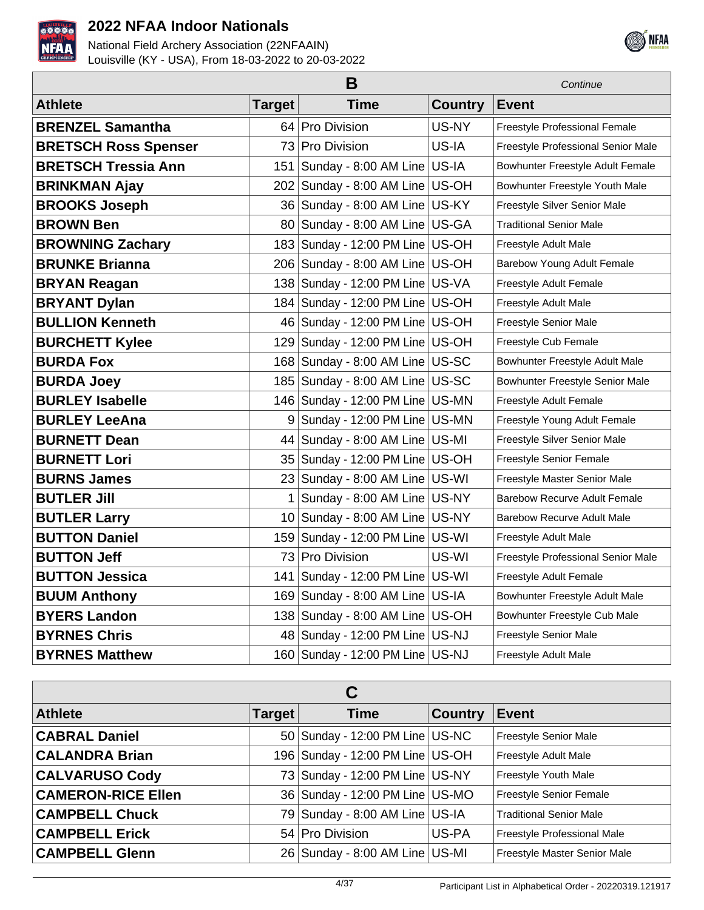



|                             | Continue      |                                      |                |                                      |
|-----------------------------|---------------|--------------------------------------|----------------|--------------------------------------|
| <b>Athlete</b>              | <b>Target</b> | <b>Time</b>                          | <b>Country</b> | <b>Event</b>                         |
| <b>BRENZEL Samantha</b>     |               | 64 Pro Division                      | US-NY          | <b>Freestyle Professional Female</b> |
| <b>BRETSCH Ross Spenser</b> |               | 73 Pro Division                      | US-IA          | Freestyle Professional Senior Male   |
| <b>BRETSCH Tressia Ann</b>  | 151           | Sunday - 8:00 AM Line US-IA          |                | Bowhunter Freestyle Adult Female     |
| <b>BRINKMAN Ajay</b>        | 202           | Sunday - 8:00 AM Line US-OH          |                | Bowhunter Freestyle Youth Male       |
| <b>BROOKS Joseph</b>        | 36            | Sunday - 8:00 AM Line US-KY          |                | Freestyle Silver Senior Male         |
| <b>BROWN Ben</b>            | 80            | Sunday - 8:00 AM Line US-GA          |                | Traditional Senior Male              |
| <b>BROWNING Zachary</b>     |               | 183 Sunday - 12:00 PM Line US-OH     |                | Freestyle Adult Male                 |
| <b>BRUNKE Brianna</b>       |               | 206   Sunday - 8:00 AM Line   US-OH  |                | Barebow Young Adult Female           |
| <b>BRYAN Reagan</b>         | 138           | Sunday - 12:00 PM Line US-VA         |                | Freestyle Adult Female               |
| <b>BRYANT Dylan</b>         |               | 184   Sunday - 12:00 PM Line   US-OH |                | Freestyle Adult Male                 |
| <b>BULLION Kenneth</b>      |               | 46 Sunday - 12:00 PM Line US-OH      |                | Freestyle Senior Male                |
| <b>BURCHETT Kylee</b>       | 129           | Sunday - 12:00 PM Line   US-OH       |                | Freestyle Cub Female                 |
| <b>BURDA Fox</b>            | 168           | Sunday - 8:00 AM Line US-SC          |                | Bowhunter Freestyle Adult Male       |
| <b>BURDA Joey</b>           | 1851          | Sunday - 8:00 AM Line US-SC          |                | Bowhunter Freestyle Senior Male      |
| <b>BURLEY Isabelle</b>      |               | 146 Sunday - 12:00 PM Line US-MN     |                | Freestyle Adult Female               |
| <b>BURLEY LeeAna</b>        | 9             | Sunday - 12:00 PM Line   US-MN       |                | Freestyle Young Adult Female         |
| <b>BURNETT Dean</b>         | 44            | Sunday - 8:00 AM Line   US-MI        |                | Freestyle Silver Senior Male         |
| <b>BURNETT Lori</b>         |               | 35   Sunday - 12:00 PM Line   US-OH  |                | Freestyle Senior Female              |
| <b>BURNS James</b>          |               | 23   Sunday - 8:00 AM Line   US-WI   |                | Freestyle Master Senior Male         |
| <b>BUTLER Jill</b>          | 1             | Sunday - 8:00 AM Line US-NY          |                | <b>Barebow Recurve Adult Female</b>  |
| <b>BUTLER Larry</b>         |               | 10   Sunday - 8:00 AM Line   US-NY   |                | <b>Barebow Recurve Adult Male</b>    |
| <b>BUTTON Daniel</b>        | 159           | Sunday - 12:00 PM Line US-WI         |                | Freestyle Adult Male                 |
| <b>BUTTON Jeff</b>          | 731           | <b>Pro Division</b>                  | US-WI          | Freestyle Professional Senior Male   |
| <b>BUTTON Jessica</b>       | 141           | Sunday - 12:00 PM Line   US-WI       |                | Freestyle Adult Female               |
| <b>BUUM Anthony</b>         | 169           | Sunday - 8:00 AM Line US-IA          |                | Bowhunter Freestyle Adult Male       |
| <b>BYERS Landon</b>         |               | 138 Sunday - 8:00 AM Line US-OH      |                | Bowhunter Freestyle Cub Male         |
| <b>BYRNES Chris</b>         |               | 48 Sunday - 12:00 PM Line US-NJ      |                | Freestyle Senior Male                |
| <b>BYRNES Matthew</b>       |               | 160 Sunday - 12:00 PM Line US-NJ     |                | Freestyle Adult Male                 |

| C                         |               |                                  |                |                                |  |
|---------------------------|---------------|----------------------------------|----------------|--------------------------------|--|
| <b>Athlete</b>            | Target $\mid$ | <b>Time</b>                      | <b>Country</b> | <b>Event</b>                   |  |
| <b>CABRAL Daniel</b>      |               | 50 Sunday - 12:00 PM Line US-NC  |                | Freestyle Senior Male          |  |
| <b>CALANDRA Brian</b>     |               | 196 Sunday - 12:00 PM Line US-OH |                | Freestyle Adult Male           |  |
| <b>CALVARUSO Cody</b>     |               | 73 Sunday - 12:00 PM Line US-NY  |                | Freestyle Youth Male           |  |
| <b>CAMERON-RICE Ellen</b> |               | 36 Sunday - 12:00 PM Line US-MO  |                | Freestyle Senior Female        |  |
| <b>CAMPBELL Chuck</b>     |               | 79 Sunday - 8:00 AM Line US-IA   |                | <b>Traditional Senior Male</b> |  |
| <b>CAMPBELL Erick</b>     |               | 54 Pro Division                  | US-PA          | Freestyle Professional Male    |  |
| <b>CAMPBELL Glenn</b>     |               | 26 Sunday - 8:00 AM Line US-MI   |                | Freestyle Master Senior Male   |  |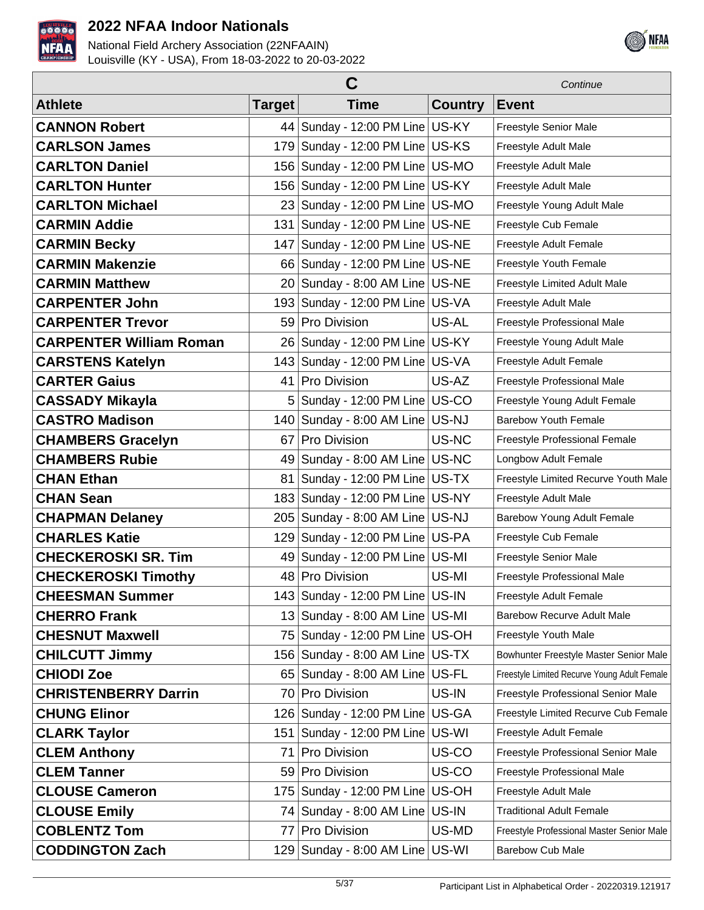



|                                |                 | Continue                             |                |                                              |
|--------------------------------|-----------------|--------------------------------------|----------------|----------------------------------------------|
| <b>Athlete</b>                 | <b>Target</b>   | <b>Time</b>                          | <b>Country</b> | <b>Event</b>                                 |
| <b>CANNON Robert</b>           |                 | 44 Sunday - 12:00 PM Line US-KY      |                | Freestyle Senior Male                        |
| <b>CARLSON James</b>           |                 | 179 Sunday - 12:00 PM Line US-KS     |                | Freestyle Adult Male                         |
| <b>CARLTON Daniel</b>          |                 | 156 Sunday - 12:00 PM Line US-MO     |                | Freestyle Adult Male                         |
| <b>CARLTON Hunter</b>          |                 | 156 Sunday - 12:00 PM Line US-KY     |                | Freestyle Adult Male                         |
| <b>CARLTON Michael</b>         |                 | 23 Sunday - 12:00 PM Line US-MO      |                | Freestyle Young Adult Male                   |
| <b>CARMIN Addie</b>            |                 | 131   Sunday - 12:00 PM Line   US-NE |                | Freestyle Cub Female                         |
| <b>CARMIN Becky</b>            |                 | 147   Sunday - 12:00 PM Line   US-NE |                | Freestyle Adult Female                       |
| <b>CARMIN Makenzie</b>         | 66              | Sunday - 12:00 PM Line   US-NE       |                | Freestyle Youth Female                       |
| <b>CARMIN Matthew</b>          | 20 <sup>1</sup> | Sunday - 8:00 AM Line US-NE          |                | Freestyle Limited Adult Male                 |
| <b>CARPENTER John</b>          |                 | 193 Sunday - 12:00 PM Line US-VA     |                | Freestyle Adult Male                         |
| <b>CARPENTER Trevor</b>        | 59              | <b>Pro Division</b>                  | US-AL          | Freestyle Professional Male                  |
| <b>CARPENTER William Roman</b> |                 | 26 Sunday - 12:00 PM Line US-KY      |                | Freestyle Young Adult Male                   |
| <b>CARSTENS Katelyn</b>        |                 | 143 Sunday - 12:00 PM Line US-VA     |                | Freestyle Adult Female                       |
| <b>CARTER Gaius</b>            | 41              | <b>Pro Division</b>                  | US-AZ          | Freestyle Professional Male                  |
| <b>CASSADY Mikayla</b>         | 5               | Sunday - 12:00 PM Line US-CO         |                | Freestyle Young Adult Female                 |
| <b>CASTRO Madison</b>          |                 | 140 Sunday - 8:00 AM Line US-NJ      |                | <b>Barebow Youth Female</b>                  |
| <b>CHAMBERS Gracelyn</b>       | 67              | <b>Pro Division</b>                  | US-NC          | Freestyle Professional Female                |
| <b>CHAMBERS Rubie</b>          | 49              | Sunday - 8:00 AM Line   US-NC        |                | Longbow Adult Female                         |
| <b>CHAN Ethan</b>              | 81              | Sunday - 12:00 PM Line US-TX         |                | Freestyle Limited Recurve Youth Male         |
| <b>CHAN Sean</b>               | 183             | Sunday - 12:00 PM Line   US-NY       |                | Freestyle Adult Male                         |
| <b>CHAPMAN Delaney</b>         | 205             | Sunday - 8:00 AM Line US-NJ          |                | Barebow Young Adult Female                   |
| <b>CHARLES Katie</b>           |                 | 129 Sunday - 12:00 PM Line US-PA     |                | Freestyle Cub Female                         |
| <b>CHECKEROSKI SR. Tim</b>     |                 | 49 Sunday - 12:00 PM Line   US-MI    |                | Freestyle Senior Male                        |
| <b>CHECKEROSKI Timothy</b>     |                 | 48 Pro Division                      | US-MI          | Freestyle Professional Male                  |
| <b>CHEESMAN Summer</b>         |                 | 143 Sunday - 12:00 PM Line US-IN     |                | Freestyle Adult Female                       |
| <b>CHERRO Frank</b>            |                 | 13 Sunday - 8:00 AM Line US-MI       |                | <b>Barebow Recurve Adult Male</b>            |
| <b>CHESNUT Maxwell</b>         |                 | 75   Sunday - 12:00 PM Line   US-OH  |                | Freestyle Youth Male                         |
| <b>CHILCUTT Jimmy</b>          |                 | 156   Sunday - 8:00 AM Line   US-TX  |                | Bowhunter Freestyle Master Senior Male       |
| <b>CHIODI Zoe</b>              |                 | 65 Sunday - 8:00 AM Line US-FL       |                | Freestyle Limited Recurve Young Adult Female |
| <b>CHRISTENBERRY Darrin</b>    |                 | 70 Pro Division                      | US-IN          | Freestyle Professional Senior Male           |
| <b>CHUNG Elinor</b>            |                 | 126 Sunday - 12:00 PM Line US-GA     |                | Freestyle Limited Recurve Cub Female         |
| <b>CLARK Taylor</b>            | 151             | Sunday - 12:00 PM Line US-WI         |                | Freestyle Adult Female                       |
| <b>CLEM Anthony</b>            | 71              | Pro Division                         | US-CO          | Freestyle Professional Senior Male           |
| <b>CLEM Tanner</b>             | 59              | Pro Division                         | US-CO          | Freestyle Professional Male                  |
| <b>CLOUSE Cameron</b>          | 175             | Sunday - 12:00 PM Line   US-OH       |                | Freestyle Adult Male                         |
| <b>CLOUSE Emily</b>            | 74 I            | Sunday - 8:00 AM Line US-IN          |                | <b>Traditional Adult Female</b>              |
| <b>COBLENTZ Tom</b>            | 77              | <b>Pro Division</b>                  | US-MD          | Freestyle Professional Master Senior Male    |
| <b>CODDINGTON Zach</b>         |                 | 129 Sunday - 8:00 AM Line US-WI      |                | <b>Barebow Cub Male</b>                      |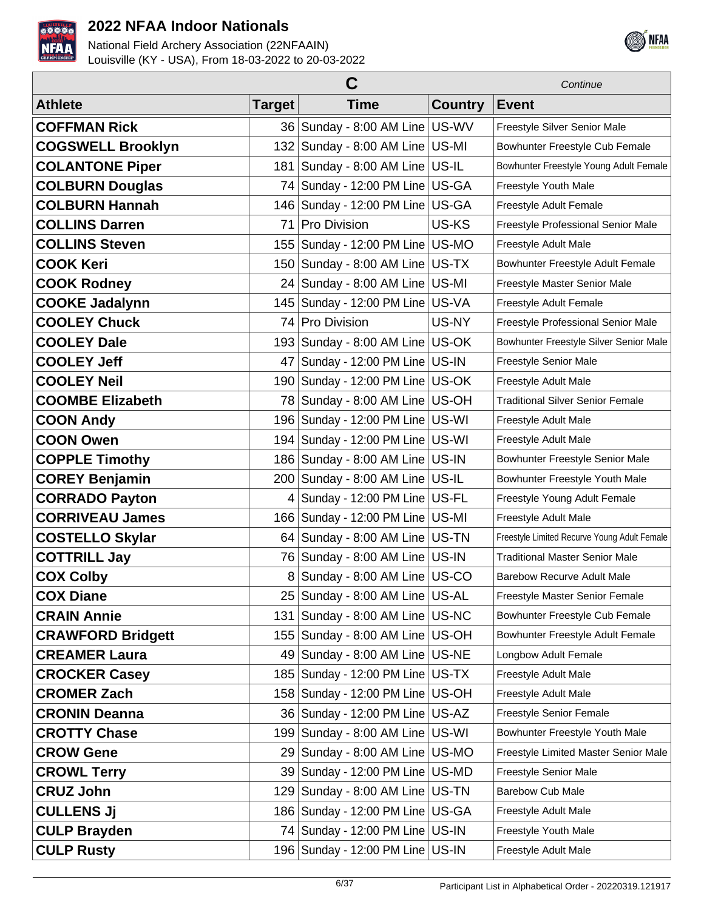



| С                        |                 |                                      |                | Continue                                     |
|--------------------------|-----------------|--------------------------------------|----------------|----------------------------------------------|
| <b>Athlete</b>           | <b>Target</b>   | <b>Time</b>                          | <b>Country</b> | <b>Event</b>                                 |
| <b>COFFMAN Rick</b>      |                 | 36   Sunday - 8:00 AM Line   US-WV   |                | Freestyle Silver Senior Male                 |
| <b>COGSWELL Brooklyn</b> |                 | 132 Sunday - 8:00 AM Line US-MI      |                | Bowhunter Freestyle Cub Female               |
| <b>COLANTONE Piper</b>   | 181             | Sunday - 8:00 AM Line US-IL          |                | Bowhunter Freestyle Young Adult Female       |
| <b>COLBURN Douglas</b>   |                 | 74 Sunday - 12:00 PM Line US-GA      |                | Freestyle Youth Male                         |
| <b>COLBURN Hannah</b>    |                 | 146   Sunday - 12:00 PM Line   US-GA |                | Freestyle Adult Female                       |
| <b>COLLINS Darren</b>    | 71              | <b>Pro Division</b>                  | US-KS          | Freestyle Professional Senior Male           |
| <b>COLLINS Steven</b>    |                 | 155   Sunday - 12:00 PM Line   US-MO |                | Freestyle Adult Male                         |
| <b>COOK Keri</b>         |                 | 150 Sunday - 8:00 AM Line US-TX      |                | Bowhunter Freestyle Adult Female             |
| <b>COOK Rodney</b>       |                 | 24 Sunday - 8:00 AM Line US-MI       |                | Freestyle Master Senior Male                 |
| <b>COOKE Jadalynn</b>    |                 | 145   Sunday - 12:00 PM Line   US-VA |                | Freestyle Adult Female                       |
| <b>COOLEY Chuck</b>      | 74 I            | <b>Pro Division</b>                  | US-NY          | Freestyle Professional Senior Male           |
| <b>COOLEY Dale</b>       |                 | 193 Sunday - 8:00 AM Line US-OK      |                | Bowhunter Freestyle Silver Senior Male       |
| <b>COOLEY Jeff</b>       | 47              | Sunday - 12:00 PM Line   US-IN       |                | Freestyle Senior Male                        |
| <b>COOLEY Neil</b>       |                 | 190 Sunday - 12:00 PM Line US-OK     |                | Freestyle Adult Male                         |
| <b>COOMBE Elizabeth</b>  | 78              | Sunday - 8:00 AM Line US-OH          |                | <b>Traditional Silver Senior Female</b>      |
| <b>COON Andy</b>         |                 | 196   Sunday - 12:00 PM Line   US-WI |                | Freestyle Adult Male                         |
| <b>COON Owen</b>         |                 | 194   Sunday - 12:00 PM Line   US-WI |                | Freestyle Adult Male                         |
| <b>COPPLE Timothy</b>    |                 | 186   Sunday - 8:00 AM Line   US-IN  |                | Bowhunter Freestyle Senior Male              |
| <b>COREY Benjamin</b>    |                 | 200 Sunday - 8:00 AM Line US-IL      |                | Bowhunter Freestyle Youth Male               |
| <b>CORRADO Payton</b>    | $\vert 4 \vert$ | Sunday - 12:00 PM Line   US-FL       |                | Freestyle Young Adult Female                 |
| <b>CORRIVEAU James</b>   |                 | 166 Sunday - 12:00 PM Line US-MI     |                | Freestyle Adult Male                         |
| <b>COSTELLO Skylar</b>   |                 | 64 Sunday - 8:00 AM Line US-TN       |                | Freestyle Limited Recurve Young Adult Female |
| <b>COTTRILL Jay</b>      |                 | 76 Sunday - 8:00 AM Line US-IN       |                | <b>Traditional Master Senior Male</b>        |
| <b>COX Colby</b>         | 8               | Sunday - 8:00 AM Line   US-CO        |                | <b>Barebow Recurve Adult Male</b>            |
| <b>COX Diane</b>         |                 | 25 Sunday - 8:00 AM Line US-AL       |                | Freestyle Master Senior Female               |
| <b>CRAIN Annie</b>       |                 | 131 Sunday - 8:00 AM Line   US-NC    |                | Bowhunter Freestyle Cub Female               |
| <b>CRAWFORD Bridgett</b> |                 | 155   Sunday - 8:00 AM Line   US-OH  |                | Bowhunter Freestyle Adult Female             |
| <b>CREAMER Laura</b>     |                 | 49 Sunday - 8:00 AM Line US-NE       |                | Longbow Adult Female                         |
| <b>CROCKER Casey</b>     |                 | 185   Sunday - 12:00 PM Line   US-TX |                | Freestyle Adult Male                         |
| <b>CROMER Zach</b>       |                 | 158 Sunday - 12:00 PM Line US-OH     |                | Freestyle Adult Male                         |
| <b>CRONIN Deanna</b>     |                 | 36   Sunday - 12:00 PM Line   US-AZ  |                | Freestyle Senior Female                      |
| <b>CROTTY Chase</b>      | 199             | Sunday - 8:00 AM Line US-WI          |                | Bowhunter Freestyle Youth Male               |
| <b>CROW Gene</b>         |                 | 29 Sunday - 8:00 AM Line US-MO       |                | Freestyle Limited Master Senior Male         |
| <b>CROWL Terry</b>       |                 | 39 Sunday - 12:00 PM Line   US-MD    |                | Freestyle Senior Male                        |
| <b>CRUZ John</b>         |                 | 129 Sunday - 8:00 AM Line US-TN      |                | <b>Barebow Cub Male</b>                      |
| <b>CULLENS Jj</b>        |                 | 186   Sunday - 12:00 PM Line   US-GA |                | Freestyle Adult Male                         |
| <b>CULP Brayden</b>      |                 | 74 Sunday - 12:00 PM Line US-IN      |                | Freestyle Youth Male                         |
| <b>CULP Rusty</b>        |                 | 196   Sunday - 12:00 PM Line   US-IN |                | Freestyle Adult Male                         |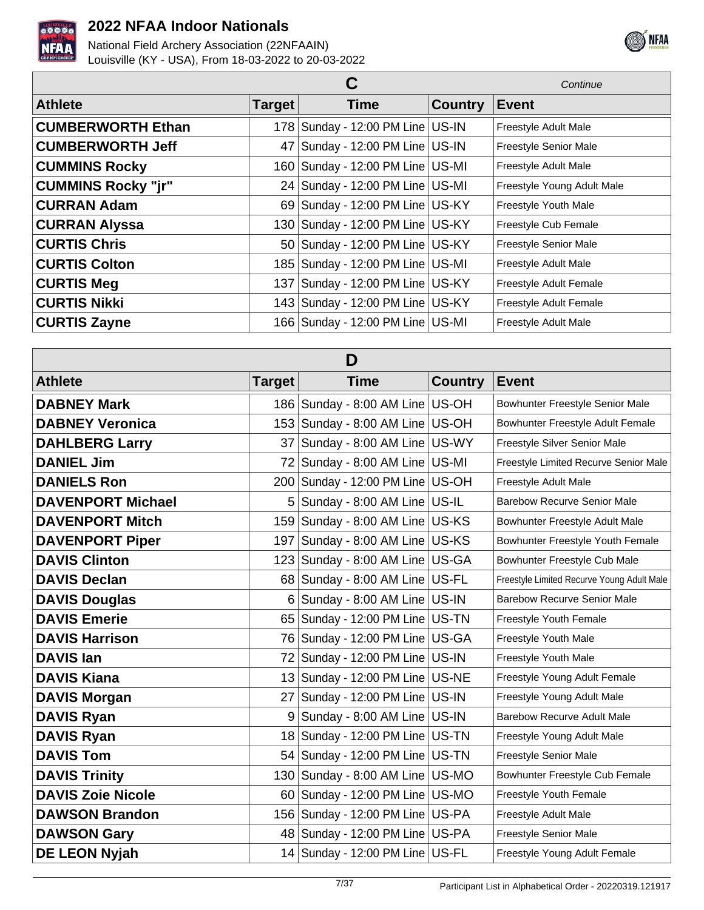



|                           | Continue |                                      |                |                              |
|---------------------------|----------|--------------------------------------|----------------|------------------------------|
| <b>Athlete</b>            | Target   | <b>Time</b>                          | <b>Country</b> | <b>Event</b>                 |
| <b>CUMBERWORTH Ethan</b>  |          | 178 Sunday - 12:00 PM Line US-IN     |                | Freestyle Adult Male         |
| <b>CUMBERWORTH Jeff</b>   | 47       | Sunday - 12:00 PM Line US-IN         |                | Freestyle Senior Male        |
| <b>CUMMINS Rocky</b>      |          | 160 Sunday - 12:00 PM Line US-MI     |                | Freestyle Adult Male         |
| <b>CUMMINS Rocky "jr"</b> |          | 24 Sunday - 12:00 PM Line US-MI      |                | Freestyle Young Adult Male   |
| <b>CURRAN Adam</b>        |          | 69 Sunday - 12:00 PM Line US-KY      |                | Freestyle Youth Male         |
| <b>CURRAN Alyssa</b>      |          | 130   Sunday - 12:00 PM Line   US-KY |                | Freestyle Cub Female         |
| <b>CURTIS Chris</b>       |          | 50 Sunday - 12:00 PM Line US-KY      |                | <b>Freestyle Senior Male</b> |
| <b>CURTIS Colton</b>      |          | 185   Sunday - 12:00 PM Line   US-MI |                | Freestyle Adult Male         |
| <b>CURTIS Meg</b>         |          | 137   Sunday - 12:00 PM Line   US-KY |                | Freestyle Adult Female       |
| <b>CURTIS Nikki</b>       |          | 143   Sunday - 12:00 PM Line   US-KY |                | Freestyle Adult Female       |
| <b>CURTIS Zayne</b>       |          | 166   Sunday - 12:00 PM Line   US-MI |                | Freestyle Adult Male         |

| D                        |        |                                      |                |                                            |  |
|--------------------------|--------|--------------------------------------|----------------|--------------------------------------------|--|
| <b>Athlete</b>           | Target | <b>Time</b>                          | <b>Country</b> | <b>Event</b>                               |  |
| <b>DABNEY Mark</b>       |        | 186 Sunday - 8:00 AM Line US-OH      |                | Bowhunter Freestyle Senior Male            |  |
| <b>DABNEY Veronica</b>   |        | 153 Sunday - 8:00 AM Line US-OH      |                | Bowhunter Freestyle Adult Female           |  |
| <b>DAHLBERG Larry</b>    |        | 37 Sunday - 8:00 AM Line US-WY       |                | Freestyle Silver Senior Male               |  |
| <b>DANIEL Jim</b>        | 72 l   | Sunday - 8:00 AM Line US-MI          |                | Freestyle Limited Recurve Senior Male      |  |
| <b>DANIELS Ron</b>       |        | 200 Sunday - 12:00 PM Line US-OH     |                | Freestyle Adult Male                       |  |
| <b>DAVENPORT Michael</b> |        | 5 Sunday - 8:00 AM Line US-IL        |                | <b>Barebow Recurve Senior Male</b>         |  |
| <b>DAVENPORT Mitch</b>   |        | 159 Sunday - 8:00 AM Line US-KS      |                | Bowhunter Freestyle Adult Male             |  |
| <b>DAVENPORT Piper</b>   |        | 197 Sunday - 8:00 AM Line US-KS      |                | Bowhunter Freestyle Youth Female           |  |
| <b>DAVIS Clinton</b>     |        | 123 Sunday - 8:00 AM Line US-GA      |                | Bowhunter Freestyle Cub Male               |  |
| <b>DAVIS Declan</b>      |        | 68 Sunday - 8:00 AM Line US-FL       |                | Freestyle Limited Recurve Young Adult Male |  |
| <b>DAVIS Douglas</b>     |        | $6$ Sunday - 8:00 AM Line US-IN      |                | <b>Barebow Recurve Senior Male</b>         |  |
| <b>DAVIS Emerie</b>      |        | 65   Sunday - 12:00 PM Line   US-TN  |                | Freestyle Youth Female                     |  |
| <b>DAVIS Harrison</b>    |        | 76 Sunday - 12:00 PM Line US-GA      |                | Freestyle Youth Male                       |  |
| <b>DAVIS Ian</b>         |        | 72 Sunday - 12:00 PM Line US-IN      |                | Freestyle Youth Male                       |  |
| <b>DAVIS Kiana</b>       |        | 13 Sunday - 12:00 PM Line US-NE      |                | Freestyle Young Adult Female               |  |
| <b>DAVIS Morgan</b>      |        | 27 Sunday - 12:00 PM Line US-IN      |                | Freestyle Young Adult Male                 |  |
| <b>DAVIS Ryan</b>        |        | 9 Sunday - 8:00 AM Line US-IN        |                | <b>Barebow Recurve Adult Male</b>          |  |
| <b>DAVIS Ryan</b>        |        | 18 Sunday - 12:00 PM Line US-TN      |                | Freestyle Young Adult Male                 |  |
| <b>DAVIS Tom</b>         |        | 54 Sunday - 12:00 PM Line US-TN      |                | Freestyle Senior Male                      |  |
| <b>DAVIS Trinity</b>     |        | 130 Sunday - 8:00 AM Line   US-MO    |                | Bowhunter Freestyle Cub Female             |  |
| <b>DAVIS Zoie Nicole</b> |        | 60 Sunday - 12:00 PM Line US-MO      |                | Freestyle Youth Female                     |  |
| <b>DAWSON Brandon</b>    |        | 156   Sunday - 12:00 PM Line   US-PA |                | Freestyle Adult Male                       |  |
| <b>DAWSON Gary</b>       |        | 48 Sunday - 12:00 PM Line US-PA      |                | Freestyle Senior Male                      |  |
| DE LEON Nyjah            |        | 14 Sunday - 12:00 PM Line US-FL      |                | Freestyle Young Adult Female               |  |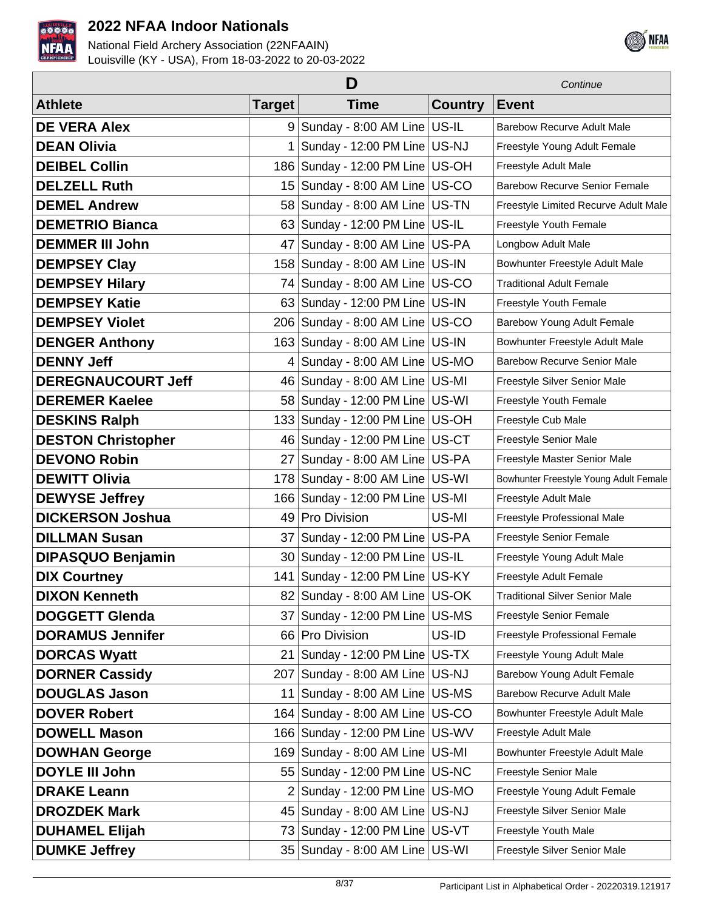



|                           | Continue        |                                      |                |                                        |
|---------------------------|-----------------|--------------------------------------|----------------|----------------------------------------|
| <b>Athlete</b>            | <b>Target</b>   | <b>Time</b>                          | <b>Country</b> | <b>Event</b>                           |
| <b>DE VERA Alex</b>       |                 | 9 Sunday - 8:00 AM Line US-IL        |                | <b>Barebow Recurve Adult Male</b>      |
| <b>DEAN Olivia</b>        |                 | Sunday - 12:00 PM Line US-NJ         |                | Freestyle Young Adult Female           |
| <b>DEIBEL Collin</b>      |                 | 186   Sunday - 12:00 PM Line   US-OH |                | Freestyle Adult Male                   |
| <b>DELZELL Ruth</b>       |                 | 15 Sunday - 8:00 AM Line US-CO       |                | <b>Barebow Recurve Senior Female</b>   |
| <b>DEMEL Andrew</b>       |                 | 58 Sunday - 8:00 AM Line US-TN       |                | Freestyle Limited Recurve Adult Male   |
| <b>DEMETRIO Bianca</b>    |                 | 63 Sunday - 12:00 PM Line US-IL      |                | Freestyle Youth Female                 |
| <b>DEMMER III John</b>    | 47 <sup>2</sup> | Sunday - 8:00 AM Line US-PA          |                | Longbow Adult Male                     |
| <b>DEMPSEY Clay</b>       |                 | 158 Sunday - 8:00 AM Line US-IN      |                | Bowhunter Freestyle Adult Male         |
| <b>DEMPSEY Hilary</b>     |                 | 74 Sunday - 8:00 AM Line US-CO       |                | <b>Traditional Adult Female</b>        |
| <b>DEMPSEY Katie</b>      |                 | 63 Sunday - 12:00 PM Line US-IN      |                | Freestyle Youth Female                 |
| <b>DEMPSEY Violet</b>     |                 | 206 Sunday - 8:00 AM Line US-CO      |                | Barebow Young Adult Female             |
| <b>DENGER Anthony</b>     |                 | 163 Sunday - 8:00 AM Line US-IN      |                | Bowhunter Freestyle Adult Male         |
| <b>DENNY Jeff</b>         | 4 <sup>1</sup>  | Sunday - 8:00 AM Line US-MO          |                | <b>Barebow Recurve Senior Male</b>     |
| <b>DEREGNAUCOURT Jeff</b> |                 | 46 Sunday - 8:00 AM Line US-MI       |                | Freestyle Silver Senior Male           |
| <b>DEREMER Kaelee</b>     |                 | 58 Sunday - 12:00 PM Line US-WI      |                | Freestyle Youth Female                 |
| <b>DESKINS Ralph</b>      |                 | 133 Sunday - 12:00 PM Line US-OH     |                | Freestyle Cub Male                     |
| <b>DESTON Christopher</b> |                 | 46 Sunday - 12:00 PM Line US-CT      |                | Freestyle Senior Male                  |
| <b>DEVONO Robin</b>       |                 | 27 Sunday - 8:00 AM Line US-PA       |                | Freestyle Master Senior Male           |
| <b>DEWITT Olivia</b>      |                 | 178 Sunday - 8:00 AM Line US-WI      |                | Bowhunter Freestyle Young Adult Female |
| <b>DEWYSE Jeffrey</b>     |                 | 166 Sunday - 12:00 PM Line US-MI     |                | Freestyle Adult Male                   |
| <b>DICKERSON Joshua</b>   | 49              | Pro Division                         | US-MI          | Freestyle Professional Male            |
| <b>DILLMAN Susan</b>      | 37              | Sunday - 12:00 PM Line US-PA         |                | Freestyle Senior Female                |
| <b>DIPASQUO Benjamin</b>  |                 | 30 Sunday - 12:00 PM Line US-IL      |                | Freestyle Young Adult Male             |
| <b>DIX Courtney</b>       |                 | 141   Sunday - 12:00 PM Line   US-KY |                | Freestyle Adult Female                 |
| <b>DIXON Kenneth</b>      |                 | 82 Sunday - 8:00 AM Line US-OK       |                | <b>Traditional Silver Senior Male</b>  |
| <b>DOGGETT Glenda</b>     |                 | 37 Sunday - 12:00 PM Line US-MS      |                | <b>Freestyle Senior Female</b>         |
| <b>DORAMUS Jennifer</b>   | 66              | Pro Division                         | US-ID          | <b>Freestyle Professional Female</b>   |
| <b>DORCAS Wyatt</b>       | 211             | Sunday - 12:00 PM Line US-TX         |                | Freestyle Young Adult Male             |
| <b>DORNER Cassidy</b>     | 2071            | Sunday - 8:00 AM Line US-NJ          |                | Barebow Young Adult Female             |
| <b>DOUGLAS Jason</b>      | 11              | Sunday - 8:00 AM Line US-MS          |                | <b>Barebow Recurve Adult Male</b>      |
| <b>DOVER Robert</b>       |                 | 164 Sunday - 8:00 AM Line US-CO      |                | Bowhunter Freestyle Adult Male         |
| <b>DOWELL Mason</b>       |                 | 166 Sunday - 12:00 PM Line US-WV     |                | Freestyle Adult Male                   |
| <b>DOWHAN George</b>      |                 | 169 Sunday - 8:00 AM Line US-MI      |                | Bowhunter Freestyle Adult Male         |
| <b>DOYLE III John</b>     |                 | 55 Sunday - 12:00 PM Line US-NC      |                | Freestyle Senior Male                  |
| <b>DRAKE Leann</b>        |                 | $2$ Sunday - 12:00 PM Line US-MO     |                | Freestyle Young Adult Female           |
| <b>DROZDEK Mark</b>       |                 | 45 Sunday - 8:00 AM Line US-NJ       |                | Freestyle Silver Senior Male           |
| <b>DUHAMEL Elijah</b>     |                 | 73 Sunday - 12:00 PM Line US-VT      |                | Freestyle Youth Male                   |
| <b>DUMKE Jeffrey</b>      |                 | 35 Sunday - 8:00 AM Line US-WI       |                | Freestyle Silver Senior Male           |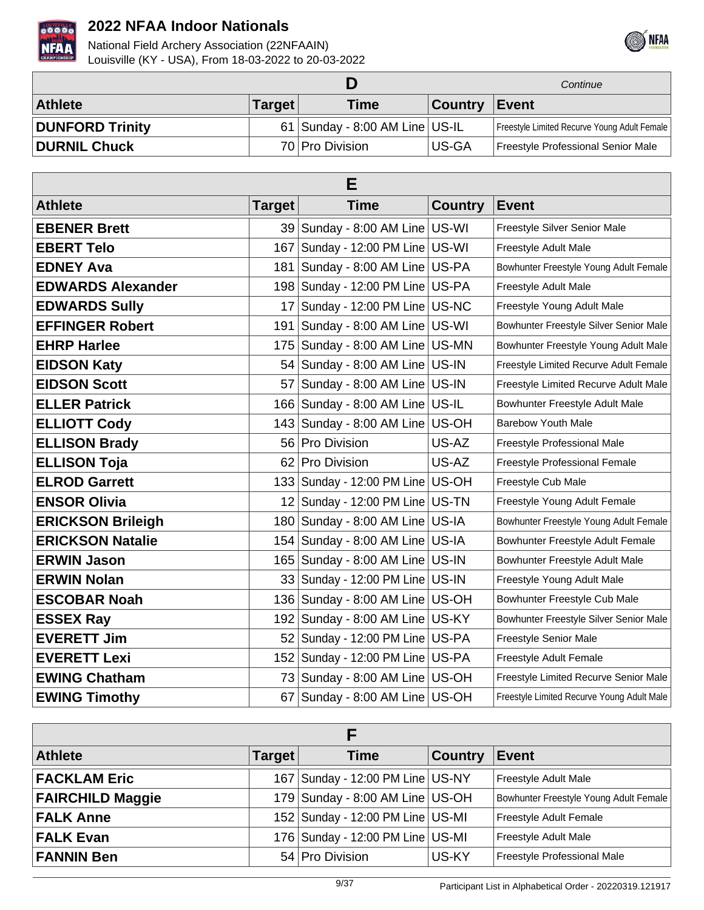



|                        |               |                                  |                | Continue                                     |
|------------------------|---------------|----------------------------------|----------------|----------------------------------------------|
| <b>Athlete</b>         | <b>Target</b> | <b>Time</b>                      | <b>Country</b> | Event                                        |
| <b>DUNFORD Trinity</b> |               | $61$ Sunday - 8:00 AM Line US-IL |                | Freestyle Limited Recurve Young Adult Female |
| <b>DURNIL Chuck</b>    |               | 70 Pro Division                  | US-GA          | Freestyle Professional Senior Male           |

| Е                        |        |                                      |                |                                            |  |
|--------------------------|--------|--------------------------------------|----------------|--------------------------------------------|--|
| <b>Athlete</b>           | Target | <b>Time</b>                          | <b>Country</b> | Event                                      |  |
| <b>EBENER Brett</b>      |        | 39 Sunday - 8:00 AM Line US-WI       |                | Freestyle Silver Senior Male               |  |
| <b>EBERT Telo</b>        | 167    | Sunday - 12:00 PM Line US-WI         |                | Freestyle Adult Male                       |  |
| <b>EDNEY Ava</b>         | 181    | Sunday - 8:00 AM Line US-PA          |                | Bowhunter Freestyle Young Adult Female     |  |
| <b>EDWARDS Alexander</b> |        | 198 Sunday - 12:00 PM Line US-PA     |                | Freestyle Adult Male                       |  |
| <b>EDWARDS Sully</b>     | 17     | Sunday - 12:00 PM Line US-NC         |                | Freestyle Young Adult Male                 |  |
| <b>EFFINGER Robert</b>   | 191    | Sunday - 8:00 AM Line US-WI          |                | Bowhunter Freestyle Silver Senior Male     |  |
| <b>EHRP Harlee</b>       | 175    | Sunday - 8:00 AM Line US-MN          |                | Bowhunter Freestyle Young Adult Male       |  |
| <b>EIDSON Katy</b>       | 54     | Sunday - 8:00 AM Line US-IN          |                | Freestyle Limited Recurve Adult Female     |  |
| <b>EIDSON Scott</b>      | 57     | Sunday - 8:00 AM Line US-IN          |                | Freestyle Limited Recurve Adult Male       |  |
| <b>ELLER Patrick</b>     |        | 166 Sunday - 8:00 AM Line US-IL      |                | Bowhunter Freestyle Adult Male             |  |
| <b>ELLIOTT Cody</b>      |        | 143 Sunday - 8:00 AM Line US-OH      |                | <b>Barebow Youth Male</b>                  |  |
| <b>ELLISON Brady</b>     |        | 56 Pro Division                      | US-AZ          | Freestyle Professional Male                |  |
| <b>ELLISON Toja</b>      | 621    | Pro Division                         | US-AZ          | Freestyle Professional Female              |  |
| <b>ELROD Garrett</b>     |        | 133   Sunday - 12:00 PM Line   US-OH |                | Freestyle Cub Male                         |  |
| <b>ENSOR Olivia</b>      |        | 12 Sunday - 12:00 PM Line US-TN      |                | Freestyle Young Adult Female               |  |
| <b>ERICKSON Brileigh</b> | 180    | Sunday - 8:00 AM Line US-IA          |                | Bowhunter Freestyle Young Adult Female     |  |
| <b>ERICKSON Natalie</b>  |        | 154   Sunday - 8:00 AM Line   US-IA  |                | Bowhunter Freestyle Adult Female           |  |
| <b>ERWIN Jason</b>       |        | 165   Sunday - 8:00 AM Line   US-IN  |                | Bowhunter Freestyle Adult Male             |  |
| <b>ERWIN Nolan</b>       |        | 33   Sunday - 12:00 PM Line   US-IN  |                | Freestyle Young Adult Male                 |  |
| <b>ESCOBAR Noah</b>      |        | 136 Sunday - 8:00 AM Line US-OH      |                | Bowhunter Freestyle Cub Male               |  |
| <b>ESSEX Ray</b>         |        | 192 Sunday - 8:00 AM Line US-KY      |                | Bowhunter Freestyle Silver Senior Male     |  |
| <b>EVERETT Jim</b>       |        | 52 Sunday - 12:00 PM Line US-PA      |                | Freestyle Senior Male                      |  |
| <b>EVERETT Lexi</b>      |        | 152 Sunday - 12:00 PM Line US-PA     |                | Freestyle Adult Female                     |  |
| <b>EWING Chatham</b>     |        | 73 Sunday - 8:00 AM Line US-OH       |                | Freestyle Limited Recurve Senior Male      |  |
| <b>EWING Timothy</b>     | 67     | Sunday - 8:00 AM Line US-OH          |                | Freestyle Limited Recurve Young Adult Male |  |

| <b>Athlete</b>          | <b>Target</b> | Time                                 | <b>Country</b> | <b>Event</b>                           |  |
|-------------------------|---------------|--------------------------------------|----------------|----------------------------------------|--|
| <b>FACKLAM Eric</b>     |               | 167   Sunday - 12:00 PM Line   US-NY |                | <b>Freestyle Adult Male</b>            |  |
| <b>FAIRCHILD Maggie</b> |               | 179 Sunday - 8:00 AM Line US-OH      |                | Bowhunter Freestyle Young Adult Female |  |
| <b>FALK Anne</b>        |               | 152 Sunday - 12:00 PM Line US-MI     |                | <b>Freestyle Adult Female</b>          |  |
| <b>FALK Evan</b>        |               | 176 Sunday - 12:00 PM Line US-MI     |                | Freestyle Adult Male                   |  |
| <b>FANNIN Ben</b>       |               | 54 Pro Division                      | US-KY          | Freestyle Professional Male            |  |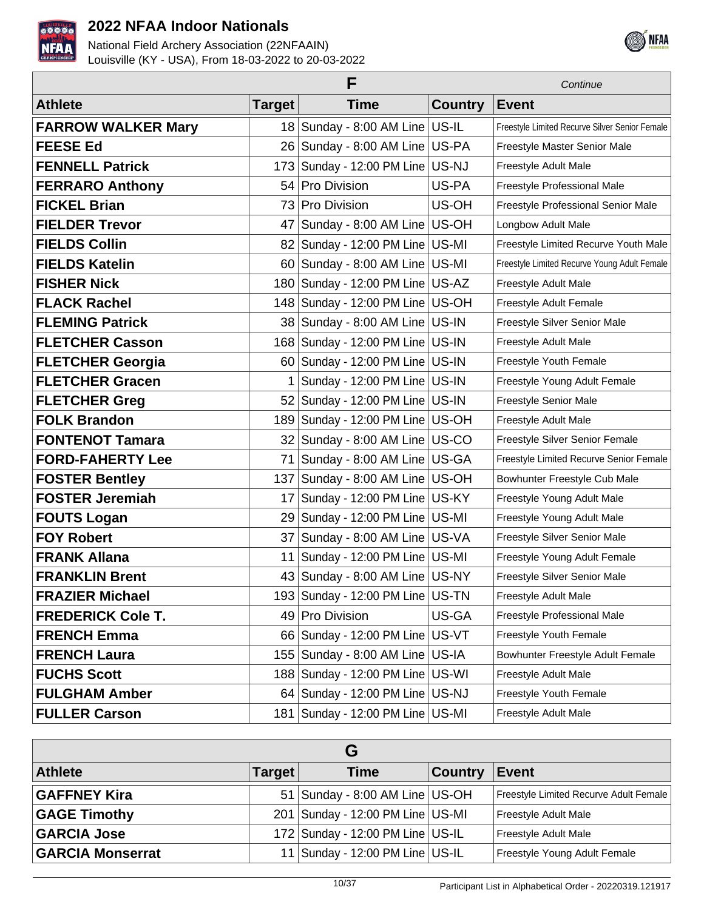



| F                         |               |                                      |                | Continue                                       |
|---------------------------|---------------|--------------------------------------|----------------|------------------------------------------------|
| <b>Athlete</b>            | <b>Target</b> | <b>Time</b>                          | <b>Country</b> | <b>Event</b>                                   |
| <b>FARROW WALKER Mary</b> |               | 18 Sunday - 8:00 AM Line US-IL       |                | Freestyle Limited Recurve Silver Senior Female |
| <b>FEESE Ed</b>           | 26            | Sunday - 8:00 AM Line US-PA          |                | Freestyle Master Senior Male                   |
| <b>FENNELL Patrick</b>    | 173           | Sunday - 12:00 PM Line US-NJ         |                | Freestyle Adult Male                           |
| <b>FERRARO Anthony</b>    | 54            | Pro Division                         | US-PA          | Freestyle Professional Male                    |
| <b>FICKEL Brian</b>       | 73            | <b>Pro Division</b>                  | US-OH          | Freestyle Professional Senior Male             |
| <b>FIELDER Trevor</b>     | 47            | Sunday - 8:00 AM Line   US-OH        |                | Longbow Adult Male                             |
| <b>FIELDS Collin</b>      | 82            | Sunday - 12:00 PM Line US-MI         |                | Freestyle Limited Recurve Youth Male           |
| <b>FIELDS Katelin</b>     | 60            | Sunday - 8:00 AM Line US-MI          |                | Freestyle Limited Recurve Young Adult Female   |
| <b>FISHER Nick</b>        | 180           | Sunday - 12:00 PM Line US-AZ         |                | Freestyle Adult Male                           |
| <b>FLACK Rachel</b>       |               | 148 Sunday - 12:00 PM Line US-OH     |                | Freestyle Adult Female                         |
| <b>FLEMING Patrick</b>    |               | 38 Sunday - 8:00 AM Line US-IN       |                | Freestyle Silver Senior Male                   |
| <b>FLETCHER Casson</b>    |               | 168 Sunday - 12:00 PM Line US-IN     |                | Freestyle Adult Male                           |
| <b>FLETCHER Georgia</b>   |               | 60 Sunday - 12:00 PM Line US-IN      |                | Freestyle Youth Female                         |
| <b>FLETCHER Gracen</b>    | 1             | Sunday - 12:00 PM Line US-IN         |                | Freestyle Young Adult Female                   |
| <b>FLETCHER Greg</b>      | 52            | Sunday - 12:00 PM Line US-IN         |                | Freestyle Senior Male                          |
| <b>FOLK Brandon</b>       | 189           | Sunday - 12:00 PM Line US-OH         |                | Freestyle Adult Male                           |
| <b>FONTENOT Tamara</b>    |               | 32   Sunday - 8:00 AM Line   US-CO   |                | Freestyle Silver Senior Female                 |
| <b>FORD-FAHERTY Lee</b>   | 71            | Sunday - 8:00 AM Line   US-GA        |                | Freestyle Limited Recurve Senior Female        |
| <b>FOSTER Bentley</b>     | 137           | Sunday - 8:00 AM Line US-OH          |                | Bowhunter Freestyle Cub Male                   |
| <b>FOSTER Jeremiah</b>    | 17            | Sunday - 12:00 PM Line US-KY         |                | Freestyle Young Adult Male                     |
| <b>FOUTS Logan</b>        | 29            | Sunday - 12:00 PM Line   US-MI       |                | Freestyle Young Adult Male                     |
| <b>FOY Robert</b>         | 37            | Sunday - 8:00 AM Line   US-VA        |                | Freestyle Silver Senior Male                   |
| <b>FRANK Allana</b>       | 11            | Sunday - 12:00 PM Line US-MI         |                | Freestyle Young Adult Female                   |
| <b>FRANKLIN Brent</b>     |               | 43 Sunday - 8:00 AM Line US-NY       |                | Freestyle Silver Senior Male                   |
| <b>FRAZIER Michael</b>    |               | 193 Sunday - 12:00 PM Line US-TN     |                | Freestyle Adult Male                           |
| <b>FREDERICK Cole T.</b>  |               | 49 Pro Division                      | US-GA          | Freestyle Professional Male                    |
| <b>FRENCH Emma</b>        |               | 66 Sunday - 12:00 PM Line US-VT      |                | Freestyle Youth Female                         |
| <b>FRENCH Laura</b>       | 155           | Sunday - 8:00 AM Line US-IA          |                | Bowhunter Freestyle Adult Female               |
| <b>FUCHS Scott</b>        |               | 188 Sunday - 12:00 PM Line US-WI     |                | Freestyle Adult Male                           |
| <b>FULGHAM Amber</b>      |               | 64 Sunday - 12:00 PM Line   US-NJ    |                | Freestyle Youth Female                         |
| <b>FULLER Carson</b>      |               | 181   Sunday - 12:00 PM Line   US-MI |                | Freestyle Adult Male                           |

| G                       |        |                                               |                |                                        |  |
|-------------------------|--------|-----------------------------------------------|----------------|----------------------------------------|--|
| <b>Athlete</b>          | Target | <b>Time</b>                                   | <b>Country</b> | <b>Event</b>                           |  |
| <b>GAFFNEY Kira</b>     |        | 51 Sunday - 8:00 AM Line US-OH                |                | Freestyle Limited Recurve Adult Female |  |
| <b>GAGE Timothy</b>     |        | 201   Sunday - 12:00 PM Line   US-MI          |                | Freestyle Adult Male                   |  |
| <b>GARCIA Jose</b>      |        | 172 Sunday - 12:00 PM Line   US-IL            |                | Freestyle Adult Male                   |  |
| <b>GARCIA Monserrat</b> |        | 11 Sunday - 12:00 PM Line $\overline{US}$ -IL |                | Freestyle Young Adult Female           |  |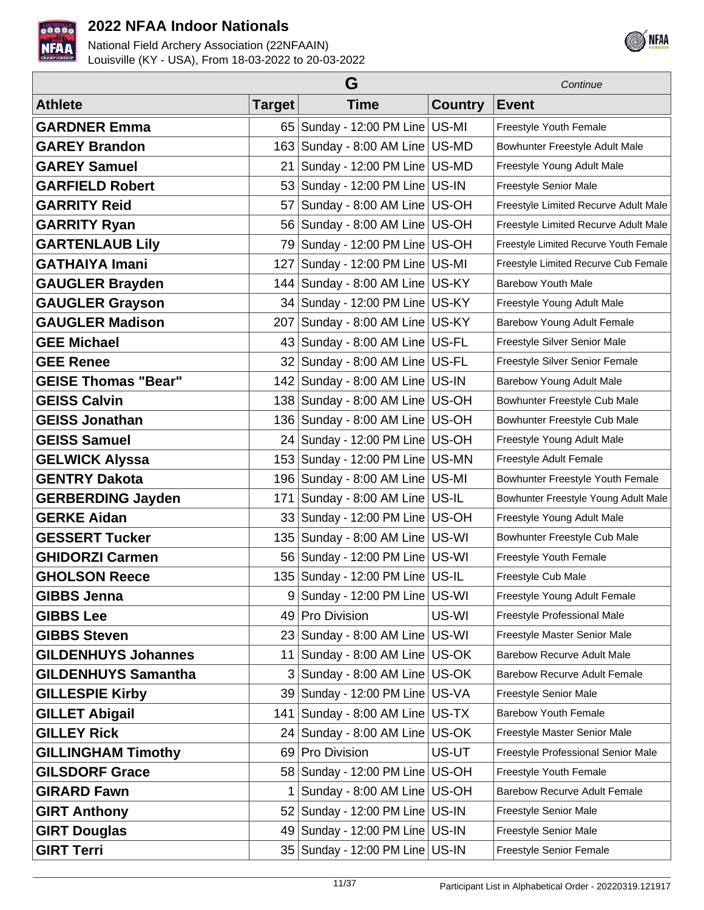



|                            | Continue      |                                      |                |                                        |
|----------------------------|---------------|--------------------------------------|----------------|----------------------------------------|
| <b>Athlete</b>             | <b>Target</b> | <b>Time</b>                          | <b>Country</b> | <b>Event</b>                           |
| <b>GARDNER Emma</b>        |               | 65   Sunday - 12:00 PM Line   US-MI  |                | Freestyle Youth Female                 |
| <b>GAREY Brandon</b>       |               | 163 Sunday - 8:00 AM Line US-MD      |                | Bowhunter Freestyle Adult Male         |
| <b>GAREY Samuel</b>        | 21            | Sunday - 12:00 PM Line US-MD         |                | Freestyle Young Adult Male             |
| <b>GARFIELD Robert</b>     |               | 53 Sunday - 12:00 PM Line US-IN      |                | Freestyle Senior Male                  |
| <b>GARRITY Reid</b>        | 57            | Sunday - 8:00 AM Line US-OH          |                | Freestyle Limited Recurve Adult Male   |
| <b>GARRITY Ryan</b>        |               | 56 Sunday - 8:00 AM Line US-OH       |                | Freestyle Limited Recurve Adult Male   |
| <b>GARTENLAUB Lily</b>     |               | 79 Sunday - 12:00 PM Line   US-OH    |                | Freestyle Limited Recurve Youth Female |
| <b>GATHAIYA Imani</b>      | 127           | Sunday - 12:00 PM Line US-MI         |                | Freestyle Limited Recurve Cub Female   |
| <b>GAUGLER Brayden</b>     | 144           | Sunday - 8:00 AM Line US-KY          |                | <b>Barebow Youth Male</b>              |
| <b>GAUGLER Grayson</b>     |               | 34 Sunday - 12:00 PM Line US-KY      |                | Freestyle Young Adult Male             |
| <b>GAUGLER Madison</b>     | 207           | Sunday - 8:00 AM Line US-KY          |                | Barebow Young Adult Female             |
| <b>GEE Michael</b>         |               | 43 Sunday - 8:00 AM Line US-FL       |                | Freestyle Silver Senior Male           |
| <b>GEE Renee</b>           |               | 32 Sunday - 8:00 AM Line US-FL       |                | Freestyle Silver Senior Female         |
| <b>GEISE Thomas "Bear"</b> |               | 142 Sunday - 8:00 AM Line US-IN      |                | Barebow Young Adult Male               |
| <b>GEISS Calvin</b>        |               | 138 Sunday - 8:00 AM Line US-OH      |                | Bowhunter Freestyle Cub Male           |
| <b>GEISS Jonathan</b>      |               | 136 Sunday - 8:00 AM Line US-OH      |                | Bowhunter Freestyle Cub Male           |
| <b>GEISS Samuel</b>        |               | 24 Sunday - 12:00 PM Line   US-OH    |                | Freestyle Young Adult Male             |
| <b>GELWICK Alyssa</b>      |               | 153 Sunday - 12:00 PM Line US-MN     |                | Freestyle Adult Female                 |
| <b>GENTRY Dakota</b>       |               | 196   Sunday - 8:00 AM Line   US-MI  |                | Bowhunter Freestyle Youth Female       |
| <b>GERBERDING Jayden</b>   | 171           | Sunday - 8:00 AM Line   US-IL        |                | Bowhunter Freestyle Young Adult Male   |
| <b>GERKE Aidan</b>         | 33            | Sunday - 12:00 PM Line US-OH         |                | Freestyle Young Adult Male             |
| <b>GESSERT Tucker</b>      | 135           | Sunday - 8:00 AM Line US-WI          |                | Bowhunter Freestyle Cub Male           |
| <b>GHIDORZI Carmen</b>     |               | 56 Sunday - 12:00 PM Line US-WI      |                | Freestyle Youth Female                 |
| <b>GHOLSON Reece</b>       |               | 135   Sunday - 12:00 PM Line   US-IL |                | Freestyle Cub Male                     |
| <b>GIBBS Jenna</b>         |               | Sunday - 12:00 PM Line US-WI         |                | Freestyle Young Adult Female           |
| <b>GIBBS Lee</b>           | 49            | <b>Pro Division</b>                  | US-WI          | Freestyle Professional Male            |
| <b>GIBBS Steven</b>        | 23            | Sunday - 8:00 AM Line US-WI          |                | Freestyle Master Senior Male           |
| <b>GILDENHUYS Johannes</b> | 11            | Sunday - 8:00 AM Line US-OK          |                | <b>Barebow Recurve Adult Male</b>      |
| <b>GILDENHUYS Samantha</b> |               | Sunday - 8:00 AM Line US-OK          |                | <b>Barebow Recurve Adult Female</b>    |
| <b>GILLESPIE Kirby</b>     |               | 39 Sunday - 12:00 PM Line US-VA      |                | <b>Freestyle Senior Male</b>           |
| <b>GILLET Abigail</b>      | 141           | Sunday - 8:00 AM Line US-TX          |                | <b>Barebow Youth Female</b>            |
| <b>GILLEY Rick</b>         |               | 24   Sunday - 8:00 AM Line   US-OK   |                | Freestyle Master Senior Male           |
| <b>GILLINGHAM Timothy</b>  | 69            | Pro Division                         | US-UT          | Freestyle Professional Senior Male     |
| <b>GILSDORF Grace</b>      |               | 58 Sunday - 12:00 PM Line   US-OH    |                | Freestyle Youth Female                 |
| <b>GIRARD Fawn</b>         |               | Sunday - 8:00 AM Line US-OH          |                | <b>Barebow Recurve Adult Female</b>    |
| <b>GIRT Anthony</b>        |               | 52   Sunday - 12:00 PM Line   US-IN  |                | Freestyle Senior Male                  |
| <b>GIRT Douglas</b>        |               | 49 Sunday - 12:00 PM Line US-IN      |                | Freestyle Senior Male                  |
| <b>GIRT Terri</b>          |               | 35   Sunday - 12:00 PM Line   US-IN  |                | Freestyle Senior Female                |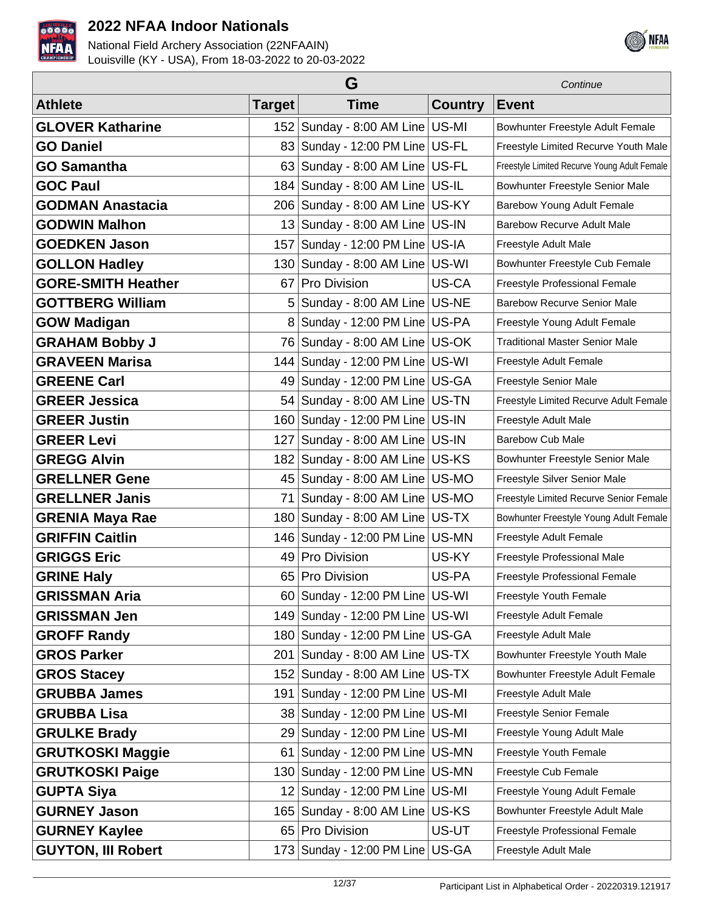



|                           | G             |                                      |                | Continue                                     |
|---------------------------|---------------|--------------------------------------|----------------|----------------------------------------------|
| <b>Athlete</b>            | <b>Target</b> | <b>Time</b>                          | <b>Country</b> | <b>Event</b>                                 |
| <b>GLOVER Katharine</b>   |               | 152 Sunday - 8:00 AM Line US-MI      |                | Bowhunter Freestyle Adult Female             |
| <b>GO Daniel</b>          | 83            | Sunday - 12:00 PM Line   US-FL       |                | Freestyle Limited Recurve Youth Male         |
| <b>GO Samantha</b>        | 63            | Sunday - 8:00 AM Line US-FL          |                | Freestyle Limited Recurve Young Adult Female |
| <b>GOC Paul</b>           | 184           | Sunday - 8:00 AM Line   US-IL        |                | Bowhunter Freestyle Senior Male              |
| <b>GODMAN Anastacia</b>   | 206           | Sunday - 8:00 AM Line US-KY          |                | Barebow Young Adult Female                   |
| <b>GODWIN Malhon</b>      | 13            | Sunday - 8:00 AM Line US-IN          |                | <b>Barebow Recurve Adult Male</b>            |
| <b>GOEDKEN Jason</b>      | 157           | Sunday - 12:00 PM Line   US-IA       |                | Freestyle Adult Male                         |
| <b>GOLLON Hadley</b>      |               | 130 Sunday - 8:00 AM Line US-WI      |                | Bowhunter Freestyle Cub Female               |
| <b>GORE-SMITH Heather</b> | 67            | Pro Division                         | US-CA          | Freestyle Professional Female                |
| <b>GOTTBERG William</b>   | 5             | Sunday - 8:00 AM Line US-NE          |                | <b>Barebow Recurve Senior Male</b>           |
| <b>GOW Madigan</b>        | 8             | Sunday - 12:00 PM Line US-PA         |                | Freestyle Young Adult Female                 |
| <b>GRAHAM Bobby J</b>     | 76            | Sunday - 8:00 AM Line US-OK          |                | <b>Traditional Master Senior Male</b>        |
| <b>GRAVEEN Marisa</b>     | 144           | Sunday - 12:00 PM Line US-WI         |                | Freestyle Adult Female                       |
| <b>GREENE Carl</b>        | 49            | Sunday - 12:00 PM Line   US-GA       |                | Freestyle Senior Male                        |
| <b>GREER Jessica</b>      | 54            | Sunday - 8:00 AM Line   US-TN        |                | Freestyle Limited Recurve Adult Female       |
| <b>GREER Justin</b>       |               | 160 Sunday - 12:00 PM Line US-IN     |                | Freestyle Adult Male                         |
| <b>GREER Levi</b>         | 127           | Sunday - 8:00 AM Line US-IN          |                | <b>Barebow Cub Male</b>                      |
| <b>GREGG Alvin</b>        | 182           | Sunday - 8:00 AM Line   US-KS        |                | Bowhunter Freestyle Senior Male              |
| <b>GRELLNER Gene</b>      | 45            | Sunday - 8:00 AM Line   US-MO        |                | Freestyle Silver Senior Male                 |
| <b>GRELLNER Janis</b>     | 71            | Sunday - 8:00 AM Line US-MO          |                | Freestyle Limited Recurve Senior Female      |
| <b>GRENIA Maya Rae</b>    | 180           | Sunday - 8:00 AM Line   US-TX        |                | Bowhunter Freestyle Young Adult Female       |
| <b>GRIFFIN Caitlin</b>    |               | 146   Sunday - 12:00 PM Line   US-MN |                | Freestyle Adult Female                       |
| <b>GRIGGS Eric</b>        | 49            | Pro Division                         | US-KY          | Freestyle Professional Male                  |
| <b>GRINE Haly</b>         | 65            | <b>Pro Division</b>                  | US-PA          | Freestyle Professional Female                |
| <b>GRISSMAN Aria</b>      |               | 60 Sunday - 12:00 PM Line US-WI      |                | Freestyle Youth Female                       |
| <b>GRISSMAN Jen</b>       |               | 149 Sunday - 12:00 PM Line US-WI     |                | Freestyle Adult Female                       |
| <b>GROFF Randy</b>        |               | 180 Sunday - 12:00 PM Line US-GA     |                | Freestyle Adult Male                         |
| <b>GROS Parker</b>        | 201 l         | Sunday - 8:00 AM Line US-TX          |                | Bowhunter Freestyle Youth Male               |
| <b>GROS Stacey</b>        |               | 152 Sunday - 8:00 AM Line US-TX      |                | Bowhunter Freestyle Adult Female             |
| <b>GRUBBA James</b>       | 191           | Sunday - 12:00 PM Line US-MI         |                | Freestyle Adult Male                         |
| <b>GRUBBA Lisa</b>        |               | 38 Sunday - 12:00 PM Line US-MI      |                | Freestyle Senior Female                      |
| <b>GRULKE Brady</b>       |               | 29 Sunday - 12:00 PM Line US-MI      |                | Freestyle Young Adult Male                   |
| <b>GRUTKOSKI Maggie</b>   | 61            | Sunday - 12:00 PM Line   US-MN       |                | Freestyle Youth Female                       |
| <b>GRUTKOSKI Paige</b>    |               | 130   Sunday - 12:00 PM Line   US-MN |                | Freestyle Cub Female                         |
| <b>GUPTA Siya</b>         |               | 12 Sunday - 12:00 PM Line   US-MI    |                | Freestyle Young Adult Female                 |
| <b>GURNEY Jason</b>       |               | 165   Sunday - 8:00 AM Line   US-KS  |                | Bowhunter Freestyle Adult Male               |
| <b>GURNEY Kaylee</b>      |               | 65 Pro Division                      | US-UT          | Freestyle Professional Female                |
| <b>GUYTON, III Robert</b> |               | 173 Sunday - 12:00 PM Line   US-GA   |                | Freestyle Adult Male                         |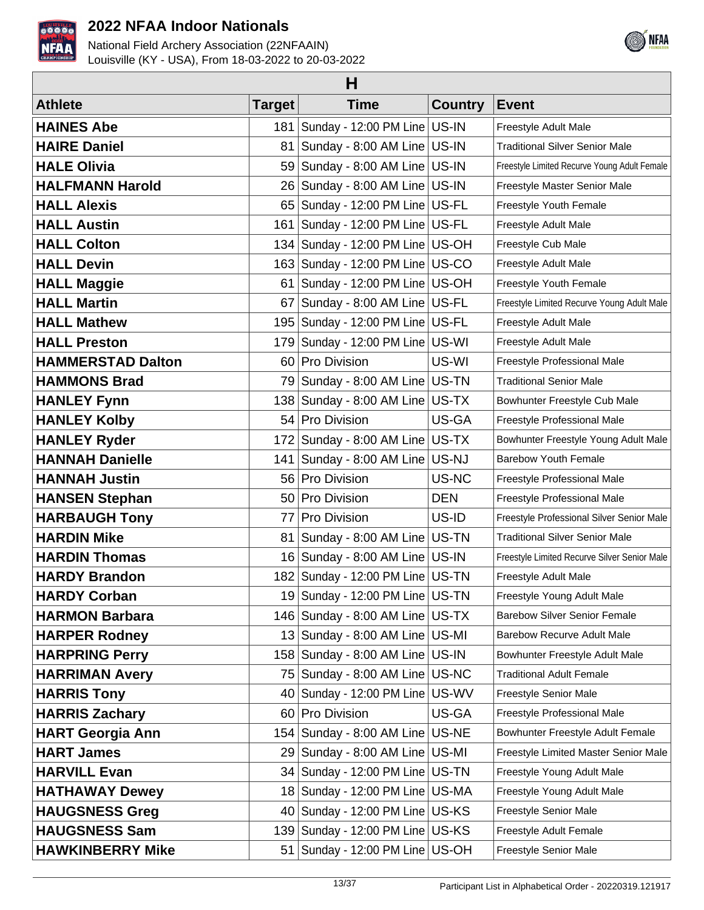



| н                        |                 |                                      |                |                                              |  |
|--------------------------|-----------------|--------------------------------------|----------------|----------------------------------------------|--|
| <b>Athlete</b>           | Target          | <b>Time</b>                          | <b>Country</b> | <b>Event</b>                                 |  |
| <b>HAINES Abe</b>        |                 | 181   Sunday - 12:00 PM Line   US-IN |                | Freestyle Adult Male                         |  |
| <b>HAIRE Daniel</b>      | 81              | Sunday - 8:00 AM Line US-IN          |                | <b>Traditional Silver Senior Male</b>        |  |
| <b>HALE Olivia</b>       |                 | 59 Sunday - 8:00 AM Line   US-IN     |                | Freestyle Limited Recurve Young Adult Female |  |
| <b>HALFMANN Harold</b>   |                 | 26 Sunday - 8:00 AM Line US-IN       |                | Freestyle Master Senior Male                 |  |
| <b>HALL Alexis</b>       |                 | 65 Sunday - 12:00 PM Line US-FL      |                | Freestyle Youth Female                       |  |
| <b>HALL Austin</b>       |                 | 161   Sunday - 12:00 PM Line   US-FL |                | Freestyle Adult Male                         |  |
| <b>HALL Colton</b>       |                 | 134   Sunday - 12:00 PM Line   US-OH |                | Freestyle Cub Male                           |  |
| <b>HALL Devin</b>        |                 | 163 Sunday - 12:00 PM Line US-CO     |                | Freestyle Adult Male                         |  |
| <b>HALL Maggie</b>       | 61              | Sunday - 12:00 PM Line   US-OH       |                | Freestyle Youth Female                       |  |
| <b>HALL Martin</b>       | 67              | Sunday - 8:00 AM Line US-FL          |                | Freestyle Limited Recurve Young Adult Male   |  |
| <b>HALL Mathew</b>       |                 | 195 Sunday - 12:00 PM Line   US-FL   |                | Freestyle Adult Male                         |  |
| <b>HALL Preston</b>      |                 | 179 Sunday - 12:00 PM Line US-WI     |                | Freestyle Adult Male                         |  |
| <b>HAMMERSTAD Dalton</b> |                 | 60 Pro Division                      | US-WI          | Freestyle Professional Male                  |  |
| <b>HAMMONS Brad</b>      |                 | 79 Sunday - 8:00 AM Line US-TN       |                | <b>Traditional Senior Male</b>               |  |
| <b>HANLEY Fynn</b>       |                 | 138 Sunday - 8:00 AM Line US-TX      |                | Bowhunter Freestyle Cub Male                 |  |
| <b>HANLEY Kolby</b>      |                 | 54 Pro Division                      | US-GA          | Freestyle Professional Male                  |  |
| <b>HANLEY Ryder</b>      |                 | 172 Sunday - 8:00 AM Line US-TX      |                | Bowhunter Freestyle Young Adult Male         |  |
| <b>HANNAH Danielle</b>   |                 | 141   Sunday - 8:00 AM Line   US-NJ  |                | <b>Barebow Youth Female</b>                  |  |
| <b>HANNAH Justin</b>     |                 | 56 Pro Division                      | US-NC          | Freestyle Professional Male                  |  |
| <b>HANSEN Stephan</b>    | 50 <sub>1</sub> | <b>Pro Division</b>                  | <b>DEN</b>     | Freestyle Professional Male                  |  |
| <b>HARBAUGH Tony</b>     | 77              | Pro Division                         | US-ID          | Freestyle Professional Silver Senior Male    |  |
| <b>HARDIN Mike</b>       | 81              | Sunday - 8:00 AM Line   US-TN        |                | <b>Traditional Silver Senior Male</b>        |  |
| <b>HARDIN Thomas</b>     |                 | 16 Sunday - 8:00 AM Line US-IN       |                | Freestyle Limited Recurve Silver Senior Male |  |
| <b>HARDY Brandon</b>     |                 | 182 Sunday - 12:00 PM Line US-TN     |                | Freestyle Adult Male                         |  |
| <b>HARDY Corban</b>      |                 | 19 Sunday - 12:00 PM Line US-TN      |                | Freestyle Young Adult Male                   |  |
| <b>HARMON Barbara</b>    |                 | 146   Sunday - 8:00 AM Line   US-TX  |                | <b>Barebow Silver Senior Female</b>          |  |
| <b>HARPER Rodney</b>     |                 | 13 Sunday - 8:00 AM Line   US-MI     |                | <b>Barebow Recurve Adult Male</b>            |  |
| <b>HARPRING Perry</b>    |                 | 158   Sunday - 8:00 AM Line   US-IN  |                | Bowhunter Freestyle Adult Male               |  |
| <b>HARRIMAN Avery</b>    |                 | 75 Sunday - 8:00 AM Line   US-NC     |                | <b>Traditional Adult Female</b>              |  |
| <b>HARRIS Tony</b>       | 40              | Sunday - 12:00 PM Line   US-WV       |                | Freestyle Senior Male                        |  |
| <b>HARRIS Zachary</b>    |                 | 60 Pro Division                      | US-GA          | Freestyle Professional Male                  |  |
| <b>HART Georgia Ann</b>  |                 | 154   Sunday - 8:00 AM Line   US-NE  |                | Bowhunter Freestyle Adult Female             |  |
| <b>HART James</b>        |                 | 29 Sunday - 8:00 AM Line US-MI       |                | Freestyle Limited Master Senior Male         |  |
| <b>HARVILL Evan</b>      |                 | 34   Sunday - 12:00 PM Line   US-TN  |                | Freestyle Young Adult Male                   |  |
| <b>HATHAWAY Dewey</b>    |                 | 18 Sunday - 12:00 PM Line   US-MA    |                | Freestyle Young Adult Male                   |  |
| <b>HAUGSNESS Greg</b>    |                 | 40 Sunday - 12:00 PM Line US-KS      |                | Freestyle Senior Male                        |  |
| <b>HAUGSNESS Sam</b>     | 139             | Sunday - 12:00 PM Line US-KS         |                | Freestyle Adult Female                       |  |
| <b>HAWKINBERRY Mike</b>  |                 | 51   Sunday - 12:00 PM Line   US-OH  |                | Freestyle Senior Male                        |  |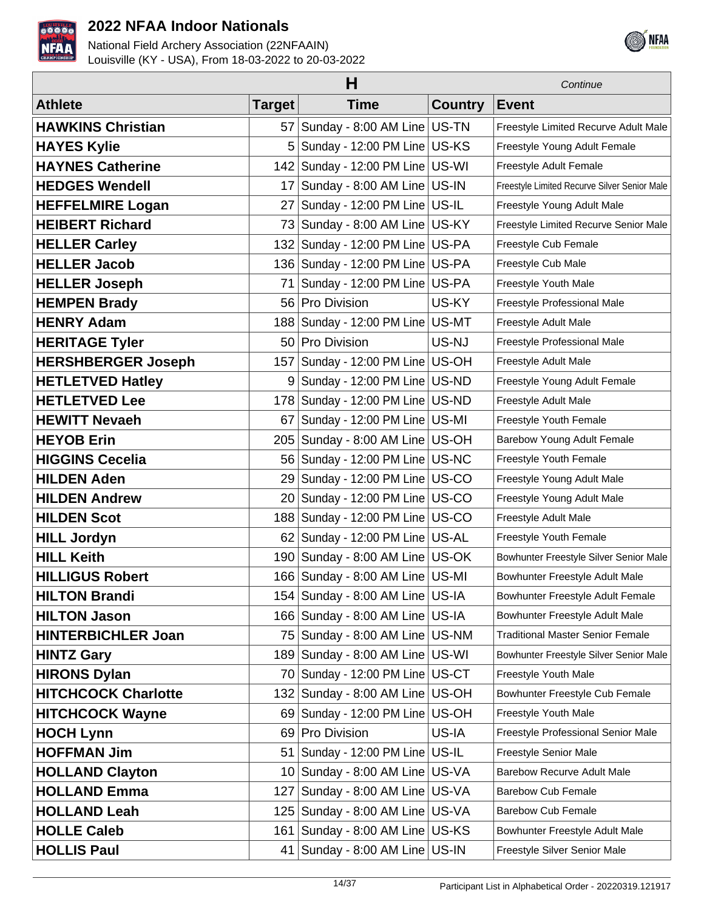



|                            | н               |                                      |                | Continue                                     |
|----------------------------|-----------------|--------------------------------------|----------------|----------------------------------------------|
| <b>Athlete</b>             | <b>Target</b>   | <b>Time</b>                          | <b>Country</b> | <b>Event</b>                                 |
| <b>HAWKINS Christian</b>   | 57              | Sunday - 8:00 AM Line US-TN          |                | Freestyle Limited Recurve Adult Male         |
| <b>HAYES Kylie</b>         | 5               | Sunday - 12:00 PM Line US-KS         |                | Freestyle Young Adult Female                 |
| <b>HAYNES Catherine</b>    |                 | 142   Sunday - 12:00 PM Line   US-WI |                | Freestyle Adult Female                       |
| <b>HEDGES Wendell</b>      | 17 <sup>1</sup> | Sunday - 8:00 AM Line US-IN          |                | Freestyle Limited Recurve Silver Senior Male |
| <b>HEFFELMIRE Logan</b>    | 27              | Sunday - 12:00 PM Line US-IL         |                | Freestyle Young Adult Male                   |
| <b>HEIBERT Richard</b>     | 73              | Sunday - 8:00 AM Line US-KY          |                | Freestyle Limited Recurve Senior Male        |
| <b>HELLER Carley</b>       |                 | 132 Sunday - 12:00 PM Line US-PA     |                | Freestyle Cub Female                         |
| <b>HELLER Jacob</b>        |                 | 136   Sunday - 12:00 PM Line   US-PA |                | Freestyle Cub Male                           |
| <b>HELLER Joseph</b>       | 71              | Sunday - 12:00 PM Line   US-PA       |                | Freestyle Youth Male                         |
| <b>HEMPEN Brady</b>        |                 | 56 Pro Division                      | US-KY          | Freestyle Professional Male                  |
| <b>HENRY Adam</b>          |                 | 188   Sunday - 12:00 PM Line   US-MT |                | Freestyle Adult Male                         |
| <b>HERITAGE Tyler</b>      | 50 <sub>1</sub> | <b>Pro Division</b>                  | US-NJ          | Freestyle Professional Male                  |
| <b>HERSHBERGER Joseph</b>  | 157             | Sunday - 12:00 PM Line US-OH         |                | Freestyle Adult Male                         |
| <b>HETLETVED Hatley</b>    | 9               | Sunday - 12:00 PM Line   US-ND       |                | Freestyle Young Adult Female                 |
| <b>HETLETVED Lee</b>       |                 | 178 Sunday - 12:00 PM Line US-ND     |                | Freestyle Adult Male                         |
| <b>HEWITT Nevaeh</b>       | 67              | Sunday - 12:00 PM Line   US-MI       |                | Freestyle Youth Female                       |
| <b>HEYOB Erin</b>          | 205             | Sunday - 8:00 AM Line   US-OH        |                | Barebow Young Adult Female                   |
| <b>HIGGINS Cecelia</b>     | 56              | Sunday - 12:00 PM Line   US-NC       |                | Freestyle Youth Female                       |
| <b>HILDEN Aden</b>         | 29              | Sunday - 12:00 PM Line   US-CO       |                | Freestyle Young Adult Male                   |
| <b>HILDEN Andrew</b>       | 20 <sub>1</sub> | Sunday - 12:00 PM Line US-CO         |                | Freestyle Young Adult Male                   |
| <b>HILDEN Scot</b>         |                 | 188   Sunday - 12:00 PM Line   US-CO |                | Freestyle Adult Male                         |
| <b>HILL Jordyn</b>         |                 | 62   Sunday - 12:00 PM Line   US-AL  |                | Freestyle Youth Female                       |
| <b>HILL Keith</b>          |                 | 190 Sunday - 8:00 AM Line US-OK      |                | Bowhunter Freestyle Silver Senior Male       |
| <b>HILLIGUS Robert</b>     |                 | 166 Sunday - 8:00 AM Line US-MI      |                | Bowhunter Freestyle Adult Male               |
| <b>HILTON Brandi</b>       |                 | 154   Sunday - 8:00 AM Line   US-IA  |                | Bowhunter Freestyle Adult Female             |
| <b>HILTON Jason</b>        |                 | 166 Sunday - 8:00 AM Line US-IA      |                | Bowhunter Freestyle Adult Male               |
| <b>HINTERBICHLER Joan</b>  |                 | 75 Sunday - 8:00 AM Line US-NM       |                | <b>Traditional Master Senior Female</b>      |
| <b>HINTZ Gary</b>          |                 | 189 Sunday - 8:00 AM Line US-WI      |                | Bowhunter Freestyle Silver Senior Male       |
| <b>HIRONS Dylan</b>        |                 | 70 Sunday - 12:00 PM Line   US-CT    |                | Freestyle Youth Male                         |
| <b>HITCHCOCK Charlotte</b> |                 | 132 Sunday - 8:00 AM Line US-OH      |                | Bowhunter Freestyle Cub Female               |
| <b>HITCHCOCK Wayne</b>     |                 | 69 Sunday - 12:00 PM Line US-OH      |                | Freestyle Youth Male                         |
| <b>HOCH Lynn</b>           |                 | 69 Pro Division                      | US-IA          | Freestyle Professional Senior Male           |
| <b>HOFFMAN Jim</b>         | 51              | Sunday - 12:00 PM Line   US-IL       |                | <b>Freestyle Senior Male</b>                 |
| <b>HOLLAND Clayton</b>     |                 | 10 Sunday - 8:00 AM Line US-VA       |                | <b>Barebow Recurve Adult Male</b>            |
| <b>HOLLAND Emma</b>        | 127             | Sunday - 8:00 AM Line US-VA          |                | <b>Barebow Cub Female</b>                    |
| <b>HOLLAND Leah</b>        |                 | 125   Sunday - 8:00 AM Line   US-VA  |                | <b>Barebow Cub Female</b>                    |
| <b>HOLLE Caleb</b>         | 161             | Sunday - 8:00 AM Line US-KS          |                | Bowhunter Freestyle Adult Male               |
| <b>HOLLIS Paul</b>         |                 | 41   Sunday - 8:00 AM Line   US-IN   |                | Freestyle Silver Senior Male                 |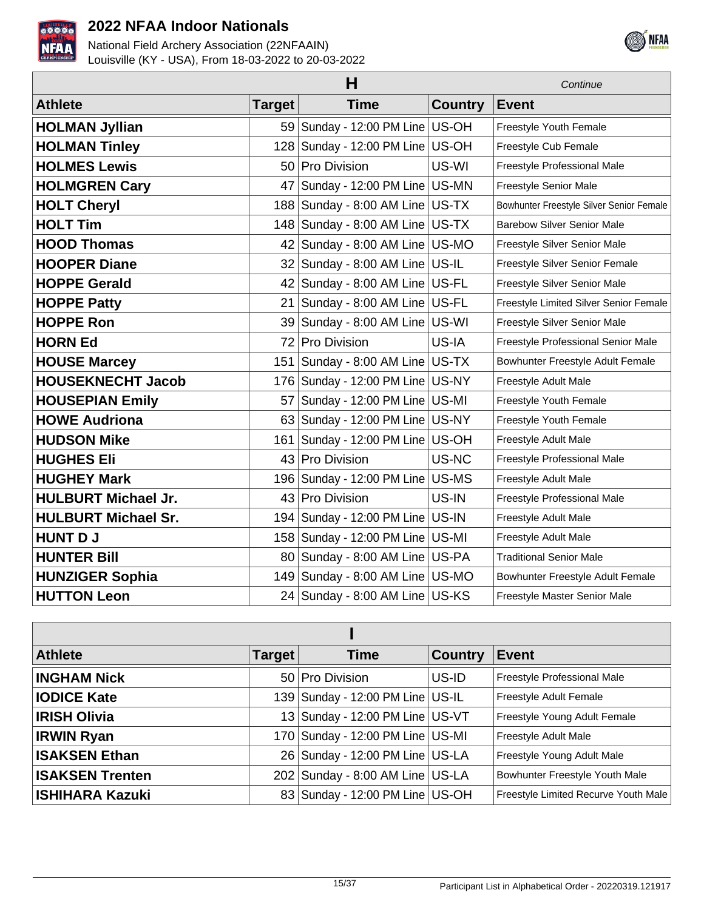



|                            | Continue |                                      |                |                                          |
|----------------------------|----------|--------------------------------------|----------------|------------------------------------------|
| <b>Athlete</b>             | Target   | <b>Time</b>                          | <b>Country</b> | <b>Event</b>                             |
| <b>HOLMAN Jyllian</b>      |          | 59   Sunday - 12:00 PM Line   US-OH  |                | Freestyle Youth Female                   |
| <b>HOLMAN Tinley</b>       |          | 128 Sunday - 12:00 PM Line US-OH     |                | Freestyle Cub Female                     |
| <b>HOLMES Lewis</b>        | 50       | Pro Division                         | US-WI          | Freestyle Professional Male              |
| <b>HOLMGREN Cary</b>       | 47       | Sunday - 12:00 PM Line   US-MN       |                | Freestyle Senior Male                    |
| <b>HOLT Cheryl</b>         |          | 188   Sunday - 8:00 AM Line   US-TX  |                | Bowhunter Freestyle Silver Senior Female |
| <b>HOLT Tim</b>            |          | 148 Sunday - 8:00 AM Line US-TX      |                | <b>Barebow Silver Senior Male</b>        |
| <b>HOOD Thomas</b>         |          | 42 Sunday - 8:00 AM Line US-MO       |                | Freestyle Silver Senior Male             |
| <b>HOOPER Diane</b>        |          | $32$ Sunday - 8:00 AM Line US-IL     |                | Freestyle Silver Senior Female           |
| <b>HOPPE Gerald</b>        |          | 42 Sunday - 8:00 AM Line US-FL       |                | Freestyle Silver Senior Male             |
| <b>HOPPE Patty</b>         | 21       | Sunday - 8:00 AM Line US-FL          |                | Freestyle Limited Silver Senior Female   |
| <b>HOPPE Ron</b>           | 39       | Sunday - 8:00 AM Line US-WI          |                | Freestyle Silver Senior Male             |
| <b>HORN Ed</b>             | 72       | <b>Pro Division</b>                  | US-IA          | Freestyle Professional Senior Male       |
| <b>HOUSE Marcey</b>        |          | 151   Sunday - 8:00 AM Line   US-TX  |                | Bowhunter Freestyle Adult Female         |
| <b>HOUSEKNECHT Jacob</b>   |          | 176   Sunday - 12:00 PM Line   US-NY |                | Freestyle Adult Male                     |
| <b>HOUSEPIAN Emily</b>     | 57       | Sunday - 12:00 PM Line   US-MI       |                | Freestyle Youth Female                   |
| <b>HOWE Audriona</b>       | 63       | Sunday - 12:00 PM Line   US-NY       |                | Freestyle Youth Female                   |
| <b>HUDSON Mike</b>         | 161      | Sunday - 12:00 PM Line US-OH         |                | Freestyle Adult Male                     |
| <b>HUGHES Eli</b>          | 43       | <b>Pro Division</b>                  | US-NC          | Freestyle Professional Male              |
| <b>HUGHEY Mark</b>         |          | 196   Sunday - 12:00 PM Line   US-MS |                | Freestyle Adult Male                     |
| <b>HULBURT Michael Jr.</b> | 43       | Pro Division                         | US-IN          | Freestyle Professional Male              |
| <b>HULBURT Michael Sr.</b> |          | 194   Sunday - 12:00 PM Line   US-IN |                | Freestyle Adult Male                     |
| <b>HUNT DJ</b>             |          | 158 Sunday - 12:00 PM Line US-MI     |                | Freestyle Adult Male                     |
| <b>HUNTER Bill</b>         |          | 80 Sunday - 8:00 AM Line US-PA       |                | <b>Traditional Senior Male</b>           |
| <b>HUNZIGER Sophia</b>     |          | 149 Sunday - 8:00 AM Line US-MO      |                | Bowhunter Freestyle Adult Female         |
| <b>HUTTON Leon</b>         |          | 24 Sunday - 8:00 AM Line US-KS       |                | Freestyle Master Senior Male             |

| <b>Athlete</b>         | Target | <b>Time</b>                      | <b>Country</b> | <b>Event</b>                         |  |
|------------------------|--------|----------------------------------|----------------|--------------------------------------|--|
| <b>INGHAM Nick</b>     |        | 50 Pro Division                  | US-ID          | Freestyle Professional Male          |  |
| <b>IODICE Kate</b>     |        | 139 Sunday - 12:00 PM Line US-IL |                | Freestyle Adult Female               |  |
| <b>IRISH Olivia</b>    |        | 13 Sunday - 12:00 PM Line US-VT  |                | Freestyle Young Adult Female         |  |
| <b>IRWIN Ryan</b>      |        | 170 Sunday - 12:00 PM Line US-MI |                | Freestyle Adult Male                 |  |
| <b>ISAKSEN Ethan</b>   |        | 26 Sunday - 12:00 PM Line US-LA  |                | Freestyle Young Adult Male           |  |
| <b>ISAKSEN Trenten</b> |        | 202 Sunday - 8:00 AM Line US-LA  |                | Bowhunter Freestyle Youth Male       |  |
| ISHIHARA Kazuki        |        | 83 Sunday - 12:00 PM Line US-OH  |                | Freestyle Limited Recurve Youth Male |  |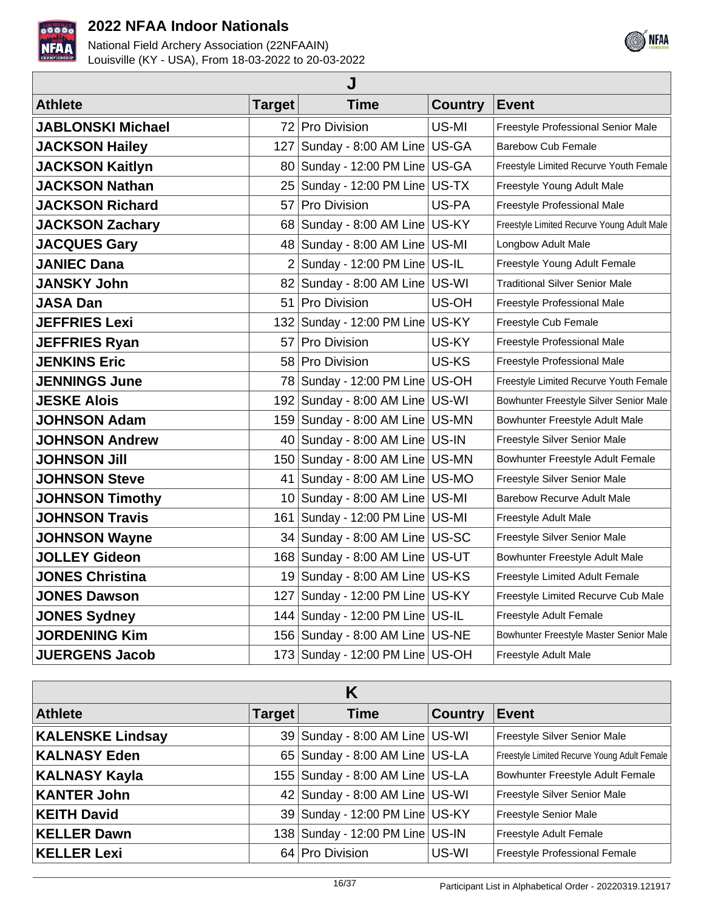



| J                        |                 |                                     |                |                                            |  |  |
|--------------------------|-----------------|-------------------------------------|----------------|--------------------------------------------|--|--|
| <b>Athlete</b>           | <b>Target</b>   | <b>Time</b>                         | <b>Country</b> | Event                                      |  |  |
| <b>JABLONSKI Michael</b> |                 | 72 Pro Division                     | US-MI          | Freestyle Professional Senior Male         |  |  |
| <b>JACKSON Hailey</b>    | 127             | Sunday - 8:00 AM Line   US-GA       |                | <b>Barebow Cub Female</b>                  |  |  |
| <b>JACKSON Kaitlyn</b>   | 80 I            | Sunday - 12:00 PM Line   US-GA      |                | Freestyle Limited Recurve Youth Female     |  |  |
| <b>JACKSON Nathan</b>    | 25              | Sunday - 12:00 PM Line   US-TX      |                | Freestyle Young Adult Male                 |  |  |
| <b>JACKSON Richard</b>   | 57              | Pro Division                        | US-PA          | Freestyle Professional Male                |  |  |
| <b>JACKSON Zachary</b>   | 68              | Sunday - 8:00 AM Line US-KY         |                | Freestyle Limited Recurve Young Adult Male |  |  |
| <b>JACQUES Gary</b>      | 48 I            | Sunday - 8:00 AM Line US-MI         |                | Longbow Adult Male                         |  |  |
| <b>JANIEC Dana</b>       | $\overline{2}$  | Sunday - 12:00 PM Line   US-IL      |                | Freestyle Young Adult Female               |  |  |
| <b>JANSKY John</b>       | 82              | Sunday - 8:00 AM Line US-WI         |                | <b>Traditional Silver Senior Male</b>      |  |  |
| <b>JASA Dan</b>          | 51              | Pro Division                        | US-OH          | Freestyle Professional Male                |  |  |
| <b>JEFFRIES Lexi</b>     | 132             | Sunday - 12:00 PM Line   US-KY      |                | Freestyle Cub Female                       |  |  |
| <b>JEFFRIES Ryan</b>     | 57              | Pro Division                        | US-KY          | Freestyle Professional Male                |  |  |
| <b>JENKINS Eric</b>      | 58.             | <b>Pro Division</b>                 | US-KS          | Freestyle Professional Male                |  |  |
| <b>JENNINGS June</b>     | 78              | Sunday - 12:00 PM Line   US-OH      |                | Freestyle Limited Recurve Youth Female     |  |  |
| <b>JESKE Alois</b>       | 1921            | Sunday - 8:00 AM Line   US-WI       |                | Bowhunter Freestyle Silver Senior Male     |  |  |
| <b>JOHNSON Adam</b>      | 159             | Sunday - 8:00 AM Line US-MN         |                | Bowhunter Freestyle Adult Male             |  |  |
| <b>JOHNSON Andrew</b>    | 40.             | Sunday - 8:00 AM Line US-IN         |                | Freestyle Silver Senior Male               |  |  |
| <b>JOHNSON Jill</b>      | 150             | Sunday - 8:00 AM Line US-MN         |                | Bowhunter Freestyle Adult Female           |  |  |
| <b>JOHNSON Steve</b>     | 41              | Sunday - 8:00 AM Line US-MO         |                | Freestyle Silver Senior Male               |  |  |
| <b>JOHNSON Timothy</b>   | 10 <sup>1</sup> | Sunday - 8:00 AM Line US-MI         |                | <b>Barebow Recurve Adult Male</b>          |  |  |
| <b>JOHNSON Travis</b>    | 161.            | Sunday - 12:00 PM Line   US-MI      |                | Freestyle Adult Male                       |  |  |
| <b>JOHNSON Wayne</b>     | 34              | Sunday - 8:00 AM Line US-SC         |                | Freestyle Silver Senior Male               |  |  |
| <b>JOLLEY Gideon</b>     | 168             | Sunday - 8:00 AM Line   US-UT       |                | Bowhunter Freestyle Adult Male             |  |  |
| <b>JONES Christina</b>   | 19              | Sunday - 8:00 AM Line   US-KS       |                | Freestyle Limited Adult Female             |  |  |
| <b>JONES Dawson</b>      | 127             | Sunday - 12:00 PM Line   US-KY      |                | Freestyle Limited Recurve Cub Male         |  |  |
| <b>JONES Sydney</b>      | 144             | Sunday - 12:00 PM Line US-IL        |                | Freestyle Adult Female                     |  |  |
| <b>JORDENING Kim</b>     |                 | 156   Sunday - 8:00 AM Line   US-NE |                | Bowhunter Freestyle Master Senior Male     |  |  |
| <b>JUERGENS Jacob</b>    |                 | 173 Sunday - 12:00 PM Line US-OH    |                | Freestyle Adult Male                       |  |  |

| K                       |               |                                      |                |                                              |
|-------------------------|---------------|--------------------------------------|----------------|----------------------------------------------|
| <b>Athlete</b>          | <b>Target</b> | <b>Time</b>                          | <b>Country</b> | <b>Event</b>                                 |
| <b>KALENSKE Lindsay</b> |               | 39 Sunday - 8:00 AM Line US-WI       |                | Freestyle Silver Senior Male                 |
| <b>KALNASY Eden</b>     |               | 65 Sunday - 8:00 AM Line US-LA       |                | Freestyle Limited Recurve Young Adult Female |
| <b>KALNASY Kayla</b>    |               | 155   Sunday - 8:00 AM Line   US-LA  |                | Bowhunter Freestyle Adult Female             |
| <b>KANTER John</b>      |               | 42 Sunday - 8:00 AM Line US-WI       |                | Freestyle Silver Senior Male                 |
| <b>KEITH David</b>      |               | 39 Sunday - 12:00 PM Line US-KY      |                | <b>Freestyle Senior Male</b>                 |
| <b>KELLER Dawn</b>      |               | 138   Sunday - 12:00 PM Line   US-IN |                | Freestyle Adult Female                       |
| <b>KELLER Lexi</b>      |               | 64 Pro Division                      | US-WI          | Freestyle Professional Female                |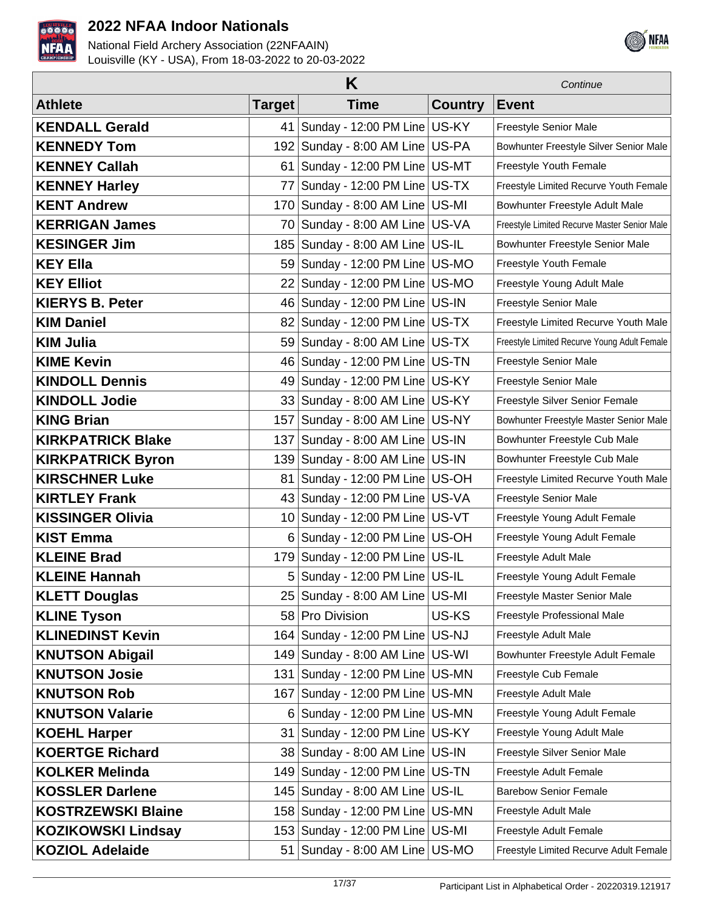



|                           |                | Κ                                                  |                | Continue                                     |
|---------------------------|----------------|----------------------------------------------------|----------------|----------------------------------------------|
| <b>Athlete</b>            | Target         | <b>Time</b>                                        | <b>Country</b> | <b>Event</b>                                 |
| <b>KENDALL Gerald</b>     | 41             | Sunday - 12:00 PM Line US-KY                       |                | Freestyle Senior Male                        |
| <b>KENNEDY Tom</b>        | 192            | Sunday - 8:00 AM Line US-PA                        |                | Bowhunter Freestyle Silver Senior Male       |
| <b>KENNEY Callah</b>      | 61             | Sunday - 12:00 PM Line   US-MT                     |                | Freestyle Youth Female                       |
| <b>KENNEY Harley</b>      | 77             | Sunday - 12:00 PM Line   US-TX                     |                | Freestyle Limited Recurve Youth Female       |
| <b>KENT Andrew</b>        |                | 170 Sunday - 8:00 AM Line US-MI                    |                | Bowhunter Freestyle Adult Male               |
| <b>KERRIGAN James</b>     | 70             | Sunday - 8:00 AM Line US-VA                        |                | Freestyle Limited Recurve Master Senior Male |
| <b>KESINGER Jim</b>       | 185            | Sunday - 8:00 AM Line US-IL                        |                | Bowhunter Freestyle Senior Male              |
| <b>KEY Ella</b>           | 59             | Sunday - 12:00 PM Line US-MO                       |                | Freestyle Youth Female                       |
| <b>KEY Elliot</b>         | 22             | Sunday - 12:00 PM Line US-MO                       |                | Freestyle Young Adult Male                   |
| <b>KIERYS B. Peter</b>    |                | 46 Sunday - 12:00 PM Line US-IN                    |                | Freestyle Senior Male                        |
| <b>KIM Daniel</b>         | 821            | Sunday - 12:00 PM Line US-TX                       |                | Freestyle Limited Recurve Youth Male         |
| <b>KIM Julia</b>          |                | 59 Sunday - 8:00 AM Line US-TX                     |                | Freestyle Limited Recurve Young Adult Female |
| <b>KIME Kevin</b>         | 46             | Sunday - 12:00 PM Line   US-TN                     |                | Freestyle Senior Male                        |
| <b>KINDOLL Dennis</b>     | 49             | Sunday - 12:00 PM Line US-KY                       |                | Freestyle Senior Male                        |
| <b>KINDOLL Jodie</b>      | 33             | Sunday - 8:00 AM Line US-KY                        |                | Freestyle Silver Senior Female               |
| <b>KING Brian</b>         | 157            | Sunday - 8:00 AM Line   US-NY                      |                | Bowhunter Freestyle Master Senior Male       |
| <b>KIRKPATRICK Blake</b>  | 137            | Sunday - 8:00 AM Line US-IN                        |                | Bowhunter Freestyle Cub Male                 |
| <b>KIRKPATRICK Byron</b>  |                | 139 Sunday - 8:00 AM Line US-IN                    |                | Bowhunter Freestyle Cub Male                 |
| <b>KIRSCHNER Luke</b>     | 81             | Sunday - 12:00 PM Line   US-OH                     |                | Freestyle Limited Recurve Youth Male         |
| <b>KIRTLEY Frank</b>      |                | 43 Sunday - 12:00 PM Line US-VA                    |                | Freestyle Senior Male                        |
| <b>KISSINGER Olivia</b>   | 10             | Sunday - 12:00 PM Line   US-VT                     |                | Freestyle Young Adult Female                 |
| <b>KIST Emma</b>          |                | 6 Sunday - 12:00 PM Line $\overline{US}\text{-}OH$ |                | Freestyle Young Adult Female                 |
| <b>KLEINE Brad</b>        |                | 179 Sunday - 12:00 PM Line US-IL                   |                | Freestyle Adult Male                         |
| <b>KLEINE Hannah</b>      | 5 <sup>1</sup> | Sunday - 12:00 PM Line   US-IL                     |                | Freestyle Young Adult Female                 |
| <b>KLETT Douglas</b>      |                | 25   Sunday - 8:00 AM Line   US-MI                 |                | Freestyle Master Senior Male                 |
| <b>KLINE Tyson</b>        |                | 58 Pro Division                                    | US-KS          | Freestyle Professional Male                  |
| <b>KLINEDINST Kevin</b>   |                | 164   Sunday - 12:00 PM Line                       | US-NJ          | Freestyle Adult Male                         |
| <b>KNUTSON Abigail</b>    |                | 149 Sunday - 8:00 AM Line US-WI                    |                | Bowhunter Freestyle Adult Female             |
| <b>KNUTSON Josie</b>      |                | 131   Sunday - 12:00 PM Line   US-MN               |                | Freestyle Cub Female                         |
| <b>KNUTSON Rob</b>        |                | 167   Sunday - 12:00 PM Line   US-MN               |                | Freestyle Adult Male                         |
| <b>KNUTSON Valarie</b>    |                | 6 Sunday - 12:00 PM Line US-MN                     |                | Freestyle Young Adult Female                 |
| <b>KOEHL Harper</b>       | 31             | Sunday - 12:00 PM Line US-KY                       |                | Freestyle Young Adult Male                   |
| <b>KOERTGE Richard</b>    |                | 38 Sunday - 8:00 AM Line US-IN                     |                | Freestyle Silver Senior Male                 |
| <b>KOLKER Melinda</b>     |                | 149 Sunday - 12:00 PM Line   US-TN                 |                | Freestyle Adult Female                       |
| <b>KOSSLER Darlene</b>    |                | 145   Sunday - 8:00 AM Line   US-IL                |                | <b>Barebow Senior Female</b>                 |
| <b>KOSTRZEWSKI Blaine</b> |                | 158   Sunday - 12:00 PM Line   US-MN               |                | Freestyle Adult Male                         |
| <b>KOZIKOWSKI Lindsay</b> |                | 153   Sunday - 12:00 PM Line   US-MI               |                | Freestyle Adult Female                       |
| <b>KOZIOL Adelaide</b>    | 51             | Sunday - 8:00 AM Line US-MO                        |                | Freestyle Limited Recurve Adult Female       |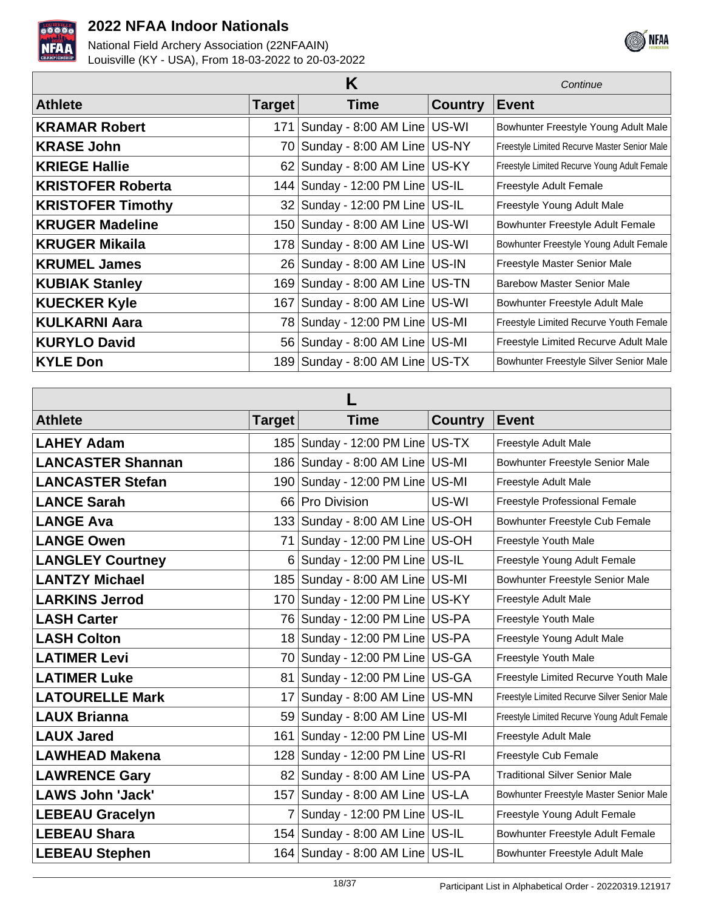



|                          | Continue      |                                      |                |                                              |
|--------------------------|---------------|--------------------------------------|----------------|----------------------------------------------|
| <b>Athlete</b>           | <b>Target</b> | Time                                 | <b>Country</b> | <b>Event</b>                                 |
| <b>KRAMAR Robert</b>     | 171           | Sunday - 8:00 AM Line US-WI          |                | Bowhunter Freestyle Young Adult Male         |
| <b>KRASE John</b>        |               | 70 Sunday - 8:00 AM Line US-NY       |                | Freestyle Limited Recurve Master Senior Male |
| <b>KRIEGE Hallie</b>     |               | 62 Sunday - 8:00 AM Line US-KY       |                | Freestyle Limited Recurve Young Adult Female |
| <b>KRISTOFER Roberta</b> |               | 144   Sunday - 12:00 PM Line   US-IL |                | Freestyle Adult Female                       |
| <b>KRISTOFER Timothy</b> |               | 32 Sunday - 12:00 PM Line US-IL      |                | Freestyle Young Adult Male                   |
| <b>KRUGER Madeline</b>   |               | 150 Sunday - 8:00 AM Line US-WI      |                | Bowhunter Freestyle Adult Female             |
| <b>KRUGER Mikaila</b>    |               | 178 Sunday - 8:00 AM Line US-WI      |                | Bowhunter Freestyle Young Adult Female       |
| <b>KRUMEL James</b>      |               | 26 Sunday - 8:00 AM Line US-IN       |                | Freestyle Master Senior Male                 |
| <b>KUBIAK Stanley</b>    |               | 169 Sunday - 8:00 AM Line US-TN      |                | <b>Barebow Master Senior Male</b>            |
| <b>KUECKER Kyle</b>      |               | 167   Sunday - 8:00 AM Line   US-WI  |                | Bowhunter Freestyle Adult Male               |
| <b>KULKARNI Aara</b>     |               | 78 Sunday - 12:00 PM Line US-MI      |                | Freestyle Limited Recurve Youth Female       |
| <b>KURYLO David</b>      |               | 56 Sunday - 8:00 AM Line US-MI       |                | Freestyle Limited Recurve Adult Male         |
| <b>KYLE Don</b>          |               | 189 Sunday - 8:00 AM Line US-TX      |                | Bowhunter Freestyle Silver Senior Male       |

| <b>Athlete</b>           | <b>Target</b>  | <b>Time</b>                          | <b>Country</b> | <b>Event</b>                                 |  |
|--------------------------|----------------|--------------------------------------|----------------|----------------------------------------------|--|
| <b>LAHEY Adam</b>        |                | 185   Sunday - 12:00 PM Line   US-TX |                | Freestyle Adult Male                         |  |
| <b>LANCASTER Shannan</b> |                | 186 Sunday - 8:00 AM Line US-MI      |                | Bowhunter Freestyle Senior Male              |  |
| <b>LANCASTER Stefan</b>  |                | 190 Sunday - 12:00 PM Line US-MI     |                | Freestyle Adult Male                         |  |
| <b>LANCE Sarah</b>       |                | 66 Pro Division                      | US-WI          | Freestyle Professional Female                |  |
| <b>LANGE Ava</b>         |                | 133 Sunday - 8:00 AM Line US-OH      |                | Bowhunter Freestyle Cub Female               |  |
| <b>LANGE Owen</b>        | 71             | Sunday - 12:00 PM Line   US-OH       |                | Freestyle Youth Male                         |  |
| <b>LANGLEY Courtney</b>  |                | 6 Sunday - 12:00 PM Line US-IL       |                | Freestyle Young Adult Female                 |  |
| <b>LANTZY Michael</b>    |                | 185   Sunday - 8:00 AM Line   US-MI  |                | Bowhunter Freestyle Senior Male              |  |
| <b>LARKINS Jerrod</b>    |                | 170 Sunday - 12:00 PM Line US-KY     |                | Freestyle Adult Male                         |  |
| <b>LASH Carter</b>       |                | 76 Sunday - 12:00 PM Line US-PA      |                | Freestyle Youth Male                         |  |
| <b>LASH Colton</b>       |                | 18 Sunday - 12:00 PM Line US-PA      |                | Freestyle Young Adult Male                   |  |
| <b>LATIMER Levi</b>      |                | 70 Sunday - 12:00 PM Line US-GA      |                | Freestyle Youth Male                         |  |
| <b>LATIMER Luke</b>      |                | 81 Sunday - 12:00 PM Line US-GA      |                | Freestyle Limited Recurve Youth Male         |  |
| <b>LATOURELLE Mark</b>   |                | 17 Sunday - 8:00 AM Line US-MN       |                | Freestyle Limited Recurve Silver Senior Male |  |
| <b>LAUX Brianna</b>      |                | 59   Sunday - 8:00 AM Line   US-MI   |                | Freestyle Limited Recurve Young Adult Female |  |
| <b>LAUX Jared</b>        | 161            | Sunday - 12:00 PM Line US-MI         |                | Freestyle Adult Male                         |  |
| <b>LAWHEAD Makena</b>    |                | 128 Sunday - 12:00 PM Line US-RI     |                | Freestyle Cub Female                         |  |
| <b>LAWRENCE Gary</b>     |                | 82 Sunday - 8:00 AM Line US-PA       |                | <b>Traditional Silver Senior Male</b>        |  |
| <b>LAWS John 'Jack'</b>  |                | 157 Sunday - 8:00 AM Line US-LA      |                | Bowhunter Freestyle Master Senior Male       |  |
| <b>LEBEAU Gracelyn</b>   | $\overline{7}$ | Sunday - 12:00 PM Line   US-IL       |                | Freestyle Young Adult Female                 |  |
| <b>LEBEAU Shara</b>      |                | 154 Sunday - 8:00 AM Line US-IL      |                | Bowhunter Freestyle Adult Female             |  |
| <b>LEBEAU Stephen</b>    |                | 164 Sunday - 8:00 AM Line US-IL      |                | Bowhunter Freestyle Adult Male               |  |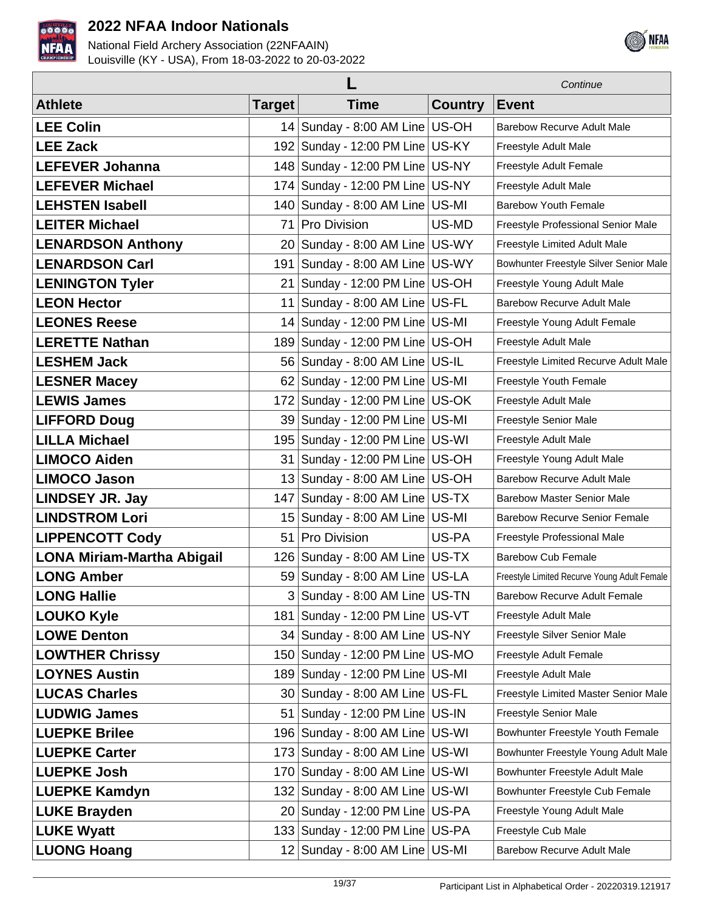



|                                   |               |                                      | Continue       |                                              |
|-----------------------------------|---------------|--------------------------------------|----------------|----------------------------------------------|
| <b>Athlete</b>                    | <b>Target</b> | <b>Time</b>                          | <b>Country</b> | <b>Event</b>                                 |
| <b>LEE Colin</b>                  |               | 14 Sunday - 8:00 AM Line US-OH       |                | <b>Barebow Recurve Adult Male</b>            |
| <b>LEE Zack</b>                   |               | 192 Sunday - 12:00 PM Line US-KY     |                | Freestyle Adult Male                         |
| <b>LEFEVER Johanna</b>            |               | 148 Sunday - 12:00 PM Line US-NY     |                | Freestyle Adult Female                       |
| <b>LEFEVER Michael</b>            |               | 174 Sunday - 12:00 PM Line US-NY     |                | Freestyle Adult Male                         |
| <b>LEHSTEN Isabell</b>            |               | 140 Sunday - 8:00 AM Line US-MI      |                | <b>Barebow Youth Female</b>                  |
| <b>LEITER Michael</b>             | 71            | Pro Division                         | US-MD          | Freestyle Professional Senior Male           |
| <b>LENARDSON Anthony</b>          |               | 20 Sunday - 8:00 AM Line US-WY       |                | Freestyle Limited Adult Male                 |
| <b>LENARDSON Carl</b>             |               | 191   Sunday - 8:00 AM Line   US-WY  |                | Bowhunter Freestyle Silver Senior Male       |
| <b>LENINGTON Tyler</b>            | 21            | Sunday - 12:00 PM Line US-OH         |                | Freestyle Young Adult Male                   |
| <b>LEON Hector</b>                |               | 11   Sunday - 8:00 AM Line   US-FL   |                | <b>Barebow Recurve Adult Male</b>            |
| <b>LEONES Reese</b>               |               | 14 Sunday - 12:00 PM Line   US-MI    |                | Freestyle Young Adult Female                 |
| <b>LERETTE Nathan</b>             |               | 189   Sunday - 12:00 PM Line   US-OH |                | Freestyle Adult Male                         |
| <b>LESHEM Jack</b>                |               | 56 Sunday - 8:00 AM Line US-IL       |                | Freestyle Limited Recurve Adult Male         |
| <b>LESNER Macey</b>               |               | 62 Sunday - 12:00 PM Line US-MI      |                | Freestyle Youth Female                       |
| <b>LEWIS James</b>                | 172           | Sunday - 12:00 PM Line US-OK         |                | Freestyle Adult Male                         |
| <b>LIFFORD Doug</b>               |               | 39 Sunday - 12:00 PM Line   US-MI    |                | Freestyle Senior Male                        |
| <b>LILLA Michael</b>              |               | 195   Sunday - 12:00 PM Line   US-WI |                | Freestyle Adult Male                         |
| <b>LIMOCO Aiden</b>               | 31            | Sunday - 12:00 PM Line US-OH         |                | Freestyle Young Adult Male                   |
| <b>LIMOCO Jason</b>               |               | 13 Sunday - 8:00 AM Line US-OH       |                | <b>Barebow Recurve Adult Male</b>            |
| <b>LINDSEY JR. Jay</b>            |               | 147 Sunday - 8:00 AM Line US-TX      |                | <b>Barebow Master Senior Male</b>            |
| <b>LINDSTROM Lori</b>             | 15            | Sunday - 8:00 AM Line US-MI          |                | <b>Barebow Recurve Senior Female</b>         |
| <b>LIPPENCOTT Cody</b>            | 51            | <b>Pro Division</b>                  | US-PA          | Freestyle Professional Male                  |
| <b>LONA Miriam-Martha Abigail</b> |               | 126 Sunday - 8:00 AM Line US-TX      |                | <b>Barebow Cub Female</b>                    |
| <b>LONG Amber</b>                 |               | 59 Sunday - 8:00 AM Line US-LA       |                | Freestyle Limited Recurve Young Adult Female |
| <b>LONG Hallie</b>                |               | 3 Sunday - 8:00 AM Line US-TN        |                | <b>Barebow Recurve Adult Female</b>          |
| <b>LOUKO Kyle</b>                 |               | 181   Sunday - 12:00 PM Line   US-VT |                | Freestyle Adult Male                         |
| <b>LOWE Denton</b>                |               | $34$ Sunday - 8:00 AM Line US-NY     |                | Freestyle Silver Senior Male                 |
| <b>LOWTHER Chrissy</b>            |               | 150 Sunday - 12:00 PM Line US-MO     |                | Freestyle Adult Female                       |
| <b>LOYNES Austin</b>              |               | 189 Sunday - 12:00 PM Line US-MI     |                | Freestyle Adult Male                         |
| <b>LUCAS Charles</b>              |               | 30 Sunday - 8:00 AM Line US-FL       |                | Freestyle Limited Master Senior Male         |
| <b>LUDWIG James</b>               |               | 51 Sunday - 12:00 PM Line US-IN      |                | Freestyle Senior Male                        |
| <b>LUEPKE Brilee</b>              |               | 196 Sunday - 8:00 AM Line US-WI      |                | Bowhunter Freestyle Youth Female             |
| <b>LUEPKE Carter</b>              |               | 173 Sunday - 8:00 AM Line US-WI      |                | Bowhunter Freestyle Young Adult Male         |
| <b>LUEPKE Josh</b>                |               | 170 Sunday - 8:00 AM Line US-WI      |                | Bowhunter Freestyle Adult Male               |
| <b>LUEPKE Kamdyn</b>              |               | 132   Sunday - 8:00 AM Line   US-WI  |                | Bowhunter Freestyle Cub Female               |
| <b>LUKE Brayden</b>               |               | 20 Sunday - 12:00 PM Line US-PA      |                | Freestyle Young Adult Male                   |
| <b>LUKE Wyatt</b>                 |               | 133 Sunday - 12:00 PM Line US-PA     |                | Freestyle Cub Male                           |
| <b>LUONG Hoang</b>                |               | 12 Sunday - 8:00 AM Line US-MI       |                | <b>Barebow Recurve Adult Male</b>            |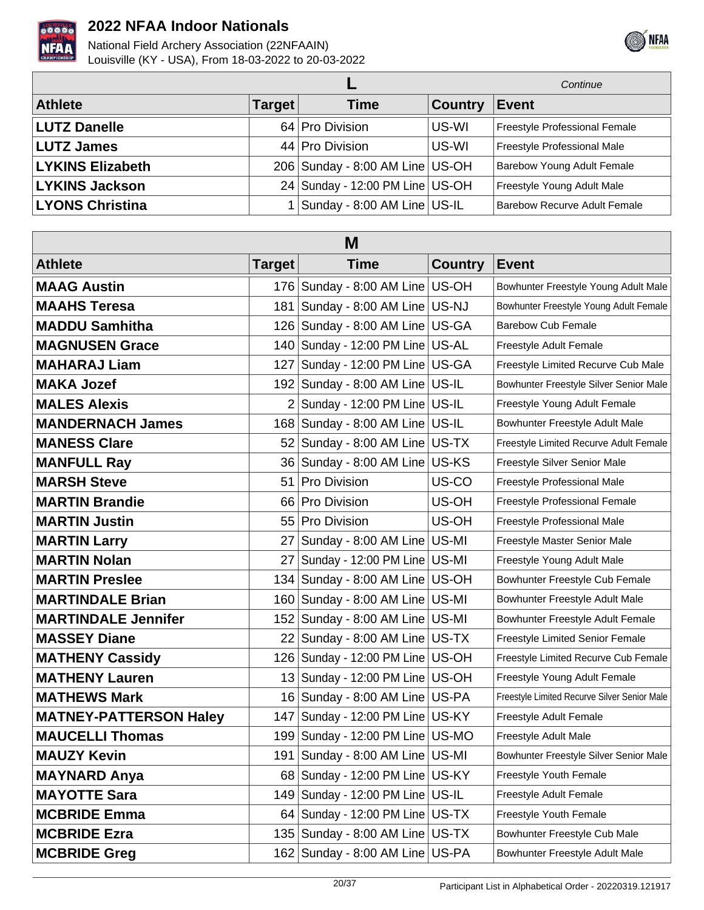



|                         |               |                                             |                | Continue                            |
|-------------------------|---------------|---------------------------------------------|----------------|-------------------------------------|
| <b>Athlete</b>          | <b>Target</b> | <b>Time</b>                                 | <b>Country</b> | <b>Event</b>                        |
| <b>LUTZ Danelle</b>     |               | 64 Pro Division                             | US-WI          | Freestyle Professional Female       |
| <b>LUTZ James</b>       |               | 44 Pro Division                             | US-WI          | Freestyle Professional Male         |
| <b>LYKINS Elizabeth</b> |               | 206 Sunday - 8:00 AM Line US-OH             |                | <b>Barebow Young Adult Female</b>   |
| <b>LYKINS Jackson</b>   |               | 24 Sunday - 12:00 PM Line US-OH             |                | Freestyle Young Adult Male          |
| <b>LYONS Christina</b>  |               | 1 Sunday - 8:00 AM Line $\overline{US}$ -IL |                | <b>Barebow Recurve Adult Female</b> |

| M                             |                 |                                      |                |                                              |  |
|-------------------------------|-----------------|--------------------------------------|----------------|----------------------------------------------|--|
| <b>Athlete</b>                | Target          | <b>Time</b>                          | <b>Country</b> | <b>Event</b>                                 |  |
| <b>MAAG Austin</b>            |                 | 176 Sunday - 8:00 AM Line US-OH      |                | Bowhunter Freestyle Young Adult Male         |  |
| <b>MAAHS Teresa</b>           | 181             | Sunday - 8:00 AM Line US-NJ          |                | Bowhunter Freestyle Young Adult Female       |  |
| <b>MADDU Samhitha</b>         |                 | 126 Sunday - 8:00 AM Line US-GA      |                | <b>Barebow Cub Female</b>                    |  |
| <b>MAGNUSEN Grace</b>         |                 | 140 Sunday - 12:00 PM Line US-AL     |                | Freestyle Adult Female                       |  |
| <b>MAHARAJ Liam</b>           |                 | 127 Sunday - 12:00 PM Line US-GA     |                | Freestyle Limited Recurve Cub Male           |  |
| <b>MAKA Jozef</b>             |                 | 192 Sunday - 8:00 AM Line US-IL      |                | Bowhunter Freestyle Silver Senior Male       |  |
| <b>MALES Alexis</b>           |                 | $2$ Sunday - 12:00 PM Line US-IL     |                | Freestyle Young Adult Female                 |  |
| <b>MANDERNACH James</b>       |                 | 168   Sunday - 8:00 AM Line   US-IL  |                | Bowhunter Freestyle Adult Male               |  |
| <b>MANESS Clare</b>           |                 | 52 Sunday - 8:00 AM Line US-TX       |                | Freestyle Limited Recurve Adult Female       |  |
| <b>MANFULL Ray</b>            |                 | 36 Sunday - 8:00 AM Line US-KS       |                | Freestyle Silver Senior Male                 |  |
| <b>MARSH Steve</b>            | 51              | Pro Division                         | US-CO          | Freestyle Professional Male                  |  |
| <b>MARTIN Brandie</b>         |                 | 66 Pro Division                      | US-OH          | Freestyle Professional Female                |  |
| <b>MARTIN Justin</b>          |                 | 55 Pro Division                      | US-OH          | Freestyle Professional Male                  |  |
| <b>MARTIN Larry</b>           | 27 <sub>1</sub> | Sunday - 8:00 AM Line   US-MI        |                | Freestyle Master Senior Male                 |  |
| <b>MARTIN Nolan</b>           | 27              | Sunday - 12:00 PM Line   US-MI       |                | Freestyle Young Adult Male                   |  |
| <b>MARTIN Preslee</b>         |                 | 134 Sunday - 8:00 AM Line US-OH      |                | Bowhunter Freestyle Cub Female               |  |
| <b>MARTINDALE Brian</b>       |                 | 160 Sunday - 8:00 AM Line US-MI      |                | Bowhunter Freestyle Adult Male               |  |
| <b>MARTINDALE Jennifer</b>    |                 | 152 Sunday - 8:00 AM Line US-MI      |                | Bowhunter Freestyle Adult Female             |  |
| <b>MASSEY Diane</b>           |                 | 22 Sunday - 8:00 AM Line US-TX       |                | Freestyle Limited Senior Female              |  |
| <b>MATHENY Cassidy</b>        |                 | 126   Sunday - 12:00 PM Line   US-OH |                | Freestyle Limited Recurve Cub Female         |  |
| <b>MATHENY Lauren</b>         |                 | 13 Sunday - 12:00 PM Line US-OH      |                | Freestyle Young Adult Female                 |  |
| <b>MATHEWS Mark</b>           |                 | 16 Sunday - 8:00 AM Line US-PA       |                | Freestyle Limited Recurve Silver Senior Male |  |
| <b>MATNEY-PATTERSON Haley</b> |                 | 147 Sunday - 12:00 PM Line US-KY     |                | Freestyle Adult Female                       |  |
| <b>MAUCELLI Thomas</b>        |                 | 199 Sunday - 12:00 PM Line US-MO     |                | Freestyle Adult Male                         |  |
| <b>MAUZY Kevin</b>            |                 | 191 Sunday - 8:00 AM Line US-MI      |                | Bowhunter Freestyle Silver Senior Male       |  |
| <b>MAYNARD Anya</b>           |                 | 68 Sunday - 12:00 PM Line US-KY      |                | Freestyle Youth Female                       |  |
| <b>MAYOTTE Sara</b>           |                 | 149 Sunday - 12:00 PM Line   US-IL   |                | Freestyle Adult Female                       |  |
| <b>MCBRIDE Emma</b>           |                 | 64   Sunday - 12:00 PM Line   US-TX  |                | Freestyle Youth Female                       |  |
| <b>MCBRIDE Ezra</b>           |                 | 135 Sunday - 8:00 AM Line US-TX      |                | Bowhunter Freestyle Cub Male                 |  |
| <b>MCBRIDE Greg</b>           |                 | 162 Sunday - 8:00 AM Line US-PA      |                | Bowhunter Freestyle Adult Male               |  |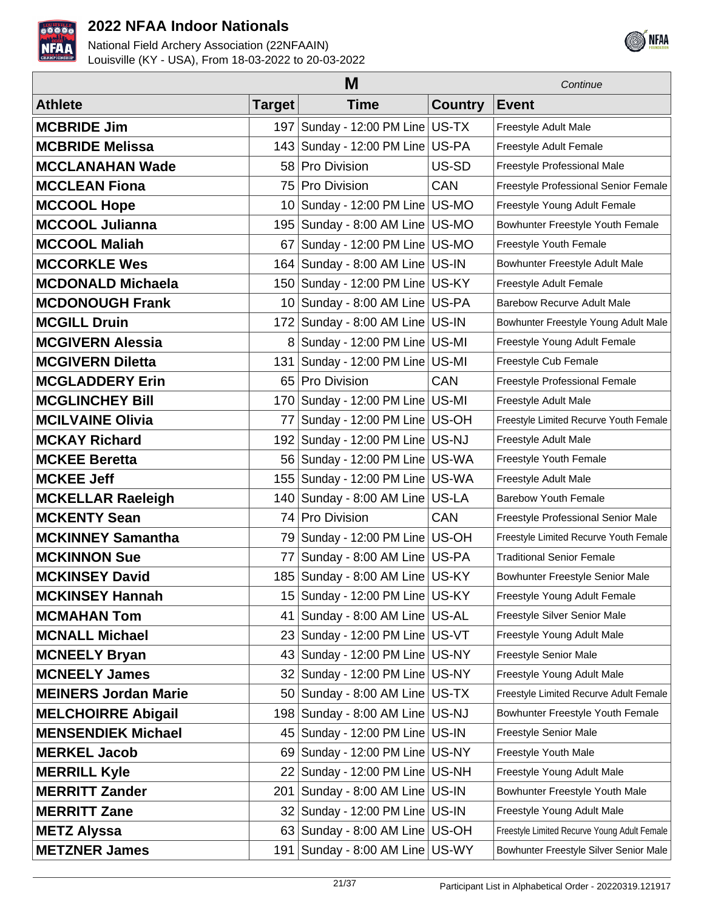



| M                           |                |                                      |                | Continue                                     |
|-----------------------------|----------------|--------------------------------------|----------------|----------------------------------------------|
| <b>Athlete</b>              | Target         | <b>Time</b>                          | <b>Country</b> | <b>Event</b>                                 |
| <b>MCBRIDE Jim</b>          |                | 197 Sunday - 12:00 PM Line US-TX     |                | Freestyle Adult Male                         |
| <b>MCBRIDE Melissa</b>      |                | 143 Sunday - 12:00 PM Line US-PA     |                | Freestyle Adult Female                       |
| <b>MCCLANAHAN Wade</b>      | 58             | Pro Division                         | US-SD          | Freestyle Professional Male                  |
| <b>MCCLEAN Fiona</b>        | 75             | Pro Division                         | <b>CAN</b>     | Freestyle Professional Senior Female         |
| <b>MCCOOL Hope</b>          |                | 10 Sunday - 12:00 PM Line US-MO      |                | Freestyle Young Adult Female                 |
| <b>MCCOOL Julianna</b>      |                | 195   Sunday - 8:00 AM Line   US-MO  |                | Bowhunter Freestyle Youth Female             |
| <b>MCCOOL Maliah</b>        | 67 I           | Sunday - 12:00 PM Line   US-MO       |                | Freestyle Youth Female                       |
| <b>MCCORKLE Wes</b>         |                | 164 Sunday - 8:00 AM Line   US-IN    |                | Bowhunter Freestyle Adult Male               |
| <b>MCDONALD Michaela</b>    |                | 150 Sunday - 12:00 PM Line US-KY     |                | Freestyle Adult Female                       |
| <b>MCDONOUGH Frank</b>      |                | 10 Sunday - 8:00 AM Line US-PA       |                | <b>Barebow Recurve Adult Male</b>            |
| <b>MCGILL Druin</b>         |                | 172 Sunday - 8:00 AM Line US-IN      |                | Bowhunter Freestyle Young Adult Male         |
| <b>MCGIVERN Alessia</b>     | 8 <sup>1</sup> | Sunday - 12:00 PM Line   US-MI       |                | Freestyle Young Adult Female                 |
| <b>MCGIVERN Diletta</b>     | 131            | Sunday - 12:00 PM Line   US-MI       |                | Freestyle Cub Female                         |
| <b>MCGLADDERY Erin</b>      | 65             | Pro Division                         | CAN            | Freestyle Professional Female                |
| <b>MCGLINCHEY Bill</b>      |                | 170 Sunday - 12:00 PM Line US-MI     |                | Freestyle Adult Male                         |
| <b>MCILVAINE Olivia</b>     | 77             | Sunday - 12:00 PM Line   US-OH       |                | Freestyle Limited Recurve Youth Female       |
| <b>MCKAY Richard</b>        |                | 192   Sunday - 12:00 PM Line   US-NJ |                | Freestyle Adult Male                         |
| <b>MCKEE Beretta</b>        |                | 56   Sunday - 12:00 PM Line   US-WA  |                | Freestyle Youth Female                       |
| <b>MCKEE Jeff</b>           | 155            | Sunday - 12:00 PM Line   US-WA       |                | Freestyle Adult Male                         |
| <b>MCKELLAR Raeleigh</b>    |                | 140 Sunday - 8:00 AM Line US-LA      |                | <b>Barebow Youth Female</b>                  |
| <b>MCKENTY Sean</b>         | 74             | Pro Division                         | CAN            | Freestyle Professional Senior Male           |
| <b>MCKINNEY Samantha</b>    | 79             | Sunday - 12:00 PM Line   US-OH       |                | Freestyle Limited Recurve Youth Female       |
| <b>MCKINNON Sue</b>         | 77             | Sunday - 8:00 AM Line   US-PA        |                | <b>Traditional Senior Female</b>             |
| <b>MCKINSEY David</b>       |                | 185   Sunday - 8:00 AM Line   US-KY  |                | Bowhunter Freestyle Senior Male              |
| <b>MCKINSEY Hannah</b>      |                | 15   Sunday - 12:00 PM Line   US-KY  |                | Freestyle Young Adult Female                 |
| <b>MCMAHAN Tom</b>          | 41             | Sunday - 8:00 AM Line US-AL          |                | Freestyle Silver Senior Male                 |
| <b>MCNALL Michael</b>       | 23             | Sunday - 12:00 PM Line US-VT         |                | Freestyle Young Adult Male                   |
| <b>MCNEELY Bryan</b>        | 43             | Sunday - 12:00 PM Line US-NY         |                | Freestyle Senior Male                        |
| <b>MCNEELY James</b>        |                | 32 Sunday - 12:00 PM Line US-NY      |                | Freestyle Young Adult Male                   |
| <b>MEINERS Jordan Marie</b> |                | 50 Sunday - 8:00 AM Line US-TX       |                | Freestyle Limited Recurve Adult Female       |
| <b>MELCHOIRRE Abigail</b>   |                | 198 Sunday - 8:00 AM Line US-NJ      |                | Bowhunter Freestyle Youth Female             |
| <b>MENSENDIEK Michael</b>   | 45             | Sunday - 12:00 PM Line US-IN         |                | Freestyle Senior Male                        |
| <b>MERKEL Jacob</b>         | 69             | Sunday - 12:00 PM Line   US-NY       |                | Freestyle Youth Male                         |
| <b>MERRILL Kyle</b>         | 22             | Sunday - 12:00 PM Line   US-NH       |                | Freestyle Young Adult Male                   |
| <b>MERRITT Zander</b>       | 201            | Sunday - 8:00 AM Line US-IN          |                | Bowhunter Freestyle Youth Male               |
| <b>MERRITT Zane</b>         | 32 I           | Sunday - 12:00 PM Line US-IN         |                | Freestyle Young Adult Male                   |
| <b>METZ Alyssa</b>          |                | 63 Sunday - 8:00 AM Line US-OH       |                | Freestyle Limited Recurve Young Adult Female |
| <b>METZNER James</b>        | 191            | Sunday - 8:00 AM Line US-WY          |                | Bowhunter Freestyle Silver Senior Male       |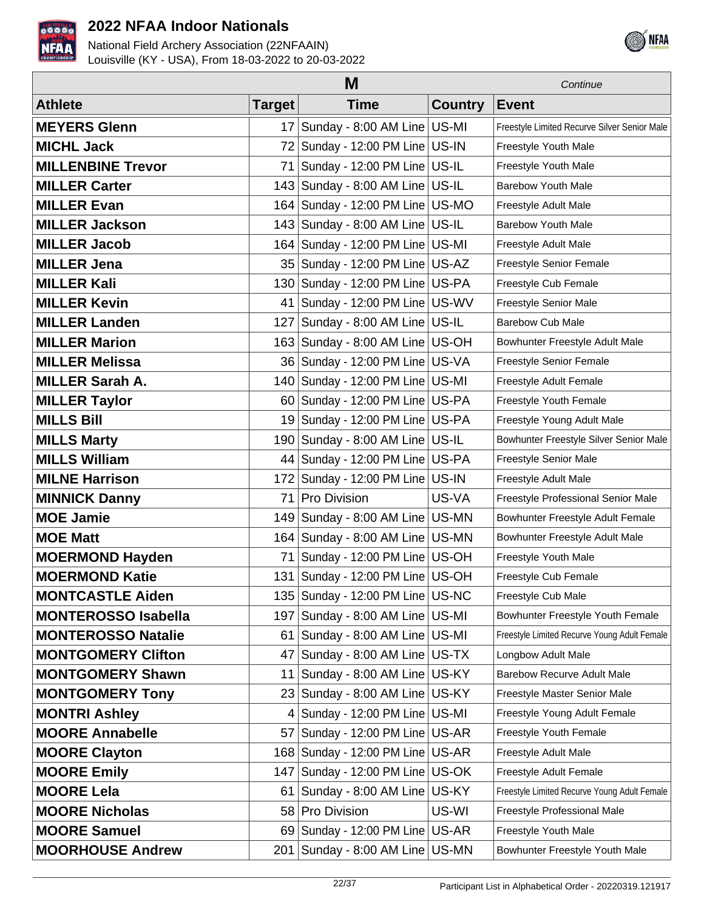



|                            | M               |                                      |                |                                              |  |
|----------------------------|-----------------|--------------------------------------|----------------|----------------------------------------------|--|
| <b>Athlete</b>             | <b>Target</b>   | <b>Time</b>                          | <b>Country</b> | <b>Event</b>                                 |  |
| <b>MEYERS Glenn</b>        | 17 <sup>1</sup> | Sunday - 8:00 AM Line US-MI          |                | Freestyle Limited Recurve Silver Senior Male |  |
| <b>MICHL Jack</b>          | 72              | Sunday - 12:00 PM Line   US-IN       |                | Freestyle Youth Male                         |  |
| <b>MILLENBINE Trevor</b>   | 71              | Sunday - 12:00 PM Line   US-IL       |                | Freestyle Youth Male                         |  |
| <b>MILLER Carter</b>       |                 | 143 Sunday - 8:00 AM Line   US-IL    |                | <b>Barebow Youth Male</b>                    |  |
| <b>MILLER Evan</b>         |                 | 164   Sunday - 12:00 PM Line   US-MO |                | Freestyle Adult Male                         |  |
| <b>MILLER Jackson</b>      |                 | 143 Sunday - 8:00 AM Line US-IL      |                | <b>Barebow Youth Male</b>                    |  |
| <b>MILLER Jacob</b>        |                 | 164   Sunday - 12:00 PM Line   US-MI |                | Freestyle Adult Male                         |  |
| <b>MILLER Jena</b>         |                 | 35   Sunday - 12:00 PM Line   US-AZ  |                | Freestyle Senior Female                      |  |
| <b>MILLER Kali</b>         |                 | 130 Sunday - 12:00 PM Line US-PA     |                | Freestyle Cub Female                         |  |
| <b>MILLER Kevin</b>        | 41              | Sunday - 12:00 PM Line   US-WV       |                | Freestyle Senior Male                        |  |
| <b>MILLER Landen</b>       | 127             | Sunday - 8:00 AM Line   US-IL        |                | <b>Barebow Cub Male</b>                      |  |
| <b>MILLER Marion</b>       |                 | 163 Sunday - 8:00 AM Line US-OH      |                | Bowhunter Freestyle Adult Male               |  |
| <b>MILLER Melissa</b>      |                 | 36   Sunday - 12:00 PM Line   US-VA  |                | Freestyle Senior Female                      |  |
| <b>MILLER Sarah A.</b>     |                 | 140 Sunday - 12:00 PM Line   US-MI   |                | Freestyle Adult Female                       |  |
| <b>MILLER Taylor</b>       |                 | 60 Sunday - 12:00 PM Line US-PA      |                | Freestyle Youth Female                       |  |
| <b>MILLS Bill</b>          |                 | 19 Sunday - 12:00 PM Line US-PA      |                | Freestyle Young Adult Male                   |  |
| <b>MILLS Marty</b>         |                 | 190 Sunday - 8:00 AM Line US-IL      |                | Bowhunter Freestyle Silver Senior Male       |  |
| <b>MILLS William</b>       |                 | 44   Sunday - 12:00 PM Line   US-PA  |                | Freestyle Senior Male                        |  |
| <b>MILNE Harrison</b>      |                 | 172   Sunday - 12:00 PM Line   US-IN |                | Freestyle Adult Male                         |  |
| <b>MINNICK Danny</b>       | 71              | Pro Division                         | US-VA          | Freestyle Professional Senior Male           |  |
| <b>MOE Jamie</b>           | 149             | Sunday - 8:00 AM Line   US-MN        |                | Bowhunter Freestyle Adult Female             |  |
| <b>MOE Matt</b>            |                 | 164   Sunday - 8:00 AM Line   US-MN  |                | Bowhunter Freestyle Adult Male               |  |
| <b>MOERMOND Hayden</b>     | 71              | Sunday - 12:00 PM Line   US-OH       |                | Freestyle Youth Male                         |  |
| <b>MOERMOND Katie</b>      |                 | 131   Sunday - 12:00 PM Line   US-OH |                | Freestyle Cub Female                         |  |
| <b>MONTCASTLE Aiden</b>    |                 | 135   Sunday - 12:00 PM Line   US-NC |                | Freestyle Cub Male                           |  |
| <b>MONTEROSSO Isabella</b> |                 | 197   Sunday - 8:00 AM Line   US-MI  |                | Bowhunter Freestyle Youth Female             |  |
| <b>MONTEROSSO Natalie</b>  | 61              | Sunday - 8:00 AM Line US-MI          |                | Freestyle Limited Recurve Young Adult Female |  |
| <b>MONTGOMERY Clifton</b>  | 47              | Sunday - 8:00 AM Line US-TX          |                | Longbow Adult Male                           |  |
| <b>MONTGOMERY Shawn</b>    | 11              | Sunday - 8:00 AM Line US-KY          |                | <b>Barebow Recurve Adult Male</b>            |  |
| <b>MONTGOMERY Tony</b>     |                 | 23 Sunday - 8:00 AM Line US-KY       |                | Freestyle Master Senior Male                 |  |
| <b>MONTRI Ashley</b>       | 4               | Sunday - 12:00 PM Line US-MI         |                | Freestyle Young Adult Female                 |  |
| <b>MOORE Annabelle</b>     | 57              | Sunday - 12:00 PM Line   US-AR       |                | Freestyle Youth Female                       |  |
| <b>MOORE Clayton</b>       |                 | 168 Sunday - 12:00 PM Line US-AR     |                | Freestyle Adult Male                         |  |
| <b>MOORE Emily</b>         | 147             | Sunday - 12:00 PM Line   US-OK       |                | Freestyle Adult Female                       |  |
| <b>MOORE Lela</b>          | 61              | Sunday - 8:00 AM Line US-KY          |                | Freestyle Limited Recurve Young Adult Female |  |
| <b>MOORE Nicholas</b>      |                 | 58 Pro Division                      | US-WI          | Freestyle Professional Male                  |  |
| <b>MOORE Samuel</b>        |                 | 69 Sunday - 12:00 PM Line US-AR      |                | Freestyle Youth Male                         |  |
| <b>MOORHOUSE Andrew</b>    |                 | 201   Sunday - 8:00 AM Line   US-MN  |                | Bowhunter Freestyle Youth Male               |  |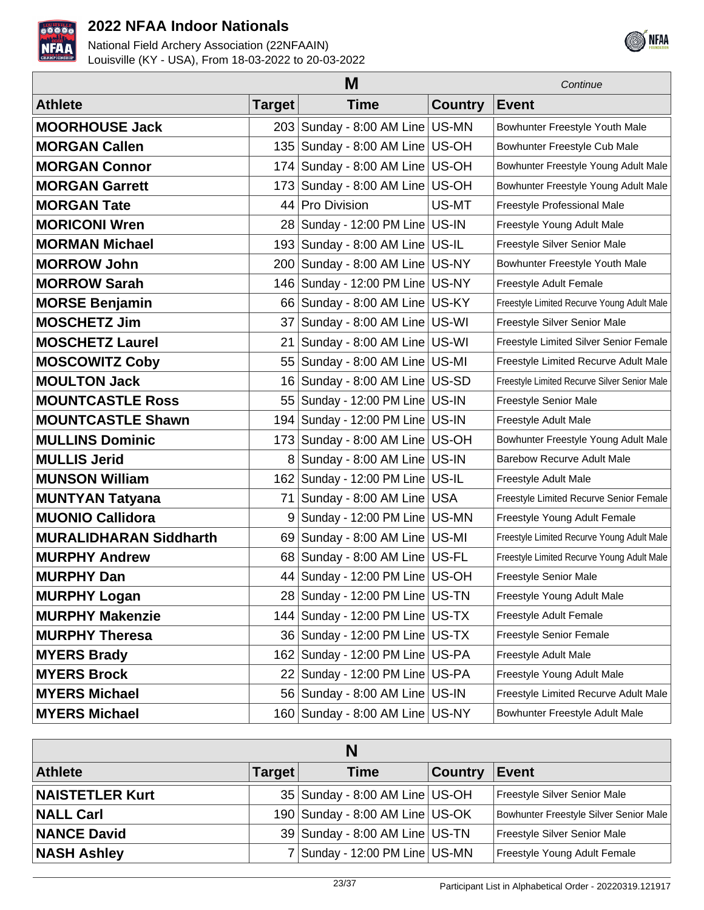



|                               | M      |                                      |                |                                              |
|-------------------------------|--------|--------------------------------------|----------------|----------------------------------------------|
| <b>Athlete</b>                | Target | <b>Time</b>                          | <b>Country</b> | <b>Event</b>                                 |
| <b>MOORHOUSE Jack</b>         | 203    | Sunday - 8:00 AM Line US-MN          |                | Bowhunter Freestyle Youth Male               |
| <b>MORGAN Callen</b>          | 135    | Sunday - 8:00 AM Line US-OH          |                | Bowhunter Freestyle Cub Male                 |
| <b>MORGAN Connor</b>          |        | 174 Sunday - 8:00 AM Line US-OH      |                | Bowhunter Freestyle Young Adult Male         |
| <b>MORGAN Garrett</b>         |        | 173 Sunday - 8:00 AM Line US-OH      |                | Bowhunter Freestyle Young Adult Male         |
| <b>MORGAN Tate</b>            | 44     | Pro Division                         | US-MT          | Freestyle Professional Male                  |
| <b>MORICONI Wren</b>          | 28     | Sunday - 12:00 PM Line US-IN         |                | Freestyle Young Adult Male                   |
| <b>MORMAN Michael</b>         | 193    | Sunday - 8:00 AM Line   US-IL        |                | Freestyle Silver Senior Male                 |
| <b>MORROW John</b>            | 200    | Sunday - 8:00 AM Line US-NY          |                | Bowhunter Freestyle Youth Male               |
| <b>MORROW Sarah</b>           |        | 146 Sunday - 12:00 PM Line US-NY     |                | Freestyle Adult Female                       |
| <b>MORSE Benjamin</b>         |        | 66 Sunday - 8:00 AM Line US-KY       |                | Freestyle Limited Recurve Young Adult Male   |
| <b>MOSCHETZ Jim</b>           | 37     | Sunday - 8:00 AM Line US-WI          |                | Freestyle Silver Senior Male                 |
| <b>MOSCHETZ Laurel</b>        | 21     | Sunday - 8:00 AM Line US-WI          |                | Freestyle Limited Silver Senior Female       |
| <b>MOSCOWITZ Coby</b>         | 55     | Sunday - 8:00 AM Line US-MI          |                | Freestyle Limited Recurve Adult Male         |
| <b>MOULTON Jack</b>           | 16     | Sunday - 8:00 AM Line US-SD          |                | Freestyle Limited Recurve Silver Senior Male |
| <b>MOUNTCASTLE Ross</b>       | 55     | Sunday - 12:00 PM Line   US-IN       |                | Freestyle Senior Male                        |
| <b>MOUNTCASTLE Shawn</b>      | 1941   | Sunday - 12:00 PM Line US-IN         |                | Freestyle Adult Male                         |
| <b>MULLINS Dominic</b>        |        | 173 Sunday - 8:00 AM Line US-OH      |                | Bowhunter Freestyle Young Adult Male         |
| <b>MULLIS Jerid</b>           | 8      | Sunday - 8:00 AM Line US-IN          |                | <b>Barebow Recurve Adult Male</b>            |
| <b>MUNSON William</b>         | 162    | Sunday - 12:00 PM Line US-IL         |                | Freestyle Adult Male                         |
| <b>MUNTYAN Tatyana</b>        | 71     | Sunday - 8:00 AM Line   USA          |                | Freestyle Limited Recurve Senior Female      |
| <b>MUONIO Callidora</b>       | 9      | Sunday - 12:00 PM Line   US-MN       |                | Freestyle Young Adult Female                 |
| <b>MURALIDHARAN Siddharth</b> | 69     | Sunday - 8:00 AM Line   US-MI        |                | Freestyle Limited Recurve Young Adult Male   |
| <b>MURPHY Andrew</b>          | 68     | Sunday - 8:00 AM Line US-FL          |                | Freestyle Limited Recurve Young Adult Male   |
| <b>MURPHY Dan</b>             |        | 44 Sunday - 12:00 PM Line US-OH      |                | Freestyle Senior Male                        |
| <b>MURPHY Logan</b>           |        | 28 Sunday - 12:00 PM Line US-TN      |                | Freestyle Young Adult Male                   |
| <b>MURPHY Makenzie</b>        |        | 144   Sunday - 12:00 PM Line   US-TX |                | Freestyle Adult Female                       |
| <b>MURPHY Theresa</b>         |        | 36 Sunday - 12:00 PM Line US-TX      |                | Freestyle Senior Female                      |
| <b>MYERS Brady</b>            |        | 162   Sunday - 12:00 PM Line   US-PA |                | Freestyle Adult Male                         |
| <b>MYERS Brock</b>            |        | 22 Sunday - 12:00 PM Line US-PA      |                | Freestyle Young Adult Male                   |
| <b>MYERS Michael</b>          |        | 56 Sunday - 8:00 AM Line US-IN       |                | Freestyle Limited Recurve Adult Male         |
| <b>MYERS Michael</b>          |        | 160 Sunday - 8:00 AM Line US-NY      |                | Bowhunter Freestyle Adult Male               |

| N                      |               |                                  |                |                                        |
|------------------------|---------------|----------------------------------|----------------|----------------------------------------|
| <b>Athlete</b>         | <b>Target</b> | <b>Time</b>                      | <b>Country</b> | <b>Event</b>                           |
| <b>NAISTETLER Kurt</b> |               | 35 Sunday - 8:00 AM Line US-OH   |                | Freestyle Silver Senior Male           |
| <b>NALL Carl</b>       |               | 190 Sunday - 8:00 AM Line US-OK  |                | Bowhunter Freestyle Silver Senior Male |
| <b>NANCE David</b>     |               | 39 Sunday - 8:00 AM Line US-TN   |                | Freestyle Silver Senior Male           |
| <b>NASH Ashley</b>     |               | 7 Sunday - 12:00 PM Line   US-MN |                | Freestyle Young Adult Female           |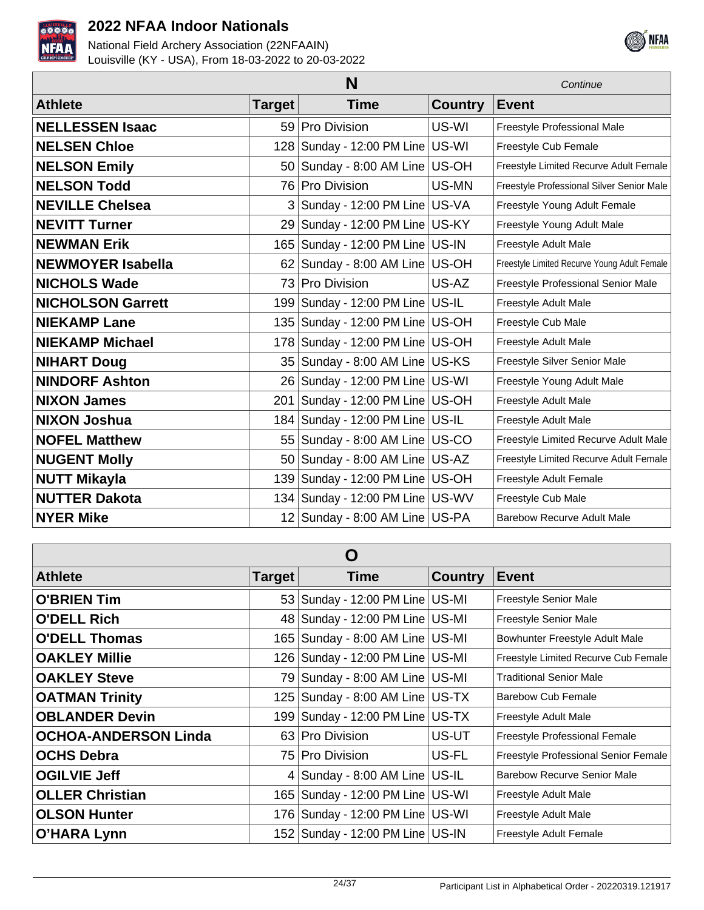



|                          | Continue      |                                      |                |                                              |
|--------------------------|---------------|--------------------------------------|----------------|----------------------------------------------|
| <b>Athlete</b>           | <b>Target</b> | <b>Time</b>                          | <b>Country</b> | <b>Event</b>                                 |
| <b>NELLESSEN Isaac</b>   |               | 59 Pro Division                      | US-WI          | Freestyle Professional Male                  |
| <b>NELSEN Chloe</b>      |               | 128 Sunday - 12:00 PM Line US-WI     |                | Freestyle Cub Female                         |
| <b>NELSON Emily</b>      |               | 50 Sunday - 8:00 AM Line US-OH       |                | Freestyle Limited Recurve Adult Female       |
| <b>NELSON Todd</b>       |               | 76 Pro Division                      | US-MN          | Freestyle Professional Silver Senior Male    |
| <b>NEVILLE Chelsea</b>   |               | $3$ Sunday - 12:00 PM Line US-VA     |                | Freestyle Young Adult Female                 |
| <b>NEVITT Turner</b>     | 29 l          | Sunday - 12:00 PM Line US-KY         |                | Freestyle Young Adult Male                   |
| <b>NEWMAN Erik</b>       |               | 165   Sunday - 12:00 PM Line   US-IN |                | Freestyle Adult Male                         |
| <b>NEWMOYER Isabella</b> |               | $62$ Sunday - 8:00 AM Line US-OH     |                | Freestyle Limited Recurve Young Adult Female |
| <b>NICHOLS Wade</b>      | 73 I          | <b>Pro Division</b>                  | US-AZ          | Freestyle Professional Senior Male           |
| <b>NICHOLSON Garrett</b> |               | 199 Sunday - 12:00 PM Line US-IL     |                | Freestyle Adult Male                         |
| <b>NIEKAMP Lane</b>      |               | 135   Sunday - 12:00 PM Line   US-OH |                | Freestyle Cub Male                           |
| <b>NIEKAMP Michael</b>   |               | 178 Sunday - 12:00 PM Line   US-OH   |                | Freestyle Adult Male                         |
| <b>NIHART Doug</b>       |               | 35   Sunday - 8:00 AM Line   US-KS   |                | Freestyle Silver Senior Male                 |
| <b>NINDORF Ashton</b>    |               | 26 Sunday - 12:00 PM Line US-WI      |                | Freestyle Young Adult Male                   |
| <b>NIXON James</b>       |               | 201   Sunday - 12:00 PM Line   US-OH |                | Freestyle Adult Male                         |
| <b>NIXON Joshua</b>      |               | 184   Sunday - 12:00 PM Line   US-IL |                | Freestyle Adult Male                         |
| <b>NOFEL Matthew</b>     |               | 55 Sunday - 8:00 AM Line US-CO       |                | Freestyle Limited Recurve Adult Male         |
| <b>NUGENT Molly</b>      |               | 50 Sunday - 8:00 AM Line US-AZ       |                | Freestyle Limited Recurve Adult Female       |
| <b>NUTT Mikayla</b>      |               | 139 Sunday - 12:00 PM Line US-OH     |                | Freestyle Adult Female                       |
| <b>NUTTER Dakota</b>     |               | 134   Sunday - 12:00 PM Line   US-WV |                | Freestyle Cub Male                           |
| <b>NYER Mike</b>         |               | 12 Sunday - 8:00 AM Line US-PA       |                | <b>Barebow Recurve Adult Male</b>            |

| O                           |        |                                      |                |                                      |
|-----------------------------|--------|--------------------------------------|----------------|--------------------------------------|
| <b>Athlete</b>              | Target | Time                                 | <b>Country</b> | <b>Event</b>                         |
| <b>O'BRIEN Tim</b>          |        | 53   Sunday - 12:00 PM Line   US-MI  |                | Freestyle Senior Male                |
| <b>O'DELL Rich</b>          |        | 48 Sunday - 12:00 PM Line US-MI      |                | Freestyle Senior Male                |
| <b>O'DELL Thomas</b>        |        | 165   Sunday - 8:00 AM Line   US-MI  |                | Bowhunter Freestyle Adult Male       |
| <b>OAKLEY Millie</b>        |        | 126   Sunday - 12:00 PM Line   US-MI |                | Freestyle Limited Recurve Cub Female |
| <b>OAKLEY Steve</b>         |        | 79 Sunday - 8:00 AM Line US-MI       |                | <b>Traditional Senior Male</b>       |
| <b>OATMAN Trinity</b>       |        | 125   Sunday - 8:00 AM Line   US-TX  |                | <b>Barebow Cub Female</b>            |
| <b>OBLANDER Devin</b>       |        | 199 Sunday - 12:00 PM Line US-TX     |                | Freestyle Adult Male                 |
| <b>OCHOA-ANDERSON Linda</b> |        | 63 Pro Division                      | US-UT          | Freestyle Professional Female        |
| <b>OCHS Debra</b>           |        | 75 Pro Division                      | US-FL          | Freestyle Professional Senior Female |
| <b>OGILVIE Jeff</b>         |        | 4 Sunday - 8:00 AM Line US-IL        |                | <b>Barebow Recurve Senior Male</b>   |
| <b>OLLER Christian</b>      |        | 165   Sunday - 12:00 PM Line   US-WI |                | Freestyle Adult Male                 |
| <b>OLSON Hunter</b>         |        | 176 Sunday - 12:00 PM Line US-WI     |                | Freestyle Adult Male                 |
| O'HARA Lynn                 |        | 152 Sunday - 12:00 PM Line US-IN     |                | Freestyle Adult Female               |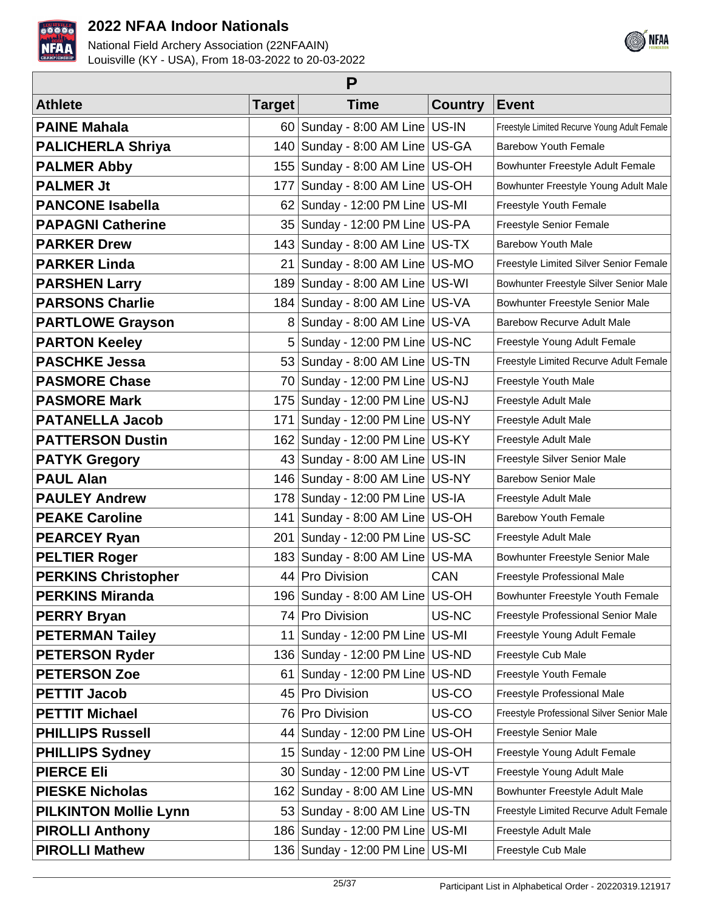



| P                            |               |                                      |                |                                              |  |
|------------------------------|---------------|--------------------------------------|----------------|----------------------------------------------|--|
| <b>Athlete</b>               | <b>Target</b> | <b>Time</b>                          | <b>Country</b> | <b>Event</b>                                 |  |
| <b>PAINE Mahala</b>          | 60 l          | Sunday - 8:00 AM Line   US-IN        |                | Freestyle Limited Recurve Young Adult Female |  |
| <b>PALICHERLA Shriya</b>     | 140           | Sunday - 8:00 AM Line   US-GA        |                | <b>Barebow Youth Female</b>                  |  |
| <b>PALMER Abby</b>           | 155           | Sunday - 8:00 AM Line US-OH          |                | Bowhunter Freestyle Adult Female             |  |
| <b>PALMER Jt</b>             | 177           | Sunday - 8:00 AM Line US-OH          |                | Bowhunter Freestyle Young Adult Male         |  |
| <b>PANCONE Isabella</b>      | 62            | Sunday - 12:00 PM Line US-MI         |                | Freestyle Youth Female                       |  |
| <b>PAPAGNI Catherine</b>     | 35            | Sunday - 12:00 PM Line   US-PA       |                | Freestyle Senior Female                      |  |
| <b>PARKER Drew</b>           | 143           | Sunday - 8:00 AM Line   US-TX        |                | <b>Barebow Youth Male</b>                    |  |
| <b>PARKER Linda</b>          | 21            | Sunday - 8:00 AM Line   US-MO        |                | Freestyle Limited Silver Senior Female       |  |
| <b>PARSHEN Larry</b>         | 189           | Sunday - 8:00 AM Line   US-WI        |                | Bowhunter Freestyle Silver Senior Male       |  |
| <b>PARSONS Charlie</b>       | 184           | Sunday - 8:00 AM Line US-VA          |                | Bowhunter Freestyle Senior Male              |  |
| <b>PARTLOWE Grayson</b>      | 8             | Sunday - 8:00 AM Line US-VA          |                | <b>Barebow Recurve Adult Male</b>            |  |
| <b>PARTON Keeley</b>         | 5             | Sunday - 12:00 PM Line   US-NC       |                | Freestyle Young Adult Female                 |  |
| <b>PASCHKE Jessa</b>         | 53            | Sunday - 8:00 AM Line   US-TN        |                | Freestyle Limited Recurve Adult Female       |  |
| <b>PASMORE Chase</b>         | 70            | Sunday - 12:00 PM Line US-NJ         |                | Freestyle Youth Male                         |  |
| <b>PASMORE Mark</b>          | 175           | Sunday - 12:00 PM Line   US-NJ       |                | Freestyle Adult Male                         |  |
| <b>PATANELLA Jacob</b>       | 171           | Sunday - 12:00 PM Line   US-NY       |                | Freestyle Adult Male                         |  |
| <b>PATTERSON Dustin</b>      | 162           | Sunday - 12:00 PM Line US-KY         |                | Freestyle Adult Male                         |  |
| <b>PATYK Gregory</b>         | 43            | Sunday - 8:00 AM Line US-IN          |                | Freestyle Silver Senior Male                 |  |
| <b>PAUL Alan</b>             | 146           | Sunday - 8:00 AM Line US-NY          |                | <b>Barebow Senior Male</b>                   |  |
| <b>PAULEY Andrew</b>         | 178           | Sunday - 12:00 PM Line   US-IA       |                | Freestyle Adult Male                         |  |
| <b>PEAKE Caroline</b>        | 141           | Sunday - 8:00 AM Line US-OH          |                | <b>Barebow Youth Female</b>                  |  |
| <b>PEARCEY Ryan</b>          | 201           | Sunday - 12:00 PM Line US-SC         |                | Freestyle Adult Male                         |  |
| <b>PELTIER Roger</b>         | 183           | Sunday - 8:00 AM Line US-MA          |                | Bowhunter Freestyle Senior Male              |  |
| <b>PERKINS Christopher</b>   | 44            | Pro Division                         | CAN            | Freestyle Professional Male                  |  |
| <b>PERKINS Miranda</b>       |               | 196 Sunday - 8:00 AM Line US-OH      |                | Bowhunter Freestyle Youth Female             |  |
| <b>PERRY Bryan</b>           |               | 74 Pro Division                      | US-NC          | Freestyle Professional Senior Male           |  |
| <b>PETERMAN Tailey</b>       | 11            | Sunday - 12:00 PM Line US-MI         |                | Freestyle Young Adult Female                 |  |
| <b>PETERSON Ryder</b>        | 136           | Sunday - 12:00 PM Line   US-ND       |                | Freestyle Cub Male                           |  |
| <b>PETERSON Zoe</b>          | 61            | Sunday - 12:00 PM Line US-ND         |                | Freestyle Youth Female                       |  |
| <b>PETTIT Jacob</b>          | 45            | Pro Division                         | US-CO          | Freestyle Professional Male                  |  |
| <b>PETTIT Michael</b>        | 761           | Pro Division                         | US-CO          | Freestyle Professional Silver Senior Male    |  |
| <b>PHILLIPS Russell</b>      | 44            | Sunday - 12:00 PM Line US-OH         |                | Freestyle Senior Male                        |  |
| <b>PHILLIPS Sydney</b>       | 151           | Sunday - 12:00 PM Line   US-OH       |                | Freestyle Young Adult Female                 |  |
| <b>PIERCE Eli</b>            |               | 30 Sunday - 12:00 PM Line US-VT      |                | Freestyle Young Adult Male                   |  |
| <b>PIESKE Nicholas</b>       | 162           | Sunday - 8:00 AM Line US-MN          |                | Bowhunter Freestyle Adult Male               |  |
| <b>PILKINTON Mollie Lynn</b> |               | 53 Sunday - 8:00 AM Line US-TN       |                | Freestyle Limited Recurve Adult Female       |  |
| <b>PIROLLI Anthony</b>       | 186           | Sunday - 12:00 PM Line US-MI         |                | Freestyle Adult Male                         |  |
| <b>PIROLLI Mathew</b>        |               | 136   Sunday - 12:00 PM Line   US-MI |                | Freestyle Cub Male                           |  |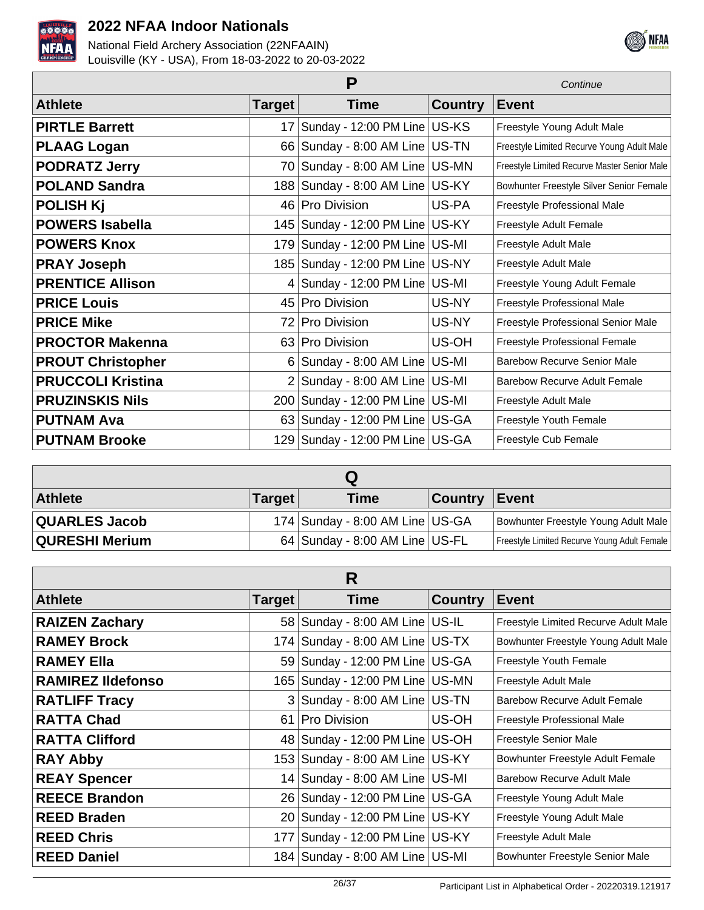



|                          | Continue       |                                      |                |                                              |
|--------------------------|----------------|--------------------------------------|----------------|----------------------------------------------|
| <b>Athlete</b>           | <b>Target</b>  | <b>Time</b>                          | <b>Country</b> | <b>Event</b>                                 |
| <b>PIRTLE Barrett</b>    | 17             | Sunday - 12:00 PM Line   US-KS       |                | Freestyle Young Adult Male                   |
| <b>PLAAG Logan</b>       |                | 66 Sunday - 8:00 AM Line US-TN       |                | Freestyle Limited Recurve Young Adult Male   |
| <b>PODRATZ Jerry</b>     | 701            | Sunday - 8:00 AM Line US-MN          |                | Freestyle Limited Recurve Master Senior Male |
| <b>POLAND Sandra</b>     |                | 188   Sunday - 8:00 AM Line   US-KY  |                | Bowhunter Freestyle Silver Senior Female     |
| <b>POLISH Kj</b>         | 46             | Pro Division                         | US-PA          | Freestyle Professional Male                  |
| <b>POWERS Isabella</b>   | 145            | Sunday - 12:00 PM Line US-KY         |                | Freestyle Adult Female                       |
| <b>POWERS Knox</b>       | 179            | Sunday - 12:00 PM Line US-MI         |                | Freestyle Adult Male                         |
| <b>PRAY Joseph</b>       |                | 185   Sunday - 12:00 PM Line   US-NY |                | Freestyle Adult Male                         |
| <b>PRENTICE Allison</b>  | 4              | Sunday - 12:00 PM Line   US-MI       |                | Freestyle Young Adult Female                 |
| <b>PRICE Louis</b>       |                | 45 Pro Division                      | US-NY          | Freestyle Professional Male                  |
| <b>PRICE Mike</b>        | 72             | <b>Pro Division</b>                  | US-NY          | Freestyle Professional Senior Male           |
| <b>PROCTOR Makenna</b>   |                | 63 Pro Division                      | US-OH          | <b>Freestyle Professional Female</b>         |
| <b>PROUT Christopher</b> | 6              | Sunday - 8:00 AM Line US-MI          |                | <b>Barebow Recurve Senior Male</b>           |
| <b>PRUCCOLI Kristina</b> | $\overline{2}$ | Sunday - 8:00 AM Line US-MI          |                | <b>Barebow Recurve Adult Female</b>          |
| <b>PRUZINSKIS Nils</b>   | 200            | Sunday - 12:00 PM Line US-MI         |                | Freestyle Adult Male                         |
| <b>PUTNAM Ava</b>        |                | 63 Sunday - 12:00 PM Line US-GA      |                | Freestyle Youth Female                       |
| <b>PUTNAM Brooke</b>     |                | 129 Sunday - 12:00 PM Line US-GA     |                | Freestyle Cub Female                         |

| <b>Athlete</b>        | <b>Target</b> | Time                             | <b>Country</b> | Event                                        |
|-----------------------|---------------|----------------------------------|----------------|----------------------------------------------|
| <b>QUARLES Jacob</b>  |               | 174 Sunday - 8:00 AM Line US-GA  |                | Bowhunter Freestyle Young Adult Male         |
| <b>QURESHI Merium</b> |               | $64$ Sunday - 8:00 AM Line US-FL |                | Freestyle Limited Recurve Young Adult Female |

| R                        |        |                                      |                |                                      |
|--------------------------|--------|--------------------------------------|----------------|--------------------------------------|
| <b>Athlete</b>           | Target | <b>Time</b>                          | <b>Country</b> | <b>Event</b>                         |
| <b>RAIZEN Zachary</b>    |        | 58   Sunday - 8:00 AM Line   US-IL   |                | Freestyle Limited Recurve Adult Male |
| <b>RAMEY Brock</b>       |        | 174 Sunday - 8:00 AM Line US-TX      |                | Bowhunter Freestyle Young Adult Male |
| <b>RAMEY Ella</b>        |        | 59 Sunday - 12:00 PM Line US-GA      |                | Freestyle Youth Female               |
| <b>RAMIREZ Ildefonso</b> |        | 165   Sunday - 12:00 PM Line   US-MN |                | Freestyle Adult Male                 |
| <b>RATLIFF Tracy</b>     |        | 3 Sunday - 8:00 AM Line   US-TN      |                | Barebow Recurve Adult Female         |
| <b>RATTA Chad</b>        |        | 61 Pro Division                      | US-OH          | Freestyle Professional Male          |
| <b>RATTA Clifford</b>    |        | 48 Sunday - 12:00 PM Line US-OH      |                | <b>Freestyle Senior Male</b>         |
| <b>RAY Abby</b>          |        | 153 Sunday - 8:00 AM Line US-KY      |                | Bowhunter Freestyle Adult Female     |
| <b>REAY Spencer</b>      |        | 14 Sunday - 8:00 AM Line US-MI       |                | Barebow Recurve Adult Male           |
| <b>REECE Brandon</b>     |        | 26 Sunday - 12:00 PM Line US-GA      |                | Freestyle Young Adult Male           |
| <b>REED Braden</b>       |        | 20 Sunday - 12:00 PM Line US-KY      |                | Freestyle Young Adult Male           |
| <b>REED Chris</b>        |        | 177   Sunday - 12:00 PM Line   US-KY |                | Freestyle Adult Male                 |
| <b>REED Daniel</b>       |        | 184   Sunday - 8:00 AM Line   US-MI  |                | Bowhunter Freestyle Senior Male      |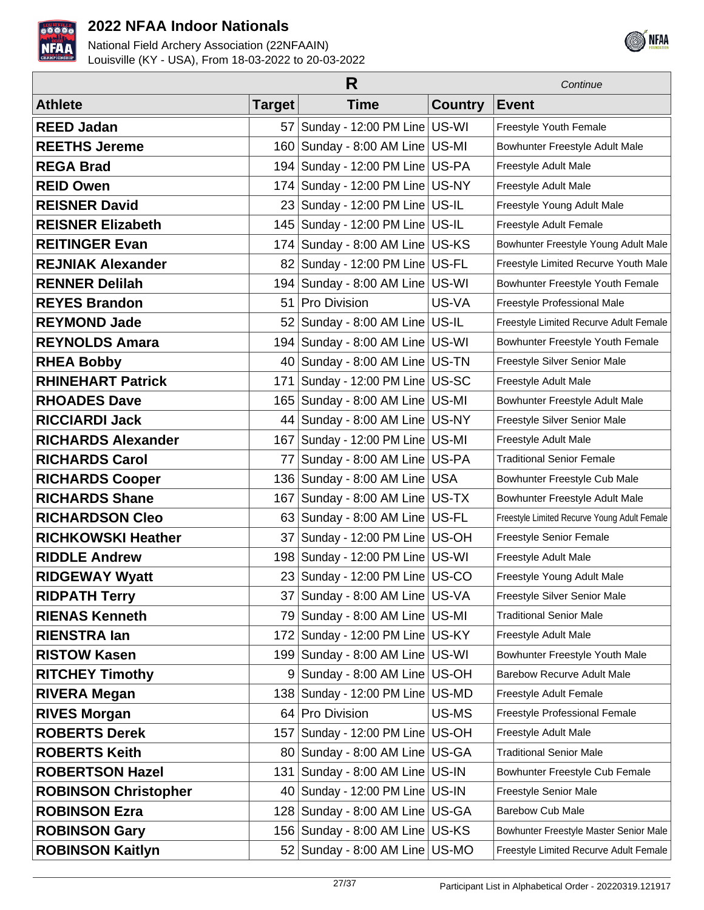



|                             |                 | R                                    |                | Continue                                     |
|-----------------------------|-----------------|--------------------------------------|----------------|----------------------------------------------|
| <b>Athlete</b>              | <b>Target</b>   | <b>Time</b>                          | <b>Country</b> | <b>Event</b>                                 |
| <b>REED Jadan</b>           | 57              | Sunday - 12:00 PM Line US-WI         |                | Freestyle Youth Female                       |
| <b>REETHS Jereme</b>        | 160             | Sunday - 8:00 AM Line US-MI          |                | Bowhunter Freestyle Adult Male               |
| <b>REGA Brad</b>            | 194             | Sunday - 12:00 PM Line   US-PA       |                | Freestyle Adult Male                         |
| <b>REID Owen</b>            | 174             | Sunday - 12:00 PM Line US-NY         |                | Freestyle Adult Male                         |
| <b>REISNER David</b>        | 23              | Sunday - 12:00 PM Line US-IL         |                | Freestyle Young Adult Male                   |
| <b>REISNER Elizabeth</b>    | 145             | Sunday - 12:00 PM Line   US-IL       |                | Freestyle Adult Female                       |
| <b>REITINGER Evan</b>       | 174             | Sunday - 8:00 AM Line US-KS          |                | Bowhunter Freestyle Young Adult Male         |
| <b>REJNIAK Alexander</b>    | 82              | Sunday - 12:00 PM Line US-FL         |                | Freestyle Limited Recurve Youth Male         |
| <b>RENNER Delilah</b>       | 194             | Sunday - 8:00 AM Line US-WI          |                | Bowhunter Freestyle Youth Female             |
| <b>REYES Brandon</b>        | 51              | <b>Pro Division</b>                  | US-VA          | Freestyle Professional Male                  |
| <b>REYMOND Jade</b>         | 52              | Sunday - 8:00 AM Line US-IL          |                | Freestyle Limited Recurve Adult Female       |
| <b>REYNOLDS Amara</b>       | 194             | Sunday - 8:00 AM Line US-WI          |                | Bowhunter Freestyle Youth Female             |
| <b>RHEA Bobby</b>           | 40 <sup>1</sup> | Sunday - 8:00 AM Line US-TN          |                | Freestyle Silver Senior Male                 |
| <b>RHINEHART Patrick</b>    | 171             | Sunday - 12:00 PM Line US-SC         |                | Freestyle Adult Male                         |
| <b>RHOADES Dave</b>         | 165             | Sunday - 8:00 AM Line US-MI          |                | Bowhunter Freestyle Adult Male               |
| <b>RICCIARDI Jack</b>       | 44              | Sunday - 8:00 AM Line US-NY          |                | Freestyle Silver Senior Male                 |
| <b>RICHARDS Alexander</b>   | 167             | Sunday - 12:00 PM Line   US-MI       |                | Freestyle Adult Male                         |
| <b>RICHARDS Carol</b>       | 77              | Sunday - 8:00 AM Line US-PA          |                | <b>Traditional Senior Female</b>             |
| <b>RICHARDS Cooper</b>      |                 | 136 Sunday - 8:00 AM Line USA        |                | Bowhunter Freestyle Cub Male                 |
| <b>RICHARDS Shane</b>       | 167             | Sunday - 8:00 AM Line   US-TX        |                | Bowhunter Freestyle Adult Male               |
| <b>RICHARDSON Cleo</b>      |                 | 63 Sunday - 8:00 AM Line US-FL       |                | Freestyle Limited Recurve Young Adult Female |
| <b>RICHKOWSKI Heather</b>   | 37              | Sunday - 12:00 PM Line   US-OH       |                | Freestyle Senior Female                      |
| <b>RIDDLE Andrew</b>        | 198             | Sunday - 12:00 PM Line   US-WI       |                | Freestyle Adult Male                         |
| <b>RIDGEWAY Wyatt</b>       |                 | 23 Sunday - 12:00 PM Line US-CO      |                | Freestyle Young Adult Male                   |
| <b>RIDPATH Terry</b>        |                 | 37 Sunday - 8:00 AM Line US-VA       |                | Freestyle Silver Senior Male                 |
| <b>RIENAS Kenneth</b>       |                 | 79 Sunday - 8:00 AM Line   US-MI     |                | <b>Traditional Senior Male</b>               |
| <b>RIENSTRA lan</b>         | 1721            | Sunday - 12:00 PM Line US-KY         |                | Freestyle Adult Male                         |
| <b>RISTOW Kasen</b>         |                 | 199 Sunday - 8:00 AM Line US-WI      |                | Bowhunter Freestyle Youth Male               |
| <b>RITCHEY Timothy</b>      | 9               | Sunday - 8:00 AM Line US-OH          |                | <b>Barebow Recurve Adult Male</b>            |
| <b>RIVERA Megan</b>         |                 | 138   Sunday - 12:00 PM Line   US-MD |                | Freestyle Adult Female                       |
| <b>RIVES Morgan</b>         |                 | 64 Pro Division                      | US-MS          | Freestyle Professional Female                |
| <b>ROBERTS Derek</b>        | 157             | Sunday - 12:00 PM Line US-OH         |                | Freestyle Adult Male                         |
| <b>ROBERTS Keith</b>        |                 | 80 Sunday - 8:00 AM Line US-GA       |                | <b>Traditional Senior Male</b>               |
| <b>ROBERTSON Hazel</b>      | 131             | Sunday - 8:00 AM Line US-IN          |                | Bowhunter Freestyle Cub Female               |
| <b>ROBINSON Christopher</b> |                 | 40 Sunday - 12:00 PM Line   US-IN    |                | Freestyle Senior Male                        |
| <b>ROBINSON Ezra</b>        |                 | 128 Sunday - 8:00 AM Line US-GA      |                | <b>Barebow Cub Male</b>                      |
| <b>ROBINSON Gary</b>        |                 | 156 Sunday - 8:00 AM Line US-KS      |                | Bowhunter Freestyle Master Senior Male       |
| <b>ROBINSON Kaitlyn</b>     |                 | 52   Sunday - 8:00 AM Line   US-MO   |                | Freestyle Limited Recurve Adult Female       |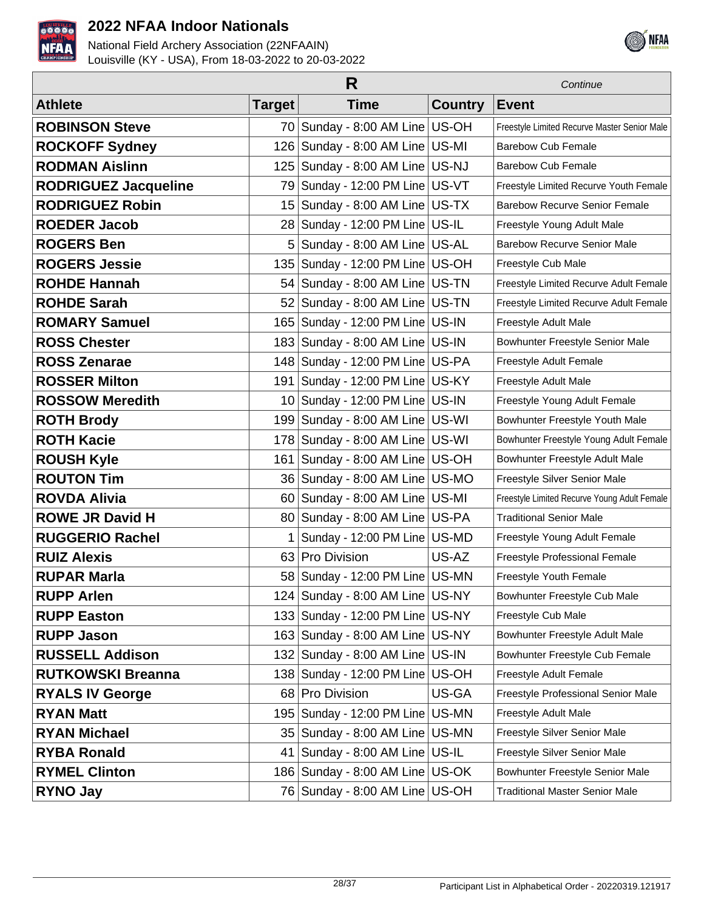



| R                           |                 |                                     |                | Continue                                     |
|-----------------------------|-----------------|-------------------------------------|----------------|----------------------------------------------|
| <b>Athlete</b>              | <b>Target</b>   | <b>Time</b>                         | <b>Country</b> | <b>Event</b>                                 |
| <b>ROBINSON Steve</b>       |                 | 70 Sunday - 8:00 AM Line US-OH      |                | Freestyle Limited Recurve Master Senior Male |
| <b>ROCKOFF Sydney</b>       | 126             | Sunday - 8:00 AM Line US-MI         |                | <b>Barebow Cub Female</b>                    |
| <b>RODMAN Aislinn</b>       | 125             | Sunday - 8:00 AM Line US-NJ         |                | <b>Barebow Cub Female</b>                    |
| <b>RODRIGUEZ Jacqueline</b> | 79 I            | Sunday - 12:00 PM Line   US-VT      |                | Freestyle Limited Recurve Youth Female       |
| <b>RODRIGUEZ Robin</b>      | 15 <sup>2</sup> | Sunday - 8:00 AM Line US-TX         |                | <b>Barebow Recurve Senior Female</b>         |
| <b>ROEDER Jacob</b>         | 28 <sub>1</sub> | Sunday - 12:00 PM Line   US-IL      |                | Freestyle Young Adult Male                   |
| <b>ROGERS Ben</b>           | 5               | Sunday - 8:00 AM Line US-AL         |                | <b>Barebow Recurve Senior Male</b>           |
| <b>ROGERS Jessie</b>        | 135             | Sunday - 12:00 PM Line   US-OH      |                | Freestyle Cub Male                           |
| <b>ROHDE Hannah</b>         | 54              | Sunday - 8:00 AM Line   US-TN       |                | Freestyle Limited Recurve Adult Female       |
| <b>ROHDE Sarah</b>          | 521             | Sunday - 8:00 AM Line   US-TN       |                | Freestyle Limited Recurve Adult Female       |
| <b>ROMARY Samuel</b>        | 165             | Sunday - 12:00 PM Line   US-IN      |                | Freestyle Adult Male                         |
| <b>ROSS Chester</b>         | 183             | Sunday - 8:00 AM Line US-IN         |                | Bowhunter Freestyle Senior Male              |
| <b>ROSS Zenarae</b>         |                 | 148 Sunday - 12:00 PM Line US-PA    |                | Freestyle Adult Female                       |
| <b>ROSSER Milton</b>        | 191             | Sunday - 12:00 PM Line US-KY        |                | Freestyle Adult Male                         |
| <b>ROSSOW Meredith</b>      |                 | 10 Sunday - 12:00 PM Line   US-IN   |                | Freestyle Young Adult Female                 |
| <b>ROTH Brody</b>           | 1991            | Sunday - 8:00 AM Line US-WI         |                | Bowhunter Freestyle Youth Male               |
| <b>ROTH Kacie</b>           | 178             | Sunday - 8:00 AM Line US-WI         |                | Bowhunter Freestyle Young Adult Female       |
| <b>ROUSH Kyle</b>           | 161             | Sunday - 8:00 AM Line   US-OH       |                | Bowhunter Freestyle Adult Male               |
| <b>ROUTON Tim</b>           | 36              | Sunday - 8:00 AM Line US-MO         |                | Freestyle Silver Senior Male                 |
| <b>ROVDA Alivia</b>         | 60              | Sunday - 8:00 AM Line US-MI         |                | Freestyle Limited Recurve Young Adult Female |
| <b>ROWE JR David H</b>      | 80 l            | Sunday - 8:00 AM Line   US-PA       |                | <b>Traditional Senior Male</b>               |
| <b>RUGGERIO Rachel</b>      |                 | Sunday - 12:00 PM Line   US-MD      |                | Freestyle Young Adult Female                 |
| <b>RUIZ Alexis</b>          | 63              | Pro Division                        | US-AZ          | Freestyle Professional Female                |
| <b>RUPAR Marla</b>          |                 | 58   Sunday - 12:00 PM Line   US-MN |                | Freestyle Youth Female                       |
| <b>RUPP Arlen</b>           |                 | 124   Sunday - 8:00 AM Line   US-NY |                | Bowhunter Freestyle Cub Male                 |
| <b>RUPP Easton</b>          |                 | 133 Sunday - 12:00 PM Line US-NY    |                | Freestyle Cub Male                           |
| <b>RUPP Jason</b>           |                 | 163 Sunday - 8:00 AM Line US-NY     |                | Bowhunter Freestyle Adult Male               |
| <b>RUSSELL Addison</b>      |                 | 132 Sunday - 8:00 AM Line US-IN     |                | Bowhunter Freestyle Cub Female               |
| <b>RUTKOWSKI Breanna</b>    |                 | 138 Sunday - 12:00 PM Line US-OH    |                | Freestyle Adult Female                       |
| <b>RYALS IV George</b>      |                 | 68 Pro Division                     | US-GA          | Freestyle Professional Senior Male           |
| <b>RYAN Matt</b>            | 195             | Sunday - 12:00 PM Line US-MN        |                | Freestyle Adult Male                         |
| <b>RYAN Michael</b>         | 35              | Sunday - 8:00 AM Line US-MN         |                | Freestyle Silver Senior Male                 |
| <b>RYBA Ronald</b>          | 41              | Sunday - 8:00 AM Line   US-IL       |                | Freestyle Silver Senior Male                 |
| <b>RYMEL Clinton</b>        |                 | 186   Sunday - 8:00 AM Line   US-OK |                | Bowhunter Freestyle Senior Male              |
| <b>RYNO Jay</b>             |                 | 76 Sunday - 8:00 AM Line US-OH      |                | <b>Traditional Master Senior Male</b>        |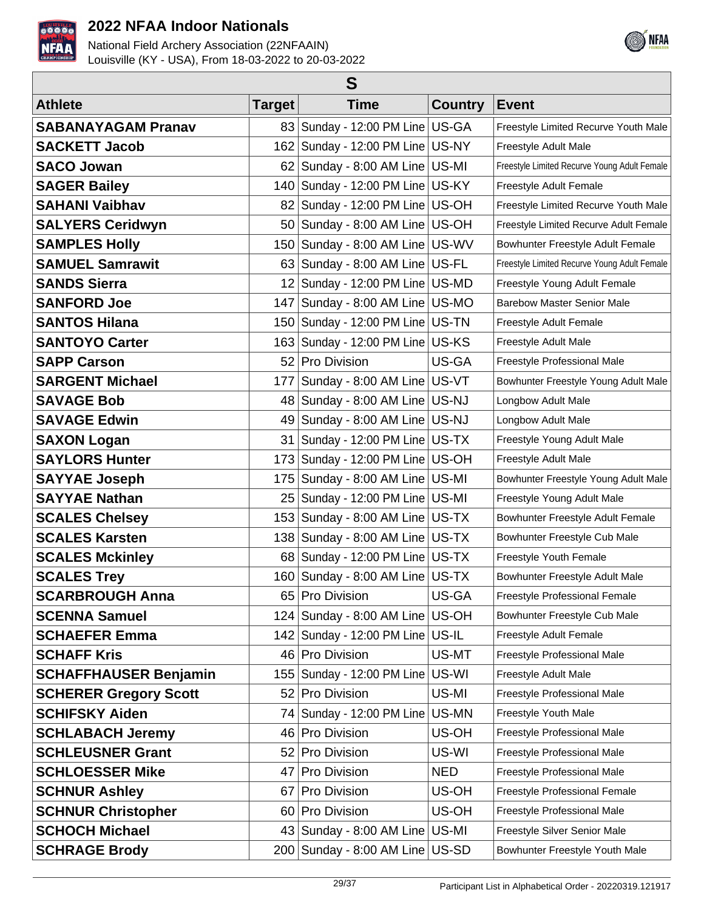



| S                            |                 |                                |                |                                              |  |
|------------------------------|-----------------|--------------------------------|----------------|----------------------------------------------|--|
| <b>Athlete</b>               | <b>Target</b>   | <b>Time</b>                    | <b>Country</b> | <b>Event</b>                                 |  |
| <b>SABANAYAGAM Pranav</b>    | 83              | Sunday - 12:00 PM Line   US-GA |                | Freestyle Limited Recurve Youth Male         |  |
| <b>SACKETT Jacob</b>         | 162             | Sunday - 12:00 PM Line   US-NY |                | Freestyle Adult Male                         |  |
| <b>SACO Jowan</b>            | 621             | Sunday - 8:00 AM Line US-MI    |                | Freestyle Limited Recurve Young Adult Female |  |
| <b>SAGER Bailey</b>          | 140             | Sunday - 12:00 PM Line US-KY   |                | Freestyle Adult Female                       |  |
| <b>SAHANI Vaibhav</b>        | 82              | Sunday - 12:00 PM Line   US-OH |                | Freestyle Limited Recurve Youth Male         |  |
| <b>SALYERS Ceridwyn</b>      | 50 <sub>1</sub> | Sunday - 8:00 AM Line US-OH    |                | Freestyle Limited Recurve Adult Female       |  |
| <b>SAMPLES Holly</b>         | 150             | Sunday - 8:00 AM Line US-WV    |                | Bowhunter Freestyle Adult Female             |  |
| <b>SAMUEL Samrawit</b>       | 63              | Sunday - 8:00 AM Line   US-FL  |                | Freestyle Limited Recurve Young Adult Female |  |
| <b>SANDS Sierra</b>          | 12              | Sunday - 12:00 PM Line   US-MD |                | Freestyle Young Adult Female                 |  |
| <b>SANFORD Joe</b>           | 147             | Sunday - 8:00 AM Line US-MO    |                | <b>Barebow Master Senior Male</b>            |  |
| <b>SANTOS Hilana</b>         | 150             | Sunday - 12:00 PM Line   US-TN |                | Freestyle Adult Female                       |  |
| <b>SANTOYO Carter</b>        | 163             | Sunday - 12:00 PM Line US-KS   |                | Freestyle Adult Male                         |  |
| <b>SAPP Carson</b>           | 52              | Pro Division                   | US-GA          | Freestyle Professional Male                  |  |
| <b>SARGENT Michael</b>       | 177             | Sunday - 8:00 AM Line US-VT    |                | Bowhunter Freestyle Young Adult Male         |  |
| <b>SAVAGE Bob</b>            | 48              | Sunday - 8:00 AM Line US-NJ    |                | Longbow Adult Male                           |  |
| <b>SAVAGE Edwin</b>          | 49              | Sunday - 8:00 AM Line US-NJ    |                | Longbow Adult Male                           |  |
| <b>SAXON Logan</b>           | 31              | Sunday - 12:00 PM Line US-TX   |                | Freestyle Young Adult Male                   |  |
| <b>SAYLORS Hunter</b>        | 173             | Sunday - 12:00 PM Line US-OH   |                | Freestyle Adult Male                         |  |
| <b>SAYYAE Joseph</b>         | 175             | Sunday - 8:00 AM Line US-MI    |                | Bowhunter Freestyle Young Adult Male         |  |
| <b>SAYYAE Nathan</b>         | 25              | Sunday - 12:00 PM Line   US-MI |                | Freestyle Young Adult Male                   |  |
| <b>SCALES Chelsey</b>        | 153             | Sunday - 8:00 AM Line   US-TX  |                | Bowhunter Freestyle Adult Female             |  |
| <b>SCALES Karsten</b>        | 138             | Sunday - 8:00 AM Line US-TX    |                | Bowhunter Freestyle Cub Male                 |  |
| <b>SCALES Mckinley</b>       | 68              | Sunday - 12:00 PM Line US-TX   |                | Freestyle Youth Female                       |  |
| <b>SCALES Trey</b>           | 160             | Sunday - 8:00 AM Line US-TX    |                | Bowhunter Freestyle Adult Male               |  |
| <b>SCARBROUGH Anna</b>       |                 | 65 Pro Division                | US-GA          | Freestyle Professional Female                |  |
| <b>SCENNA Samuel</b>         | 124             | Sunday - 8:00 AM Line US-OH    |                | Bowhunter Freestyle Cub Male                 |  |
| <b>SCHAEFER Emma</b>         |                 | 142   Sunday - 12:00 PM Line   | US-IL          | Freestyle Adult Female                       |  |
| <b>SCHAFF Kris</b>           |                 | 46 Pro Division                | US-MT          | Freestyle Professional Male                  |  |
| <b>SCHAFFHAUSER Benjamin</b> | 155             | Sunday - 12:00 PM Line         | US-WI          | Freestyle Adult Male                         |  |
| <b>SCHERER Gregory Scott</b> | 52              | Pro Division                   | US-MI          | Freestyle Professional Male                  |  |
| <b>SCHIFSKY Aiden</b>        | 741             | Sunday - 12:00 PM Line         | US-MN          | Freestyle Youth Male                         |  |
| <b>SCHLABACH Jeremy</b>      | 46              | Pro Division                   | US-OH          | Freestyle Professional Male                  |  |
| <b>SCHLEUSNER Grant</b>      | 521             | Pro Division                   | US-WI          | Freestyle Professional Male                  |  |
| <b>SCHLOESSER Mike</b>       | 47              | Pro Division                   | <b>NED</b>     | Freestyle Professional Male                  |  |
| <b>SCHNUR Ashley</b>         | 67              | Pro Division                   | US-OH          | Freestyle Professional Female                |  |
| <b>SCHNUR Christopher</b>    | 60 <sup>°</sup> | Pro Division                   | US-OH          | Freestyle Professional Male                  |  |
| <b>SCHOCH Michael</b>        | 43              | Sunday - 8:00 AM Line          | US-MI          | Freestyle Silver Senior Male                 |  |
| <b>SCHRAGE Brody</b>         | 200             | Sunday - 8:00 AM Line          | US-SD          | Bowhunter Freestyle Youth Male               |  |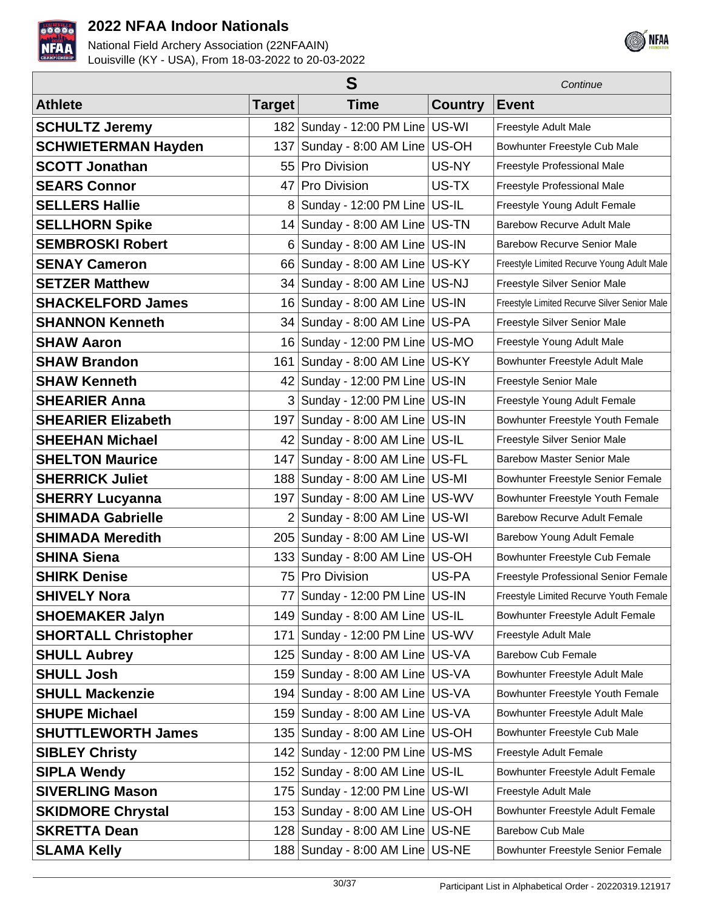



|                             |                | S                                    |                | Continue                                     |  |
|-----------------------------|----------------|--------------------------------------|----------------|----------------------------------------------|--|
| <b>Athlete</b>              | <b>Target</b>  | <b>Time</b>                          | <b>Country</b> | <b>Event</b>                                 |  |
| <b>SCHULTZ Jeremy</b>       |                | 182   Sunday - 12:00 PM Line   US-WI |                | Freestyle Adult Male                         |  |
| <b>SCHWIETERMAN Hayden</b>  | 137            | Sunday - 8:00 AM Line US-OH          |                | Bowhunter Freestyle Cub Male                 |  |
| <b>SCOTT Jonathan</b>       | 55             | <b>Pro Division</b>                  | US-NY          | Freestyle Professional Male                  |  |
| <b>SEARS Connor</b>         | 47             | Pro Division                         | US-TX          | Freestyle Professional Male                  |  |
| <b>SELLERS Hallie</b>       | 8              | Sunday - 12:00 PM Line US-IL         |                | Freestyle Young Adult Female                 |  |
| <b>SELLHORN Spike</b>       |                | 14 Sunday - 8:00 AM Line US-TN       |                | <b>Barebow Recurve Adult Male</b>            |  |
| <b>SEMBROSKI Robert</b>     | 6              | Sunday - 8:00 AM Line US-IN          |                | <b>Barebow Recurve Senior Male</b>           |  |
| <b>SENAY Cameron</b>        | 66             | Sunday - 8:00 AM Line US-KY          |                | Freestyle Limited Recurve Young Adult Male   |  |
| <b>SETZER Matthew</b>       | 34             | Sunday - 8:00 AM Line US-NJ          |                | Freestyle Silver Senior Male                 |  |
| <b>SHACKELFORD James</b>    | 16             | Sunday - 8:00 AM Line   US-IN        |                | Freestyle Limited Recurve Silver Senior Male |  |
| <b>SHANNON Kenneth</b>      |                | 34 Sunday - 8:00 AM Line US-PA       |                | Freestyle Silver Senior Male                 |  |
| <b>SHAW Aaron</b>           | 16             | Sunday - 12:00 PM Line   US-MO       |                | Freestyle Young Adult Male                   |  |
| <b>SHAW Brandon</b>         | 161            | Sunday - 8:00 AM Line US-KY          |                | Bowhunter Freestyle Adult Male               |  |
| <b>SHAW Kenneth</b>         | 42             | Sunday - 12:00 PM Line   US-IN       |                | Freestyle Senior Male                        |  |
| <b>SHEARIER Anna</b>        | 3 <sup>1</sup> | Sunday - 12:00 PM Line   US-IN       |                | Freestyle Young Adult Female                 |  |
| <b>SHEARIER Elizabeth</b>   | 197            | Sunday - 8:00 AM Line   US-IN        |                | Bowhunter Freestyle Youth Female             |  |
| <b>SHEEHAN Michael</b>      |                | 42   Sunday - 8:00 AM Line   US-IL   |                | Freestyle Silver Senior Male                 |  |
| <b>SHELTON Maurice</b>      | 147            | Sunday - 8:00 AM Line US-FL          |                | <b>Barebow Master Senior Male</b>            |  |
| <b>SHERRICK Juliet</b>      |                | 188 Sunday - 8:00 AM Line US-MI      |                | Bowhunter Freestyle Senior Female            |  |
| <b>SHERRY Lucyanna</b>      | 197            | Sunday - 8:00 AM Line US-WV          |                | Bowhunter Freestyle Youth Female             |  |
| <b>SHIMADA Gabrielle</b>    | $\overline{2}$ | Sunday - 8:00 AM Line US-WI          |                | <b>Barebow Recurve Adult Female</b>          |  |
| <b>SHIMADA Meredith</b>     | 205            | Sunday - 8:00 AM Line US-WI          |                | Barebow Young Adult Female                   |  |
| <b>SHINA Siena</b>          |                | 133 Sunday - 8:00 AM Line US-OH      |                | Bowhunter Freestyle Cub Female               |  |
| <b>SHIRK Denise</b>         |                | 75 Pro Division                      | US-PA          | Freestyle Professional Senior Female         |  |
| <b>SHIVELY Nora</b>         |                | 77   Sunday - 12:00 PM Line   US-IN  |                | Freestyle Limited Recurve Youth Female       |  |
| <b>SHOEMAKER Jalyn</b>      |                | 149 Sunday - 8:00 AM Line US-IL      |                | Bowhunter Freestyle Adult Female             |  |
| <b>SHORTALL Christopher</b> | 171            | Sunday - 12:00 PM Line US-WV         |                | Freestyle Adult Male                         |  |
| <b>SHULL Aubrey</b>         | 125            | Sunday - 8:00 AM Line US-VA          |                | <b>Barebow Cub Female</b>                    |  |
| <b>SHULL Josh</b>           |                | 159 Sunday - 8:00 AM Line US-VA      |                | Bowhunter Freestyle Adult Male               |  |
| <b>SHULL Mackenzie</b>      |                | 194   Sunday - 8:00 AM Line   US-VA  |                | Bowhunter Freestyle Youth Female             |  |
| <b>SHUPE Michael</b>        |                | 159 Sunday - 8:00 AM Line US-VA      |                | Bowhunter Freestyle Adult Male               |  |
| <b>SHUTTLEWORTH James</b>   |                | 135 Sunday - 8:00 AM Line US-OH      |                | Bowhunter Freestyle Cub Male                 |  |
| <b>SIBLEY Christy</b>       |                | 142   Sunday - 12:00 PM Line   US-MS |                | Freestyle Adult Female                       |  |
| <b>SIPLA Wendy</b>          |                | 152 Sunday - 8:00 AM Line US-IL      |                | Bowhunter Freestyle Adult Female             |  |
| <b>SIVERLING Mason</b>      |                | 175   Sunday - 12:00 PM Line   US-WI |                | Freestyle Adult Male                         |  |
| <b>SKIDMORE Chrystal</b>    |                | 153 Sunday - 8:00 AM Line US-OH      |                | Bowhunter Freestyle Adult Female             |  |
| <b>SKRETTA Dean</b>         |                | 128 Sunday - 8:00 AM Line US-NE      |                | <b>Barebow Cub Male</b>                      |  |
| <b>SLAMA Kelly</b>          |                | 188 Sunday - 8:00 AM Line   US-NE    |                | Bowhunter Freestyle Senior Female            |  |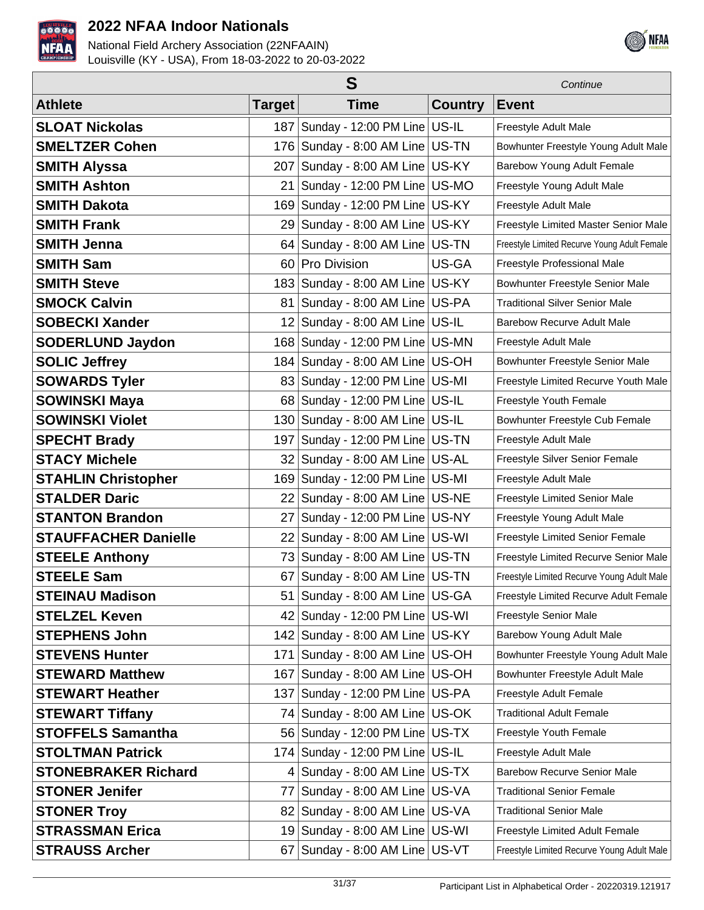



|                             | S             |                                      |                | Continue                                     |
|-----------------------------|---------------|--------------------------------------|----------------|----------------------------------------------|
| <b>Athlete</b>              | <b>Target</b> | <b>Time</b>                          | <b>Country</b> | <b>Event</b>                                 |
| <b>SLOAT Nickolas</b>       | 187           | Sunday - 12:00 PM Line US-IL         |                | Freestyle Adult Male                         |
| <b>SMELTZER Cohen</b>       | 176           | Sunday - 8:00 AM Line US-TN          |                | Bowhunter Freestyle Young Adult Male         |
| <b>SMITH Alyssa</b>         | 207           | Sunday - 8:00 AM Line US-KY          |                | Barebow Young Adult Female                   |
| <b>SMITH Ashton</b>         | 21            | Sunday - 12:00 PM Line   US-MO       |                | Freestyle Young Adult Male                   |
| <b>SMITH Dakota</b>         | 169           | Sunday - 12:00 PM Line US-KY         |                | Freestyle Adult Male                         |
| <b>SMITH Frank</b>          | 29            | Sunday - 8:00 AM Line US-KY          |                | Freestyle Limited Master Senior Male         |
| <b>SMITH Jenna</b>          | 64            | Sunday - 8:00 AM Line   US-TN        |                | Freestyle Limited Recurve Young Adult Female |
| <b>SMITH Sam</b>            | 60 l          | <b>Pro Division</b>                  | US-GA          | Freestyle Professional Male                  |
| <b>SMITH Steve</b>          | 183           | Sunday - 8:00 AM Line US-KY          |                | Bowhunter Freestyle Senior Male              |
| <b>SMOCK Calvin</b>         | 81            | Sunday - 8:00 AM Line US-PA          |                | <b>Traditional Silver Senior Male</b>        |
| <b>SOBECKI Xander</b>       | 12            | Sunday - 8:00 AM Line US-IL          |                | <b>Barebow Recurve Adult Male</b>            |
| <b>SODERLUND Jaydon</b>     | 168           | Sunday - 12:00 PM Line US-MN         |                | Freestyle Adult Male                         |
| <b>SOLIC Jeffrey</b>        |               | 184 Sunday - 8:00 AM Line US-OH      |                | Bowhunter Freestyle Senior Male              |
| <b>SOWARDS Tyler</b>        | 83            | Sunday - 12:00 PM Line   US-MI       |                | Freestyle Limited Recurve Youth Male         |
| <b>SOWINSKI Maya</b>        |               | 68 Sunday - 12:00 PM Line US-IL      |                | Freestyle Youth Female                       |
| <b>SOWINSKI Violet</b>      |               | 130 Sunday - 8:00 AM Line US-IL      |                | Bowhunter Freestyle Cub Female               |
| <b>SPECHT Brady</b>         | 197           | Sunday - 12:00 PM Line US-TN         |                | Freestyle Adult Male                         |
| <b>STACY Michele</b>        | 32            | Sunday - 8:00 AM Line US-AL          |                | Freestyle Silver Senior Female               |
| <b>STAHLIN Christopher</b>  | 169           | Sunday - 12:00 PM Line US-MI         |                | Freestyle Adult Male                         |
| <b>STALDER Daric</b>        | 22            | Sunday - 8:00 AM Line   US-NE        |                | Freestyle Limited Senior Male                |
| <b>STANTON Brandon</b>      | 27            | Sunday - 12:00 PM Line US-NY         |                | Freestyle Young Adult Male                   |
| <b>STAUFFACHER Danielle</b> | 22            | Sunday - 8:00 AM Line US-WI          |                | Freestyle Limited Senior Female              |
| <b>STEELE Anthony</b>       | 73            | Sunday - 8:00 AM Line US-TN          |                | Freestyle Limited Recurve Senior Male        |
| <b>STEELE Sam</b>           | 67            | Sunday - 8:00 AM Line US-TN          |                | Freestyle Limited Recurve Young Adult Male   |
| <b>STEINAU Madison</b>      |               | 51 Sunday - 8:00 AM Line US-GA       |                | Freestyle Limited Recurve Adult Female       |
| <b>STELZEL Keven</b>        |               | 42 Sunday - 12:00 PM Line US-WI      |                | <b>Freestyle Senior Male</b>                 |
| <b>STEPHENS John</b>        |               | 142 Sunday - 8:00 AM Line US-KY      |                | Barebow Young Adult Male                     |
| <b>STEVENS Hunter</b>       | 171           | Sunday - 8:00 AM Line US-OH          |                | Bowhunter Freestyle Young Adult Male         |
| <b>STEWARD Matthew</b>      |               | 167   Sunday - 8:00 AM Line   US-OH  |                | Bowhunter Freestyle Adult Male               |
| <b>STEWART Heather</b>      |               | 137   Sunday - 12:00 PM Line   US-PA |                | Freestyle Adult Female                       |
| <b>STEWART Tiffany</b>      |               | 74 Sunday - 8:00 AM Line US-OK       |                | <b>Traditional Adult Female</b>              |
| <b>STOFFELS Samantha</b>    |               | 56 Sunday - 12:00 PM Line US-TX      |                | Freestyle Youth Female                       |
| <b>STOLTMAN Patrick</b>     |               | 174   Sunday - 12:00 PM Line   US-IL |                | Freestyle Adult Male                         |
| <b>STONEBRAKER Richard</b>  | 41            | Sunday - 8:00 AM Line US-TX          |                | <b>Barebow Recurve Senior Male</b>           |
| <b>STONER Jenifer</b>       | 77 I          | Sunday - 8:00 AM Line US-VA          |                | <b>Traditional Senior Female</b>             |
| <b>STONER Troy</b>          |               | 82 Sunday - 8:00 AM Line US-VA       |                | <b>Traditional Senior Male</b>               |
| <b>STRASSMAN Erica</b>      |               | 19 Sunday - 8:00 AM Line US-WI       |                | Freestyle Limited Adult Female               |
| <b>STRAUSS Archer</b>       |               | $67$ Sunday - 8:00 AM Line US-VT     |                | Freestyle Limited Recurve Young Adult Male   |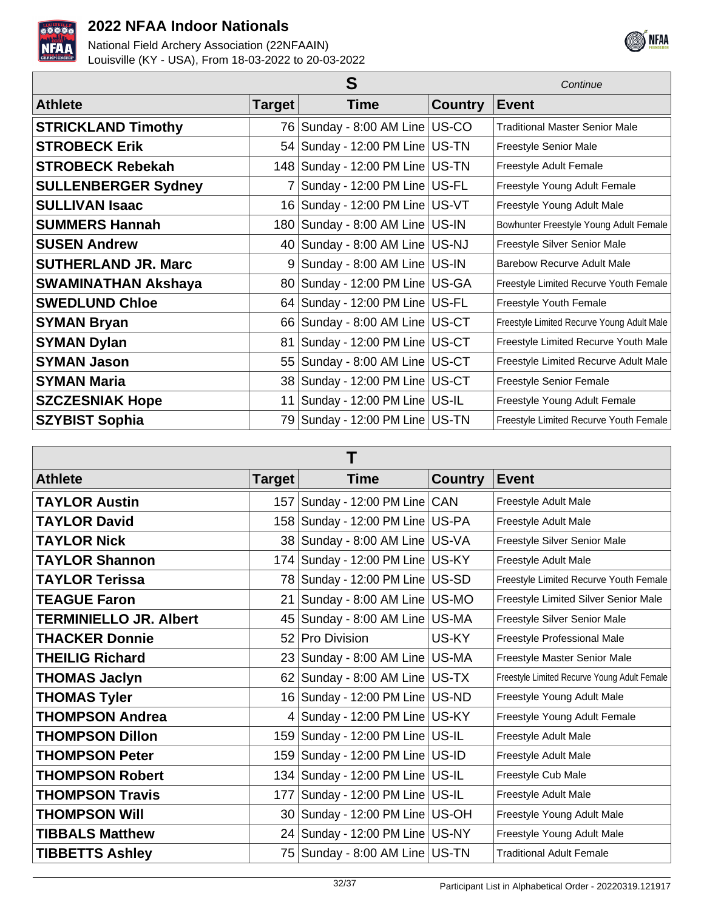



|                            | Continue        |                                     |                |                                            |
|----------------------------|-----------------|-------------------------------------|----------------|--------------------------------------------|
| <b>Athlete</b>             | Target          | <b>Time</b>                         | <b>Country</b> | <b>Event</b>                               |
| <b>STRICKLAND Timothy</b>  | 76              | Sunday - 8:00 AM Line US-CO         |                | <b>Traditional Master Senior Male</b>      |
| <b>STROBECK Erik</b>       | 54              | Sunday - 12:00 PM Line US-TN        |                | Freestyle Senior Male                      |
| <b>STROBECK Rebekah</b>    |                 | 148 Sunday - 12:00 PM Line US-TN    |                | Freestyle Adult Female                     |
| <b>SULLENBERGER Sydney</b> | 7               | Sunday - 12:00 PM Line   US-FL      |                | Freestyle Young Adult Female               |
| <b>SULLIVAN Isaac</b>      | 16 <sup>1</sup> | Sunday - 12:00 PM Line   US-VT      |                | Freestyle Young Adult Male                 |
| <b>SUMMERS Hannah</b>      |                 | 180   Sunday - 8:00 AM Line   US-IN |                | Bowhunter Freestyle Young Adult Female     |
| <b>SUSEN Andrew</b>        |                 | 40 Sunday - 8:00 AM Line US-NJ      |                | Freestyle Silver Senior Male               |
| <b>SUTHERLAND JR. Marc</b> | 9               | Sunday - 8:00 AM Line US-IN         |                | Barebow Recurve Adult Male                 |
| <b>SWAMINATHAN Akshaya</b> |                 | 80   Sunday - 12:00 PM Line   US-GA |                | Freestyle Limited Recurve Youth Female     |
| <b>SWEDLUND Chloe</b>      |                 | 64   Sunday - 12:00 PM Line   US-FL |                | Freestyle Youth Female                     |
| <b>SYMAN Bryan</b>         |                 | 66 Sunday - 8:00 AM Line US-CT      |                | Freestyle Limited Recurve Young Adult Male |
| <b>SYMAN Dylan</b>         | 81              | Sunday - 12:00 PM Line   US-CT      |                | Freestyle Limited Recurve Youth Male       |
| <b>SYMAN Jason</b>         | 55              | Sunday - 8:00 AM Line   US-CT       |                | Freestyle Limited Recurve Adult Male       |
| <b>SYMAN Maria</b>         |                 | 38 Sunday - 12:00 PM Line US-CT     |                | <b>Freestyle Senior Female</b>             |
| <b>SZCZESNIAK Hope</b>     | 11              | Sunday - 12:00 PM Line   US-IL      |                | Freestyle Young Adult Female               |
| <b>SZYBIST Sophia</b>      | 79              | Sunday - 12:00 PM Line   US-TN      |                | Freestyle Limited Recurve Youth Female     |

| <b>Athlete</b>                | Target | Time                                 | <b>Country</b> | <b>Event</b>                                 |  |
|-------------------------------|--------|--------------------------------------|----------------|----------------------------------------------|--|
| <b>TAYLOR Austin</b>          |        | 157   Sunday - 12:00 PM Line   CAN   |                | Freestyle Adult Male                         |  |
| <b>TAYLOR David</b>           | 158    | Sunday - 12:00 PM Line   US-PA       |                | Freestyle Adult Male                         |  |
| <b>TAYLOR Nick</b>            | 38     | Sunday - 8:00 AM Line US-VA          |                | Freestyle Silver Senior Male                 |  |
| <b>TAYLOR Shannon</b>         |        | 174 Sunday - 12:00 PM Line US-KY     |                | Freestyle Adult Male                         |  |
| <b>TAYLOR Terissa</b>         |        | 78 Sunday - 12:00 PM Line US-SD      |                | Freestyle Limited Recurve Youth Female       |  |
| <b>TEAGUE Faron</b>           | ا 21   | Sunday - 8:00 AM Line   US-MO        |                | Freestyle Limited Silver Senior Male         |  |
| <b>TERMINIELLO JR. Albert</b> | 45     | Sunday - 8:00 AM Line US-MA          |                | Freestyle Silver Senior Male                 |  |
| <b>THACKER Donnie</b>         | 52     | <b>Pro Division</b>                  | US-KY          | Freestyle Professional Male                  |  |
| <b>THEILIG Richard</b>        |        | 23 Sunday - 8:00 AM Line US-MA       |                | Freestyle Master Senior Male                 |  |
| <b>THOMAS Jaclyn</b>          |        | $62$ Sunday - 8:00 AM Line US-TX     |                | Freestyle Limited Recurve Young Adult Female |  |
| <b>THOMAS Tyler</b>           |        | 16   Sunday - 12:00 PM Line   US-ND  |                | Freestyle Young Adult Male                   |  |
| <b>THOMPSON Andrea</b>        | 4      | Sunday - 12:00 PM Line US-KY         |                | Freestyle Young Adult Female                 |  |
| <b>THOMPSON Dillon</b>        |        | 159 Sunday - 12:00 PM Line US-IL     |                | Freestyle Adult Male                         |  |
| <b>THOMPSON Peter</b>         |        | 159 Sunday - 12:00 PM Line US-ID     |                | Freestyle Adult Male                         |  |
| <b>THOMPSON Robert</b>        |        | 134   Sunday - 12:00 PM Line   US-IL |                | Freestyle Cub Male                           |  |
| <b>THOMPSON Travis</b>        |        | 177 Sunday - 12:00 PM Line US-IL     |                | Freestyle Adult Male                         |  |
| <b>THOMPSON Will</b>          |        | 30 Sunday - 12:00 PM Line US-OH      |                | Freestyle Young Adult Male                   |  |
| <b>TIBBALS Matthew</b>        |        | 24 Sunday - 12:00 PM Line US-NY      |                | Freestyle Young Adult Male                   |  |
| <b>TIBBETTS Ashley</b>        |        | 75   Sunday - 8:00 AM Line   US-TN   |                | <b>Traditional Adult Female</b>              |  |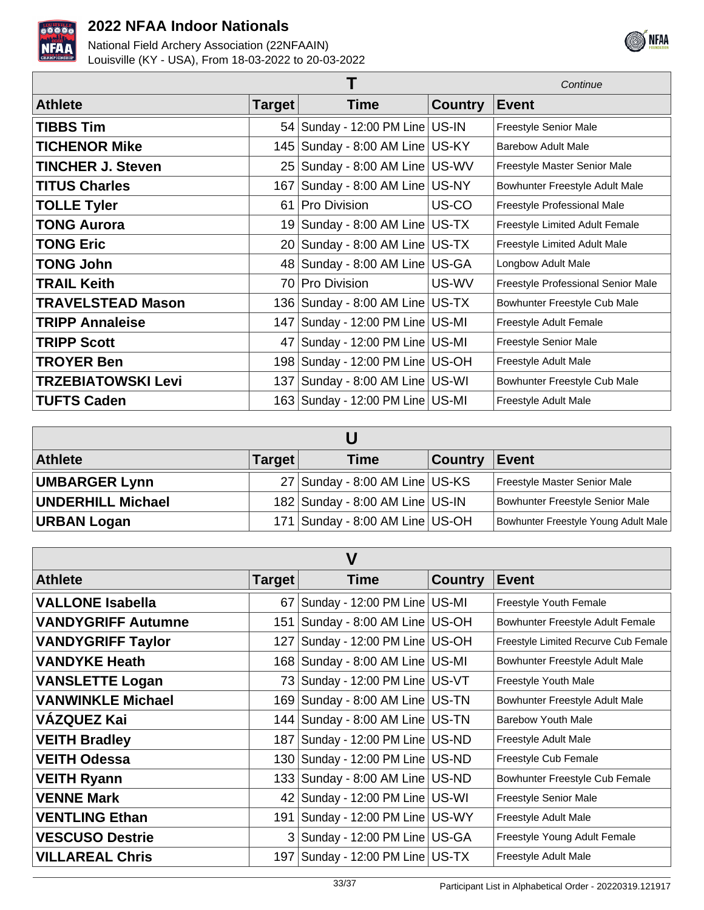



|                           |               |                                      |                | Continue                           |
|---------------------------|---------------|--------------------------------------|----------------|------------------------------------|
| <b>Athlete</b>            | <b>Target</b> | Time                                 | <b>Country</b> | <b>Event</b>                       |
| <b>TIBBS Tim</b>          |               | 54   Sunday - 12:00 PM Line   US-IN  |                | Freestyle Senior Male              |
| <b>TICHENOR Mike</b>      |               | 145   Sunday - 8:00 AM Line   US-KY  |                | Barebow Adult Male                 |
| <b>TINCHER J. Steven</b>  |               | 25 Sunday - 8:00 AM Line US-WV       |                | Freestyle Master Senior Male       |
| <b>TITUS Charles</b>      |               | 167   Sunday - 8:00 AM Line   US-NY  |                | Bowhunter Freestyle Adult Male     |
| <b>TOLLE Tyler</b>        |               | 61 Pro Division                      | US-CO          | Freestyle Professional Male        |
| <b>TONG Aurora</b>        |               | 19 Sunday - 8:00 AM Line US-TX       |                | Freestyle Limited Adult Female     |
| <b>TONG Eric</b>          |               | $20$ Sunday - 8:00 AM Line US-TX     |                | Freestyle Limited Adult Male       |
| <b>TONG John</b>          |               | 48 Sunday - 8:00 AM Line US-GA       |                | Longbow Adult Male                 |
| <b>TRAIL Keith</b>        |               | 70 Pro Division                      | US-WV          | Freestyle Professional Senior Male |
| <b>TRAVELSTEAD Mason</b>  |               | 136   Sunday - 8:00 AM Line   US-TX  |                | Bowhunter Freestyle Cub Male       |
| <b>TRIPP Annaleise</b>    |               | 147   Sunday - 12:00 PM Line   US-MI |                | Freestyle Adult Female             |
| <b>TRIPP Scott</b>        |               | 47 Sunday - 12:00 PM Line   US-MI    |                | Freestyle Senior Male              |
| <b>TROYER Ben</b>         |               | 198 Sunday - 12:00 PM Line   US-OH   |                | Freestyle Adult Male               |
| <b>TRZEBIATOWSKI Levi</b> |               | 137 Sunday - 8:00 AM Line US-WI      |                | Bowhunter Freestyle Cub Male       |
| <b>TUFTS Caden</b>        |               | 163   Sunday - 12:00 PM Line   US-MI |                | Freestyle Adult Male               |

| <b>Athlete</b>           | <b>Target</b> | Time                            | <b>Country</b> | ∣Event                               |  |
|--------------------------|---------------|---------------------------------|----------------|--------------------------------------|--|
| <b>UMBARGER Lynn</b>     |               | 27 Sunday - 8:00 AM Line US-KS  |                | Freestyle Master Senior Male         |  |
| <b>UNDERHILL Michael</b> |               | 182 Sunday - 8:00 AM Line US-IN |                | Bowhunter Freestyle Senior Male      |  |
| <b>URBAN Logan</b>       |               | 171 Sunday - 8:00 AM Line US-OH |                | Bowhunter Freestyle Young Adult Male |  |

| $\overline{\mathsf{V}}$   |         |                                      |                |                                      |  |
|---------------------------|---------|--------------------------------------|----------------|--------------------------------------|--|
| <b>Athlete</b>            | Target∣ | <b>Time</b>                          | <b>Country</b> | <b>Event</b>                         |  |
| <b>VALLONE Isabella</b>   | 67      | Sunday - 12:00 PM Line US-MI         |                | Freestyle Youth Female               |  |
| <b>VANDYGRIFF Autumne</b> | 151     | Sunday - 8:00 AM Line   US-OH        |                | Bowhunter Freestyle Adult Female     |  |
| <b>VANDYGRIFF Taylor</b>  |         | 127   Sunday - 12:00 PM Line   US-OH |                | Freestyle Limited Recurve Cub Female |  |
| <b>VANDYKE Heath</b>      |         | 168 Sunday - 8:00 AM Line US-MI      |                | Bowhunter Freestyle Adult Male       |  |
| <b>VANSLETTE Logan</b>    |         | 73 Sunday - 12:00 PM Line   US-VT    |                | Freestyle Youth Male                 |  |
| <b>VANWINKLE Michael</b>  |         | 169 Sunday - 8:00 AM Line US-TN      |                | Bowhunter Freestyle Adult Male       |  |
| <b>VÁZQUEZ Kai</b>        |         | 144   Sunday - 8:00 AM Line   US-TN  |                | Barebow Youth Male                   |  |
| <b>VEITH Bradley</b>      |         | 187   Sunday - 12:00 PM Line   US-ND |                | Freestyle Adult Male                 |  |
| <b>VEITH Odessa</b>       |         | 130   Sunday - 12:00 PM Line   US-ND |                | Freestyle Cub Female                 |  |
| <b>VEITH Ryann</b>        |         | 133   Sunday - 8:00 AM Line   US-ND  |                | Bowhunter Freestyle Cub Female       |  |
| <b>VENNE Mark</b>         |         | 42 Sunday - 12:00 PM Line US-WI      |                | <b>Freestyle Senior Male</b>         |  |
| <b>VENTLING Ethan</b>     | 191     | Sunday - 12:00 PM Line   US-WY       |                | Freestyle Adult Male                 |  |
| <b>VESCUSO Destrie</b>    |         | 3 Sunday - 12:00 PM Line US-GA       |                | Freestyle Young Adult Female         |  |
| <b>VILLAREAL Chris</b>    |         | 197   Sunday - 12:00 PM Line   US-TX |                | Freestyle Adult Male                 |  |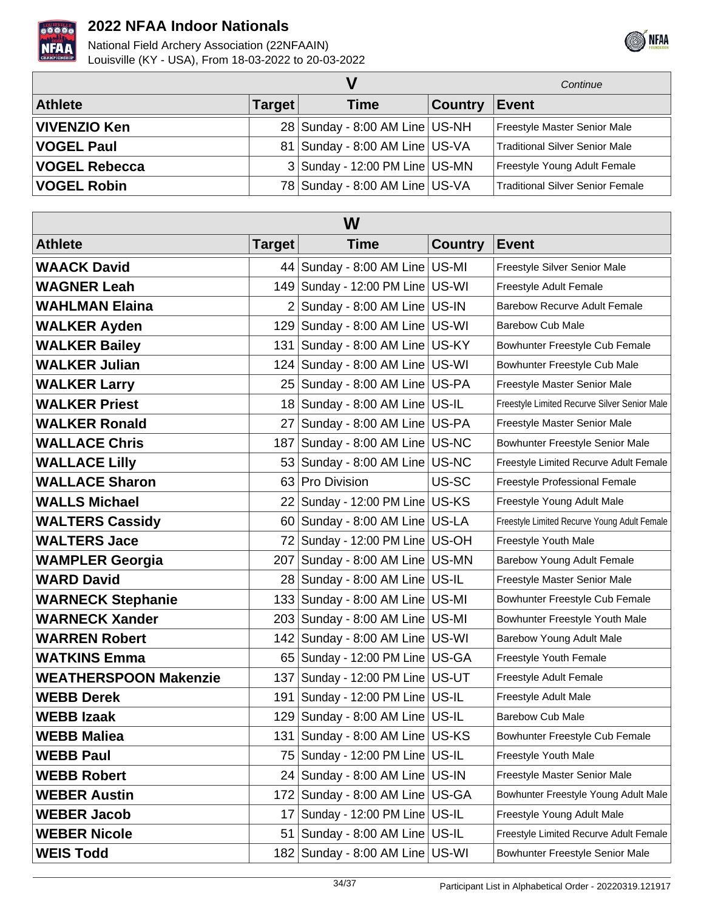



|                      |               |                                  |                | Continue                              |
|----------------------|---------------|----------------------------------|----------------|---------------------------------------|
| <b>Athlete</b>       | <b>Target</b> | <b>Time</b>                      | <b>Country</b> | <b>Event</b>                          |
| <b>VIVENZIO Ken</b>  |               | 28 Sunday - 8:00 AM Line   US-NH |                | Freestyle Master Senior Male          |
| <b>VOGEL Paul</b>    |               | 81 Sunday - 8:00 AM Line US-VA   |                | <b>Traditional Silver Senior Male</b> |
| <b>VOGEL Rebecca</b> |               | 3 Sunday - 12:00 PM Line US-MN   |                | Freestyle Young Adult Female          |
| <b>VOGEL Robin</b>   |               | 78 Sunday - 8:00 AM Line   US-VA |                | Traditional Silver Senior Female      |

| W                            |        |                                     |                |                                              |  |  |
|------------------------------|--------|-------------------------------------|----------------|----------------------------------------------|--|--|
| <b>Athlete</b>               | Target | <b>Time</b>                         | <b>Country</b> | <b>Event</b>                                 |  |  |
| <b>WAACK David</b>           |        | 44 Sunday - 8:00 AM Line US-MI      |                | Freestyle Silver Senior Male                 |  |  |
| <b>WAGNER Leah</b>           |        | 149 Sunday - 12:00 PM Line US-WI    |                | Freestyle Adult Female                       |  |  |
| <b>WAHLMAN Elaina</b>        |        | 2 Sunday - 8:00 AM Line US-IN       |                | <b>Barebow Recurve Adult Female</b>          |  |  |
| <b>WALKER Ayden</b>          |        | 129 Sunday - 8:00 AM Line US-WI     |                | <b>Barebow Cub Male</b>                      |  |  |
| <b>WALKER Bailey</b>         | 131    | Sunday - 8:00 AM Line US-KY         |                | Bowhunter Freestyle Cub Female               |  |  |
| <b>WALKER Julian</b>         |        | 124 Sunday - 8:00 AM Line US-WI     |                | Bowhunter Freestyle Cub Male                 |  |  |
| <b>WALKER Larry</b>          |        | 25   Sunday - 8:00 AM Line   US-PA  |                | Freestyle Master Senior Male                 |  |  |
| <b>WALKER Priest</b>         |        | 18 Sunday - 8:00 AM Line   US-IL    |                | Freestyle Limited Recurve Silver Senior Male |  |  |
| <b>WALKER Ronald</b>         |        | 27 Sunday - 8:00 AM Line US-PA      |                | Freestyle Master Senior Male                 |  |  |
| <b>WALLACE Chris</b>         |        | 187   Sunday - 8:00 AM Line   US-NC |                | Bowhunter Freestyle Senior Male              |  |  |
| <b>WALLACE Lilly</b>         |        | $53$ Sunday - 8:00 AM Line US-NC    |                | Freestyle Limited Recurve Adult Female       |  |  |
| <b>WALLACE Sharon</b>        |        | 63 Pro Division                     | US-SC          | Freestyle Professional Female                |  |  |
| <b>WALLS Michael</b>         |        | 22 Sunday - 12:00 PM Line US-KS     |                | Freestyle Young Adult Male                   |  |  |
| <b>WALTERS Cassidy</b>       |        | $60$ Sunday - 8:00 AM Line US-LA    |                | Freestyle Limited Recurve Young Adult Female |  |  |
| <b>WALTERS Jace</b>          |        | 72 Sunday - 12:00 PM Line US-OH     |                | Freestyle Youth Male                         |  |  |
| <b>WAMPLER Georgia</b>       | 207    | Sunday - 8:00 AM Line US-MN         |                | Barebow Young Adult Female                   |  |  |
| <b>WARD David</b>            |        | 28 Sunday - 8:00 AM Line US-IL      |                | Freestyle Master Senior Male                 |  |  |
| <b>WARNECK Stephanie</b>     |        | 133 Sunday - 8:00 AM Line US-MI     |                | Bowhunter Freestyle Cub Female               |  |  |
| <b>WARNECK Xander</b>        |        | 203 Sunday - 8:00 AM Line US-MI     |                | Bowhunter Freestyle Youth Male               |  |  |
| <b>WARREN Robert</b>         |        | 142 Sunday - 8:00 AM Line US-WI     |                | Barebow Young Adult Male                     |  |  |
| <b>WATKINS Emma</b>          |        | 65 Sunday - 12:00 PM Line US-GA     |                | Freestyle Youth Female                       |  |  |
| <b>WEATHERSPOON Makenzie</b> | 137    | Sunday - 12:00 PM Line   US-UT      |                | Freestyle Adult Female                       |  |  |
| <b>WEBB Derek</b>            | 191    | Sunday - 12:00 PM Line   US-IL      |                | Freestyle Adult Male                         |  |  |
| <b>WEBB Izaak</b>            |        | 129 Sunday - 8:00 AM Line US-IL     |                | <b>Barebow Cub Male</b>                      |  |  |
| <b>WEBB Maliea</b>           |        | 131   Sunday - 8:00 AM Line   US-KS |                | Bowhunter Freestyle Cub Female               |  |  |
| <b>WEBB Paul</b>             |        | 75   Sunday - 12:00 PM Line   US-IL |                | Freestyle Youth Male                         |  |  |
| <b>WEBB Robert</b>           |        | 24 Sunday - 8:00 AM Line US-IN      |                | Freestyle Master Senior Male                 |  |  |
| <b>WEBER Austin</b>          |        | 172 Sunday - 8:00 AM Line US-GA     |                | Bowhunter Freestyle Young Adult Male         |  |  |
| <b>WEBER Jacob</b>           |        | 17 Sunday - 12:00 PM Line   US-IL   |                | Freestyle Young Adult Male                   |  |  |
| <b>WEBER Nicole</b>          | 51     | Sunday - 8:00 AM Line   US-IL       |                | Freestyle Limited Recurve Adult Female       |  |  |
| <b>WEIS Todd</b>             |        | 182 Sunday - 8:00 AM Line US-WI     |                | Bowhunter Freestyle Senior Male              |  |  |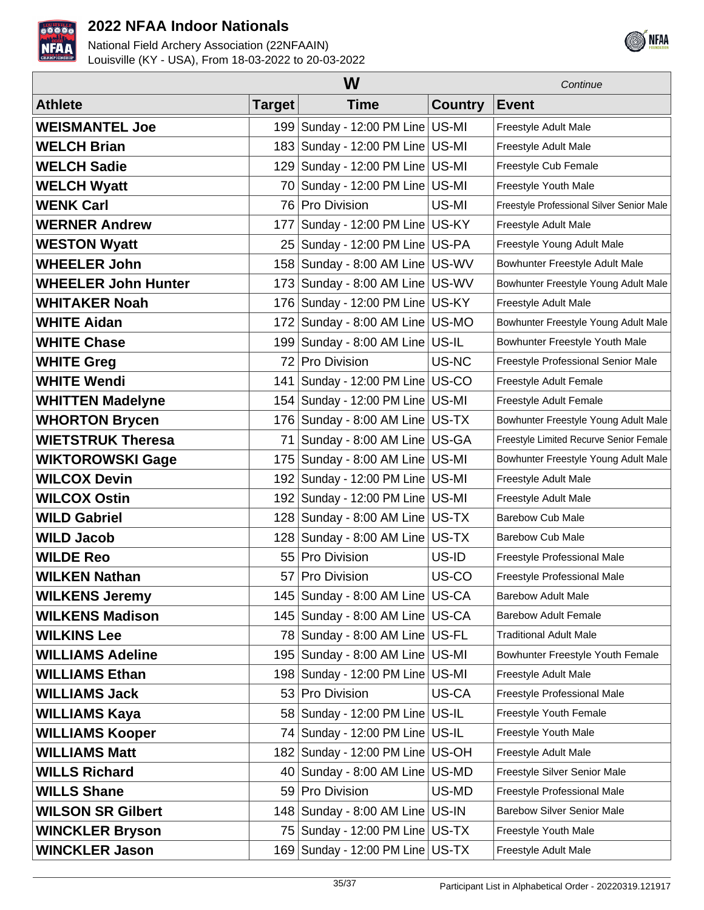



|                            | Continue      |                                     |         |                                           |
|----------------------------|---------------|-------------------------------------|---------|-------------------------------------------|
| <b>Athlete</b>             | <b>Target</b> | <b>Time</b>                         | Country | <b>Event</b>                              |
| <b>WEISMANTEL Joe</b>      |               | 199 Sunday - 12:00 PM Line US-MI    |         | Freestyle Adult Male                      |
| <b>WELCH Brian</b>         |               | 183 Sunday - 12:00 PM Line US-MI    |         | Freestyle Adult Male                      |
| <b>WELCH Sadie</b>         | 129           | Sunday - 12:00 PM Line US-MI        |         | Freestyle Cub Female                      |
| <b>WELCH Wyatt</b>         | 70            | Sunday - 12:00 PM Line US-MI        |         | Freestyle Youth Male                      |
| <b>WENK Carl</b>           |               | 76 Pro Division                     | US-MI   | Freestyle Professional Silver Senior Male |
| <b>WERNER Andrew</b>       | 177           | Sunday - 12:00 PM Line   US-KY      |         | Freestyle Adult Male                      |
| <b>WESTON Wyatt</b>        | 25            | Sunday - 12:00 PM Line US-PA        |         | Freestyle Young Adult Male                |
| <b>WHEELER John</b>        |               | 158 Sunday - 8:00 AM Line US-WV     |         | Bowhunter Freestyle Adult Male            |
| <b>WHEELER John Hunter</b> | 173           | Sunday - 8:00 AM Line US-WV         |         | Bowhunter Freestyle Young Adult Male      |
| <b>WHITAKER Noah</b>       | 176           | Sunday - 12:00 PM Line US-KY        |         | Freestyle Adult Male                      |
| <b>WHITE Aidan</b>         | 172           | Sunday - 8:00 AM Line US-MO         |         | Bowhunter Freestyle Young Adult Male      |
| <b>WHITE Chase</b>         | 199           | Sunday - 8:00 AM Line US-IL         |         | Bowhunter Freestyle Youth Male            |
| <b>WHITE Greg</b>          | 72            | Pro Division                        | US-NC   | Freestyle Professional Senior Male        |
| <b>WHITE Wendi</b>         | 141           | Sunday - 12:00 PM Line US-CO        |         | Freestyle Adult Female                    |
| <b>WHITTEN Madelyne</b>    | 154           | Sunday - 12:00 PM Line US-MI        |         | Freestyle Adult Female                    |
| <b>WHORTON Brycen</b>      | 176           | Sunday - 8:00 AM Line US-TX         |         | Bowhunter Freestyle Young Adult Male      |
| <b>WIETSTRUK Theresa</b>   | 71            | Sunday - 8:00 AM Line US-GA         |         | Freestyle Limited Recurve Senior Female   |
| <b>WIKTOROWSKI Gage</b>    | 175           | Sunday - 8:00 AM Line   US-MI       |         | Bowhunter Freestyle Young Adult Male      |
| <b>WILCOX Devin</b>        | 192           | Sunday - 12:00 PM Line US-MI        |         | Freestyle Adult Male                      |
| <b>WILCOX Ostin</b>        | 192           | Sunday - 12:00 PM Line US-MI        |         | Freestyle Adult Male                      |
| <b>WILD Gabriel</b>        |               | 128 Sunday - 8:00 AM Line US-TX     |         | <b>Barebow Cub Male</b>                   |
| <b>WILD Jacob</b>          |               | 128 Sunday - 8:00 AM Line US-TX     |         | <b>Barebow Cub Male</b>                   |
| <b>WILDE Reo</b>           | 55            | <b>Pro Division</b>                 | US-ID   | Freestyle Professional Male               |
| <b>WILKEN Nathan</b>       | 57            | <b>Pro Division</b>                 | US-CO   | Freestyle Professional Male               |
| <b>WILKENS Jeremy</b>      |               | 145   Sunday - 8:00 AM Line   US-CA |         | <b>Barebow Adult Male</b>                 |
| <b>WILKENS Madison</b>     |               | 145 Sunday - 8:00 AM Line US-CA     |         | <b>Barebow Adult Female</b>               |
| <b>WILKINS Lee</b>         |               | 78 Sunday - 8:00 AM Line US-FL      |         | <b>Traditional Adult Male</b>             |
| <b>WILLIAMS Adeline</b>    | 195           | Sunday - 8:00 AM Line US-MI         |         | Bowhunter Freestyle Youth Female          |
| <b>WILLIAMS Ethan</b>      |               | 198 Sunday - 12:00 PM Line US-MI    |         | Freestyle Adult Male                      |
| <b>WILLIAMS Jack</b>       |               | 53 Pro Division                     | US-CA   | Freestyle Professional Male               |
| <b>WILLIAMS Kaya</b>       |               | 58   Sunday - 12:00 PM Line   US-IL |         | Freestyle Youth Female                    |
| <b>WILLIAMS Kooper</b>     |               | 74   Sunday - 12:00 PM Line   US-IL |         | Freestyle Youth Male                      |
| <b>WILLIAMS Matt</b>       |               | 182 Sunday - 12:00 PM Line US-OH    |         | Freestyle Adult Male                      |
| <b>WILLS Richard</b>       | 40            | Sunday - 8:00 AM Line   US-MD       |         | Freestyle Silver Senior Male              |
| <b>WILLS Shane</b>         |               | 59 Pro Division                     | US-MD   | Freestyle Professional Male               |
| <b>WILSON SR Gilbert</b>   |               | 148 Sunday - 8:00 AM Line US-IN     |         | <b>Barebow Silver Senior Male</b>         |
| <b>WINCKLER Bryson</b>     |               | 75   Sunday - 12:00 PM Line   US-TX |         | Freestyle Youth Male                      |
| <b>WINCKLER Jason</b>      |               | 169 Sunday - 12:00 PM Line US-TX    |         | Freestyle Adult Male                      |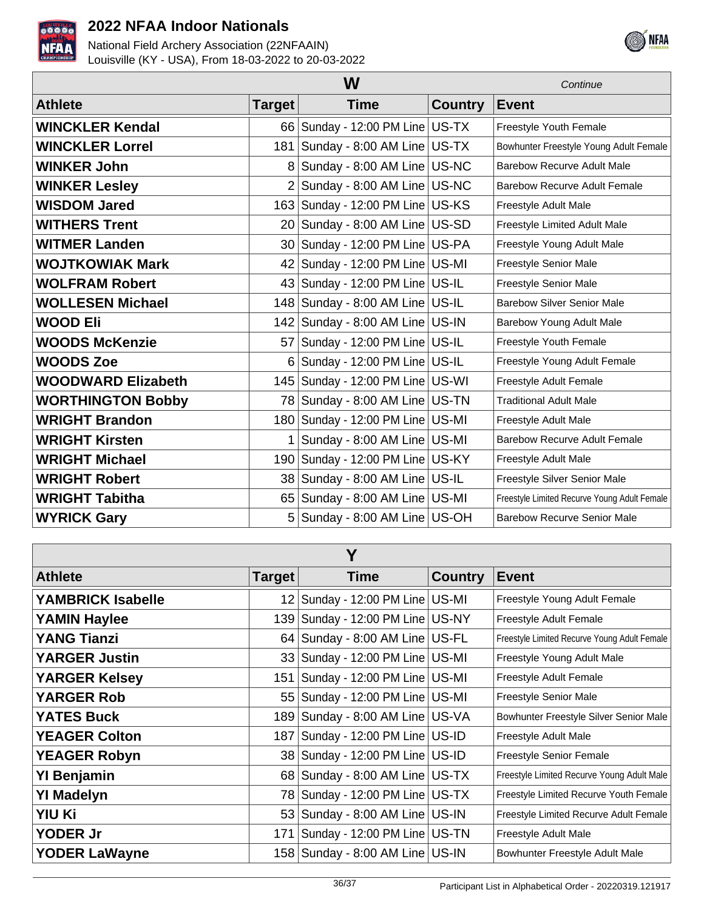



|                           | W             |                                    |                |                                              |
|---------------------------|---------------|------------------------------------|----------------|----------------------------------------------|
| <b>Athlete</b>            | <b>Target</b> | <b>Time</b>                        | <b>Country</b> | <b>Event</b>                                 |
| <b>WINCKLER Kendal</b>    |               | 66 Sunday - 12:00 PM Line US-TX    |                | Freestyle Youth Female                       |
| <b>WINCKLER Lorrel</b>    | 181           | Sunday - 8:00 AM Line US-TX        |                | Bowhunter Freestyle Young Adult Female       |
| <b>WINKER John</b>        |               | Sunday - 8:00 AM Line US-NC        |                | Barebow Recurve Adult Male                   |
| <b>WINKER Lesley</b>      | 2             | Sunday - 8:00 AM Line US-NC        |                | <b>Barebow Recurve Adult Female</b>          |
| <b>WISDOM Jared</b>       |               | 163 Sunday - 12:00 PM Line US-KS   |                | Freestyle Adult Male                         |
| <b>WITHERS Trent</b>      |               | 20 Sunday - 8:00 AM Line US-SD     |                | Freestyle Limited Adult Male                 |
| <b>WITMER Landen</b>      |               | 30 Sunday - 12:00 PM Line US-PA    |                | Freestyle Young Adult Male                   |
| <b>WOJTKOWIAK Mark</b>    |               | 42 Sunday - 12:00 PM Line US-MI    |                | Freestyle Senior Male                        |
| <b>WOLFRAM Robert</b>     |               | 43 Sunday - 12:00 PM Line   US-IL  |                | Freestyle Senior Male                        |
| <b>WOLLESEN Michael</b>   |               | 148 Sunday - 8:00 AM Line US-IL    |                | <b>Barebow Silver Senior Male</b>            |
| <b>WOOD Eli</b>           | 142           | Sunday - 8:00 AM Line US-IN        |                | Barebow Young Adult Male                     |
| <b>WOODS McKenzie</b>     |               | 57 Sunday - 12:00 PM Line   US-IL  |                | Freestyle Youth Female                       |
| <b>WOODS Zoe</b>          | 6             | Sunday - 12:00 PM Line   US-IL     |                | Freestyle Young Adult Female                 |
| <b>WOODWARD Elizabeth</b> | 145           | Sunday - 12:00 PM Line US-WI       |                | Freestyle Adult Female                       |
| <b>WORTHINGTON Bobby</b>  |               | 78 Sunday - 8:00 AM Line US-TN     |                | <b>Traditional Adult Male</b>                |
| <b>WRIGHT Brandon</b>     |               | 180 Sunday - 12:00 PM Line   US-MI |                | Freestyle Adult Male                         |
| <b>WRIGHT Kirsten</b>     | 1             | Sunday - 8:00 AM Line US-MI        |                | <b>Barebow Recurve Adult Female</b>          |
| <b>WRIGHT Michael</b>     |               | 190 Sunday - 12:00 PM Line US-KY   |                | Freestyle Adult Male                         |
| <b>WRIGHT Robert</b>      |               | 38 Sunday - 8:00 AM Line US-IL     |                | Freestyle Silver Senior Male                 |
| <b>WRIGHT Tabitha</b>     |               | 65 Sunday - 8:00 AM Line US-MI     |                | Freestyle Limited Recurve Young Adult Female |
| <b>WYRICK Gary</b>        | 5             | Sunday - 8:00 AM Line US-OH        |                | <b>Barebow Recurve Senior Male</b>           |

| Y                    |         |                                      |                |                                              |  |
|----------------------|---------|--------------------------------------|----------------|----------------------------------------------|--|
| <b>Athlete</b>       | Target∣ | <b>Time</b>                          | <b>Country</b> | <b>Event</b>                                 |  |
| YAMBRICK Isabelle    |         | 12 Sunday - 12:00 PM Line US-MI      |                | Freestyle Young Adult Female                 |  |
| <b>YAMIN Haylee</b>  |         | 139   Sunday - 12:00 PM Line   US-NY |                | Freestyle Adult Female                       |  |
| <b>YANG Tianzi</b>   |         | 64   Sunday - 8:00 AM Line   US-FL   |                | Freestyle Limited Recurve Young Adult Female |  |
| <b>YARGER Justin</b> |         | 33 Sunday - 12:00 PM Line   US-MI    |                | Freestyle Young Adult Male                   |  |
| <b>YARGER Kelsey</b> |         | 151   Sunday - 12:00 PM Line   US-MI |                | Freestyle Adult Female                       |  |
| <b>YARGER Rob</b>    |         | 55   Sunday - 12:00 PM Line   US-MI  |                | <b>Freestyle Senior Male</b>                 |  |
| <b>YATES Buck</b>    |         | 189 Sunday - 8:00 AM Line US-VA      |                | Bowhunter Freestyle Silver Senior Male       |  |
| <b>YEAGER Colton</b> |         | 187   Sunday - 12:00 PM Line   US-ID |                | Freestyle Adult Male                         |  |
| <b>YEAGER Robyn</b>  |         | 38 Sunday - 12:00 PM Line US-ID      |                | <b>Freestyle Senior Female</b>               |  |
| <b>YI Benjamin</b>   |         | 68 Sunday - 8:00 AM Line US-TX       |                | Freestyle Limited Recurve Young Adult Male   |  |
| <b>YI Madelyn</b>    |         | 78 Sunday - 12:00 PM Line US-TX      |                | Freestyle Limited Recurve Youth Female       |  |
| YIU Ki               |         | 53 Sunday - 8:00 AM Line US-IN       |                | Freestyle Limited Recurve Adult Female       |  |
| <b>YODER Jr</b>      |         | 171   Sunday - 12:00 PM Line   US-TN |                | Freestyle Adult Male                         |  |
| <b>YODER LaWayne</b> |         | 158   Sunday - 8:00 AM Line   US-IN  |                | Bowhunter Freestyle Adult Male               |  |